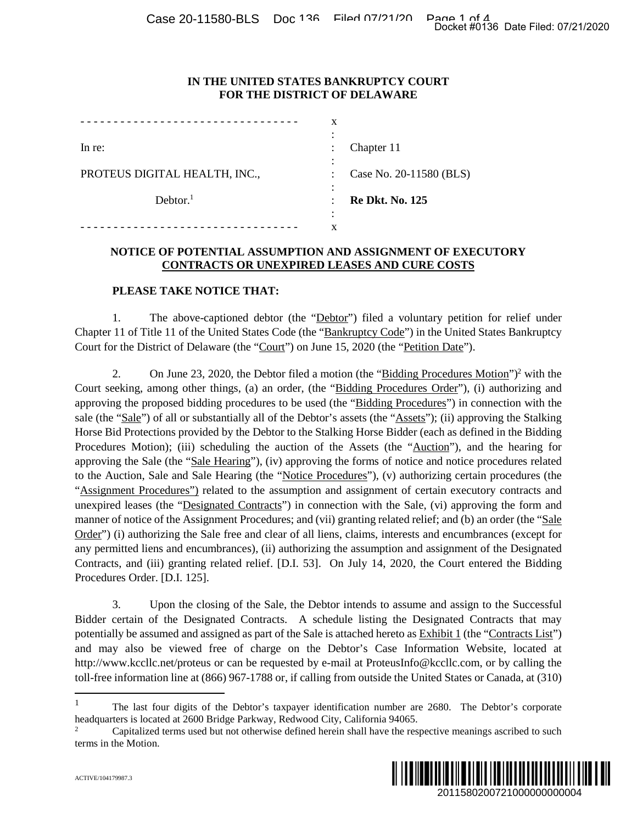#### **IN THE UNITED STATES BANKRUPTCY COURT FOR THE DISTRICT OF DELAWARE**

|                               | x              |                         |
|-------------------------------|----------------|-------------------------|
|                               |                |                         |
| In re:                        |                | Chapter 11              |
|                               |                |                         |
| PROTEUS DIGITAL HEALTH, INC., | $\ddot{\cdot}$ | Case No. 20-11580 (BLS) |
|                               |                |                         |
| Dektor. <sup>1</sup>          |                | <b>Re Dkt. No. 125</b>  |
|                               |                |                         |
|                               | x              |                         |

#### **NOTICE OF POTENTIAL ASSUMPTION AND ASSIGNMENT OF EXECUTORY CONTRACTS OR UNEXPIRED LEASES AND CURE COSTS**

#### **PLEASE TAKE NOTICE THAT:**

1. The above-captioned debtor (the "Debtor") filed a voluntary petition for relief under Chapter 11 of Title 11 of the United States Code (the "Bankruptcy Code") in the United States Bankruptcy Court for the District of Delaware (the "Court") on June 15, 2020 (the "Petition Date").

2. On June 23, 2020, the Debtor filed a motion (the "Bidding Procedures Motion")<sup>2</sup> with the Court seeking, among other things, (a) an order, (the "Bidding Procedures Order"), (i) authorizing and approving the proposed bidding procedures to be used (the "Bidding Procedures") in connection with the sale (the "Sale") of all or substantially all of the Debtor's assets (the "Assets"); (ii) approving the Stalking Horse Bid Protections provided by the Debtor to the Stalking Horse Bidder (each as defined in the Bidding Procedures Motion); (iii) scheduling the auction of the Assets (the "Auction"), and the hearing for approving the Sale (the "Sale Hearing"), (iv) approving the forms of notice and notice procedures related to the Auction, Sale and Sale Hearing (the "Notice Procedures"), (v) authorizing certain procedures (the "Assignment Procedures") related to the assumption and assignment of certain executory contracts and unexpired leases (the "Designated Contracts") in connection with the Sale, (vi) approving the form and manner of notice of the Assignment Procedures; and (vii) granting related relief; and (b) an order (the "Sale Order") (i) authorizing the Sale free and clear of all liens, claims, interests and encumbrances (except for any permitted liens and encumbrances), (ii) authorizing the assumption and assignment of the Designated Contracts, and (iii) granting related relief. [D.I. 53]. On July 14, 2020, the Court entered the Bidding Procedures Order. [D.I. 125]. Docket #0136 Date Filed: 07/21/2020<br>
Of CELS)<br>
Of CELS (DECTORY<br>
COSTS<br>
COSTS<br>
COSTS<br>
COSTS<br>
TV perition for relief under<br>
the United States Bankruptcy<br>
<u>n Date</u>").<br>
<u>Cocdures Motion</u>")<sup>2</sup> with the<br>
cocolumns with the<br>
co

3. Upon the closing of the Sale, the Debtor intends to assume and assign to the Successful Bidder certain of the Designated Contracts. A schedule listing the Designated Contracts that may potentially be assumed and assigned as part of the Sale is attached hereto as Exhibit 1 (the "Contracts List") and may also be viewed free of charge on the Debtor's Case Information Website, located at http://www.kccllc.net/proteus or can be requested by e-mail at ProteusInfo@kccllc.com, or by calling the toll-free information line at (866) 967-1788 or, if calling from outside the United States or Canada, at (310)

<sup>&</sup>lt;sup>2</sup> Capitalized terms used but not otherwise defined herein shall have the respective meanings ascribed to such terms in the Motion.



<sup>1</sup> The last four digits of the Debtor's taxpayer identification number are 2680. The Debtor's corporate headquarters is located at 2600 Bridge Parkway, Redwood City, California 94065.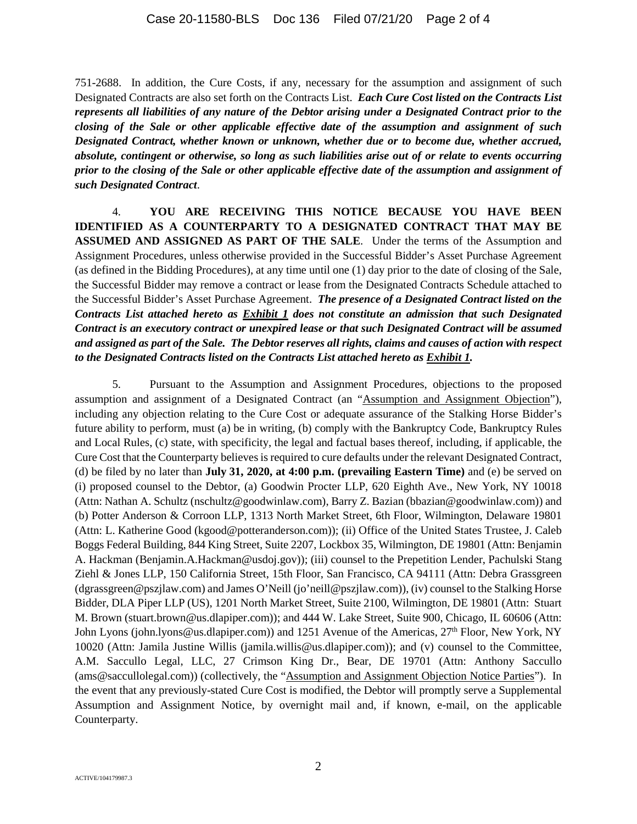751-2688. In addition, the Cure Costs, if any, necessary for the assumption and assignment of such Designated Contracts are also set forth on the Contracts List. *Each Cure Cost listed on the Contracts List represents all liabilities of any nature of the Debtor arising under a Designated Contract prior to the closing of the Sale or other applicable effective date of the assumption and assignment of such Designated Contract, whether known or unknown, whether due or to become due, whether accrued, absolute, contingent or otherwise, so long as such liabilities arise out of or relate to events occurring prior to the closing of the Sale or other applicable effective date of the assumption and assignment of such Designated Contract*.

4. **YOU ARE RECEIVING THIS NOTICE BECAUSE YOU HAVE BEEN IDENTIFIED AS A COUNTERPARTY TO A DESIGNATED CONTRACT THAT MAY BE ASSUMED AND ASSIGNED AS PART OF THE SALE**. Under the terms of the Assumption and Assignment Procedures, unless otherwise provided in the Successful Bidder's Asset Purchase Agreement (as defined in the Bidding Procedures), at any time until one (1) day prior to the date of closing of the Sale, the Successful Bidder may remove a contract or lease from the Designated Contracts Schedule attached to the Successful Bidder's Asset Purchase Agreement. *The presence of a Designated Contract listed on the Contracts List attached hereto as Exhibit 1 does not constitute an admission that such Designated Contract is an executory contract or unexpired lease or that such Designated Contract will be assumed and assigned as part of the Sale. The Debtor reserves all rights, claims and causes of action with respect to the Designated Contracts listed on the Contracts List attached hereto as Exhibit 1.* 

5. Pursuant to the Assumption and Assignment Procedures, objections to the proposed assumption and assignment of a Designated Contract (an "Assumption and Assignment Objection"), including any objection relating to the Cure Cost or adequate assurance of the Stalking Horse Bidder's future ability to perform, must (a) be in writing, (b) comply with the Bankruptcy Code, Bankruptcy Rules and Local Rules, (c) state, with specificity, the legal and factual bases thereof, including, if applicable, the Cure Cost that the Counterparty believes is required to cure defaults under the relevant Designated Contract, (d) be filed by no later than **July 31, 2020, at 4:00 p.m. (prevailing Eastern Time)** and (e) be served on (i) proposed counsel to the Debtor, (a) Goodwin Procter LLP, 620 Eighth Ave., New York, NY 10018 (Attn: Nathan A. Schultz (nschultz@goodwinlaw.com), Barry Z. Bazian (bbazian@goodwinlaw.com)) and (b) Potter Anderson & Corroon LLP, 1313 North Market Street, 6th Floor, Wilmington, Delaware 19801 (Attn: L. Katherine Good (kgood@potteranderson.com)); (ii) Office of the United States Trustee, J. Caleb Boggs Federal Building, 844 King Street, Suite 2207, Lockbox 35, Wilmington, DE 19801 (Attn: Benjamin A. Hackman (Benjamin.A.Hackman@usdoj.gov)); (iii) counsel to the Prepetition Lender, Pachulski Stang Ziehl & Jones LLP, 150 California Street, 15th Floor, San Francisco, CA 94111 (Attn: Debra Grassgreen (dgrassgreen@pszjlaw.com) and James O'Neill (jo'neill@pszjlaw.com)), (iv) counsel to the Stalking Horse Bidder, DLA Piper LLP (US), 1201 North Market Street, Suite 2100, Wilmington, DE 19801 (Attn: Stuart M. Brown (stuart.brown@us.dlapiper.com)); and 444 W. Lake Street, Suite 900, Chicago, IL 60606 (Attn: John Lyons (john.lyons@us.dlapiper.com)) and 1251 Avenue of the Americas, 27<sup>th</sup> Floor, New York, NY 10020 (Attn: Jamila Justine Willis (jamila.willis@us.dlapiper.com)); and (v) counsel to the Committee, A.M. Saccullo Legal, LLC, 27 Crimson King Dr., Bear, DE 19701 (Attn: Anthony Saccullo (ams@saccullolegal.com)) (collectively, the "Assumption and Assignment Objection Notice Parties"). In the event that any previously-stated Cure Cost is modified, the Debtor will promptly serve a Supplemental Assumption and Assignment Notice, by overnight mail and, if known, e-mail, on the applicable Counterparty.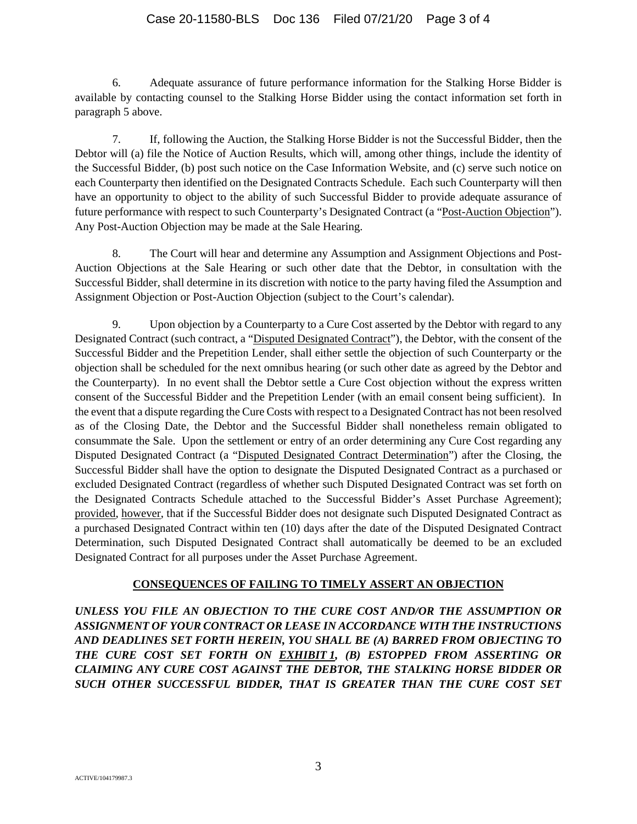### Case 20-11580-BLS Doc 136 Filed 07/21/20 Page 3 of 4

6. Adequate assurance of future performance information for the Stalking Horse Bidder is available by contacting counsel to the Stalking Horse Bidder using the contact information set forth in paragraph 5 above.

7. If, following the Auction, the Stalking Horse Bidder is not the Successful Bidder, then the Debtor will (a) file the Notice of Auction Results, which will, among other things, include the identity of the Successful Bidder, (b) post such notice on the Case Information Website, and (c) serve such notice on each Counterparty then identified on the Designated Contracts Schedule. Each such Counterparty will then have an opportunity to object to the ability of such Successful Bidder to provide adequate assurance of future performance with respect to such Counterparty's Designated Contract (a "Post-Auction Objection"). Any Post-Auction Objection may be made at the Sale Hearing.

8. The Court will hear and determine any Assumption and Assignment Objections and Post-Auction Objections at the Sale Hearing or such other date that the Debtor, in consultation with the Successful Bidder, shall determine in its discretion with notice to the party having filed the Assumption and Assignment Objection or Post-Auction Objection (subject to the Court's calendar).

9. Upon objection by a Counterparty to a Cure Cost asserted by the Debtor with regard to any Designated Contract (such contract, a "Disputed Designated Contract"), the Debtor, with the consent of the Successful Bidder and the Prepetition Lender, shall either settle the objection of such Counterparty or the objection shall be scheduled for the next omnibus hearing (or such other date as agreed by the Debtor and the Counterparty). In no event shall the Debtor settle a Cure Cost objection without the express written consent of the Successful Bidder and the Prepetition Lender (with an email consent being sufficient). In the event that a dispute regarding the Cure Costs with respect to a Designated Contract has not been resolved as of the Closing Date, the Debtor and the Successful Bidder shall nonetheless remain obligated to consummate the Sale. Upon the settlement or entry of an order determining any Cure Cost regarding any Disputed Designated Contract (a "Disputed Designated Contract Determination") after the Closing, the Successful Bidder shall have the option to designate the Disputed Designated Contract as a purchased or excluded Designated Contract (regardless of whether such Disputed Designated Contract was set forth on the Designated Contracts Schedule attached to the Successful Bidder's Asset Purchase Agreement); provided, however, that if the Successful Bidder does not designate such Disputed Designated Contract as a purchased Designated Contract within ten (10) days after the date of the Disputed Designated Contract Determination, such Disputed Designated Contract shall automatically be deemed to be an excluded Designated Contract for all purposes under the Asset Purchase Agreement.

#### **CONSEQUENCES OF FAILING TO TIMELY ASSERT AN OBJECTION**

*UNLESS YOU FILE AN OBJECTION TO THE CURE COST AND/OR THE ASSUMPTION OR ASSIGNMENT OF YOUR CONTRACT OR LEASE IN ACCORDANCE WITH THE INSTRUCTIONS AND DEADLINES SET FORTH HEREIN, YOU SHALL BE (A) BARRED FROM OBJECTING TO THE CURE COST SET FORTH ON EXHIBIT 1, (B) ESTOPPED FROM ASSERTING OR CLAIMING ANY CURE COST AGAINST THE DEBTOR, THE STALKING HORSE BIDDER OR SUCH OTHER SUCCESSFUL BIDDER, THAT IS GREATER THAN THE CURE COST SET*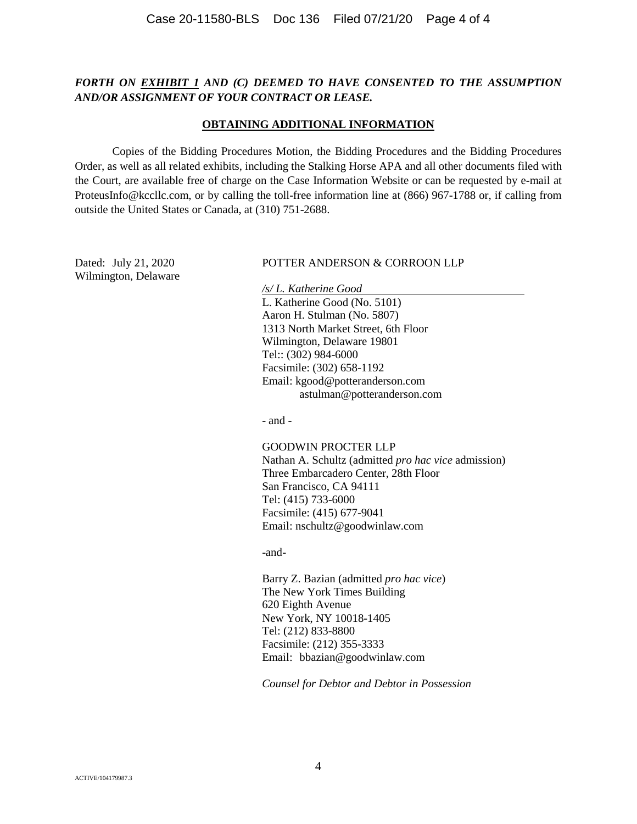### *FORTH ON EXHIBIT 1 AND (C) DEEMED TO HAVE CONSENTED TO THE ASSUMPTION AND/OR ASSIGNMENT OF YOUR CONTRACT OR LEASE.*

#### **OBTAINING ADDITIONAL INFORMATION**

Copies of the Bidding Procedures Motion, the Bidding Procedures and the Bidding Procedures Order, as well as all related exhibits, including the Stalking Horse APA and all other documents filed with the Court, are available free of charge on the Case Information Website or can be requested by e-mail at ProteusInfo@kccllc.com, or by calling the toll-free information line at (866) 967-1788 or, if calling from outside the United States or Canada, at (310) 751-2688.

Wilmington, Delaware

#### Dated: July 21, 2020 POTTER ANDERSON & CORROON LLP

*/s/ L. Katherine Good*  L. Katherine Good (No. 5101) Aaron H. Stulman (No. 5807) 1313 North Market Street, 6th Floor Wilmington, Delaware 19801 Tel:: (302) 984-6000 Facsimile: (302) 658-1192 Email: kgood@potteranderson.com astulman@potteranderson.com

- and -

### GOODWIN PROCTER LLP

Nathan A. Schultz (admitted *pro hac vice* admission) Three Embarcadero Center, 28th Floor San Francisco, CA 94111 Tel: (415) 733-6000 Facsimile: (415) 677-9041 Email: nschultz@goodwinlaw.com

-and-

Barry Z. Bazian (admitted *pro hac vice*) The New York Times Building 620 Eighth Avenue New York, NY 10018-1405 Tel: (212) 833-8800 Facsimile: (212) 355-3333 Email: bbazian@goodwinlaw.com

*Counsel for Debtor and Debtor in Possession*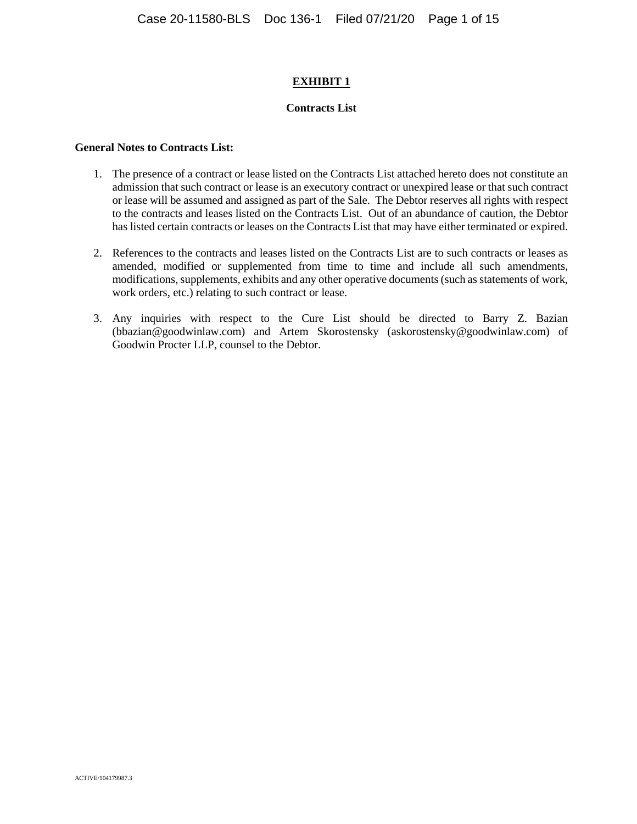#### **EXHIBIT 1**

#### **Contracts List**

#### **General Notes to Contracts List:**

- 1. The presence of a contract or lease listed on the Contracts List attached hereto does not constitute an admission that such contract or lease is an executory contract or unexpired lease or that such contract or lease will be assumed and assigned as part of the Sale. The Debtor reserves all rights with respect to the contracts and leases listed on the Contracts List. Out of an abundance of caution, the Debtor has listed certain contracts or leases on the Contracts List that may have either terminated or expired.
- 2. References to the contracts and leases listed on the Contracts List are to such contracts or leases as amended, modified or supplemented from time to time and include all such amendments, modifications, supplements, exhibits and any other operative documents (such as statements of work, work orders, etc.) relating to such contract or lease.
- 3. Any inquiries with respect to the Cure List should be directed to Barry Z. Bazian (bbazian@goodwinlaw.com) and Artem Skorostensky (askorostensky@goodwinlaw.com) of Goodwin Procter LLP, counsel to the Debtor.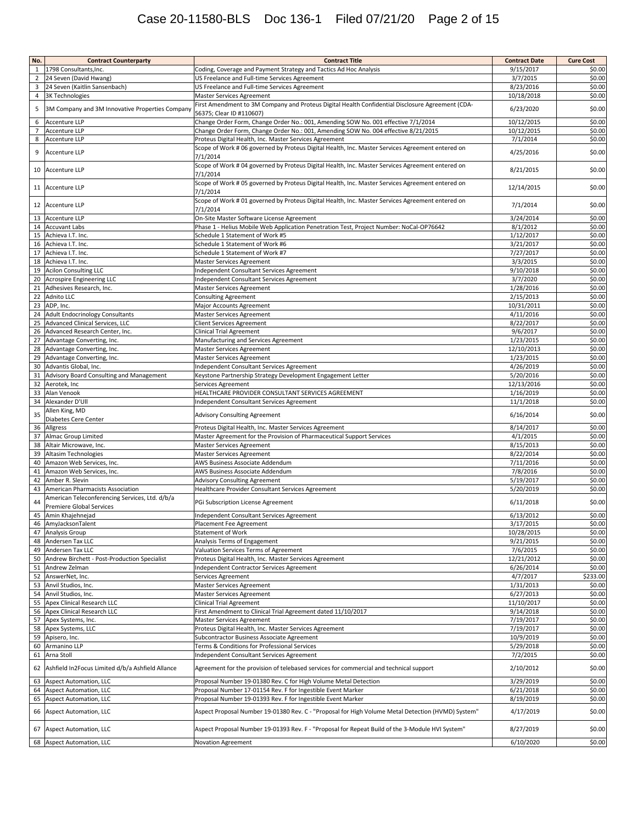# Case 20-11580-BLS Doc 136-1 Filed 07/21/20 Page 2 of 15

| No.            | <b>Contract Counterparty</b>                                                       | <b>Contract Title</b>                                                                                                        | <b>Contract Date</b>    | <b>Cure Cost</b> |
|----------------|------------------------------------------------------------------------------------|------------------------------------------------------------------------------------------------------------------------------|-------------------------|------------------|
| $\mathbf{1}$   | 1798 Consultants, Inc.                                                             | Coding, Coverage and Payment Strategy and Tactics Ad Hoc Analysis                                                            | 9/15/2017               | \$0.00           |
| $\overline{2}$ | 24 Seven (David Hwang)                                                             | US Freelance and Full-time Services Agreement                                                                                | 3/7/2015                | \$0.00           |
| 3              | 24 Seven (Kaitlin Sansenbach)                                                      | US Freelance and Full-time Services Agreement                                                                                | 8/23/2016               | \$0.00           |
| 4              | <b>3K Technologies</b>                                                             | Master Services Agreement                                                                                                    | 10/18/2018              | \$0.00           |
| 5              | 3M Company and 3M Innovative Properties Company                                    | First Amendment to 3M Company and Proteus Digital Health Confidential Disclosure Agreement (CDA-<br>56375; Clear ID #110607) | 6/23/2020               | \$0.00           |
| 6              | <b>Accenture LLP</b>                                                               | Change Order Form, Change Order No.: 001, Amending SOW No. 001 effective 7/1/2014                                            | 10/12/2015              | \$0.00           |
| $\overline{7}$ | <b>Accenture LLP</b>                                                               | Change Order Form, Change Order No.: 001, Amending SOW No. 004 effective 8/21/2015                                           | 10/12/2015              | \$0.00           |
| 8              | <b>Accenture LLP</b>                                                               | Proteus Digital Health, Inc. Master Services Agreement                                                                       | 7/1/2014                | \$0.00           |
| 9              | <b>Accenture LLP</b>                                                               | Scope of Work #06 governed by Proteus Digital Health, Inc. Master Services Agreement entered on<br>7/1/2014                  | 4/25/2016               | \$0.00           |
| 10             | Accenture LLP                                                                      | Scope of Work #04 governed by Proteus Digital Health, Inc. Master Services Agreement entered on<br>7/1/2014                  | 8/21/2015               | \$0.00           |
| 11             | Accenture LLP                                                                      | Scope of Work #05 governed by Proteus Digital Health, Inc. Master Services Agreement entered on<br>7/1/2014                  | 12/14/2015              | \$0.00           |
| 12             | <b>Accenture LLP</b>                                                               | Scope of Work #01 governed by Proteus Digital Health, Inc. Master Services Agreement entered on                              | 7/1/2014                | \$0.00           |
| 13             | Accenture LLP                                                                      | 7/1/2014<br>On-Site Master Software License Agreement                                                                        | 3/24/2014               | \$0.00           |
| 14             | <b>Accuvant Labs</b>                                                               | Phase 1 - Helius Mobile Web Application Penetration Test, Project Number: NoCal-OP76642                                      | 8/1/2012                | \$0.00           |
| 15             | Achieva I.T. Inc.                                                                  | Schedule 1 Statement of Work #5                                                                                              | 1/12/2017               | \$0.00           |
| 16             | Achieva I.T. Inc.                                                                  | Schedule 1 Statement of Work #6                                                                                              | 3/21/2017               | \$0.00           |
| 17             | Achieva I.T. Inc.                                                                  | Schedule 1 Statement of Work #7                                                                                              | 7/27/2017               | \$0.00           |
| 18             | Achieva I.T. Inc.                                                                  | Master Services Agreement                                                                                                    | 3/3/2015                | \$0.00           |
| 19             | <b>Acilon Consulting LLC</b>                                                       | Independent Consultant Services Agreement                                                                                    | 9/10/2018               | \$0.00           |
| 20             | <b>Acrospire Engineering LLC</b>                                                   | Independent Consultant Services Agreement                                                                                    | 3/7/2020                | \$0.00           |
| 21             | Adhesives Research, Inc.                                                           | Master Services Agreement                                                                                                    | 1/28/2016               | \$0.00           |
| 22             | <b>Adnito LLC</b>                                                                  | <b>Consulting Agreement</b>                                                                                                  | 2/15/2013               | \$0.00           |
| 23             | ADP, Inc.                                                                          | <b>Major Accounts Agreement</b>                                                                                              | 10/31/2011              | \$0.00           |
| 24             | <b>Adult Endocrinology Consultants</b>                                             | Master Services Agreement<br><b>Client Services Agreement</b>                                                                | 4/11/2016               | \$0.00<br>\$0.00 |
| 25<br>26       | Advanced Clinical Services, LLC                                                    |                                                                                                                              | 8/22/2017<br>9/6/2017   | \$0.00           |
| 27             | Advanced Research Center, Inc.<br>Advantage Converting, Inc.                       | <b>Clinical Trial Agreement</b>                                                                                              | 1/23/2015               | \$0.00           |
|                | Advantage Converting, Inc.                                                         | Manufacturing and Services Agreement                                                                                         |                         | \$0.00           |
| 28<br>29       |                                                                                    | Master Services Agreement<br><b>Master Services Agreement</b>                                                                | 12/10/2013<br>1/23/2015 | \$0.00           |
| 30             | Advantage Converting, Inc.<br>Advantis Global, Inc.                                | Independent Consultant Services Agreement                                                                                    | 4/26/2019               | \$0.00           |
| 31             | Advisory Board Consulting and Management                                           | Keystone Partnership Strategy Development Engagement Letter                                                                  | 5/20/2016               | \$0.00           |
| 32             | Aerotek, Inc                                                                       | Services Agreement                                                                                                           | 12/13/2016              | \$0.00           |
| 33             | Alan Venook                                                                        | HEALTHCARE PROVIDER CONSULTANT SERVICES AGREEMENT                                                                            | 1/16/2019               | \$0.00           |
| 34             | Alexander D'Ull                                                                    | Independent Consultant Services Agreement                                                                                    | 11/1/2018               | \$0.00           |
| 35             | Allen King, MD<br>Diabetes Cere Center                                             | <b>Advisory Consulting Agreement</b>                                                                                         | 6/16/2014               | \$0.00           |
| 36             | Allgress                                                                           | Proteus Digital Health, Inc. Master Services Agreement                                                                       | 8/14/2017               | \$0.00           |
| 37             | Almac Group Limited                                                                | Master Agreement for the Provision of Pharmaceutical Support Services                                                        | 4/1/2015                | \$0.00           |
| 38             | Altair Microwave, Inc.                                                             | Master Services Agreement                                                                                                    | 8/15/2013               | \$0.00           |
| 39             | Altasim Technologies                                                               | <b>Master Services Agreement</b>                                                                                             | 8/22/2014               | \$0.00           |
| 40             | Amazon Web Services, Inc.                                                          | AWS Business Associate Addendum                                                                                              | 7/11/2016               | \$0.00           |
| 41             | Amazon Web Services, Inc.                                                          | AWS Business Associate Addendum                                                                                              | 7/8/2016                | \$0.00           |
| 42             | Amber R. Slevin                                                                    | <b>Advisory Consulting Agreement</b>                                                                                         | 5/19/2017               | \$0.00           |
| 43<br>44       | American Pharmacists Association<br>American Teleconferencing Services, Ltd. d/b/a | Healthcare Provider Consultant Services Agreement<br>PGi Subscription License Agreement                                      | 5/20/2019<br>6/11/2018  | \$0.00<br>\$0.00 |
| 45             | Premiere Global Services<br>Amin Khajehnejad                                       | Independent Consultant Services Agreement                                                                                    | 6/13/2012               | \$0.00           |
|                | 46 AmyJacksonTalent                                                                | Placement Fee Agreement                                                                                                      | 3/17/2015               | \$0.00           |
| 47             | Analysis Group                                                                     | <b>Statement of Work</b>                                                                                                     | 10/28/2015              | \$0.00           |
|                | 48 Andersen Tax LLC                                                                | Analysis Terms of Engagement                                                                                                 | 9/21/2015               | \$0.00           |
| 49             | Andersen Tax LLC                                                                   | Valuation Services Terms of Agreement                                                                                        | 7/6/2015                | \$0.00           |
| 50             | Andrew Birchett - Post-Production Specialist                                       | Proteus Digital Health, Inc. Master Services Agreement                                                                       | 12/21/2012              | \$0.00           |
| 51             | Andrew Zelman                                                                      | Independent Contractor Services Agreement                                                                                    | 6/26/2014               | \$0.00           |
| 52             | AnswerNet, Inc.                                                                    | Services Agreement                                                                                                           | 4/7/2017                | \$233.00         |
| 53             | Anvil Studios, Inc.                                                                | Master Services Agreement                                                                                                    | 1/31/2013               | \$0.00           |
| 54             | Anvil Studios, Inc.                                                                | <b>Master Services Agreement</b>                                                                                             | 6/27/2013               | \$0.00           |
| 55             | <b>Apex Clinical Research LLC</b>                                                  | <b>Clinical Trial Agreement</b>                                                                                              | 11/10/2017              | \$0.00           |
| 56             | <b>Apex Clinical Research LLC</b>                                                  | First Amendment to Clinical Trial Agreement dated 11/10/2017                                                                 | 9/14/2018               | \$0.00           |
| 57             | Apex Systems, Inc.                                                                 | Master Services Agreement                                                                                                    | 7/19/2017               | \$0.00           |
| 58             | Apex Systems, LLC                                                                  | Proteus Digital Health, Inc. Master Services Agreement                                                                       | 7/19/2017               | \$0.00           |
| 59             | Apisero, Inc.                                                                      | Subcontractor Business Associate Agreement                                                                                   | 10/9/2019<br>5/29/2018  | \$0.00           |
| 60<br>61       | Armanino LLP<br>Arna Stoll                                                         | Terms & Conditions for Professional Services<br>Independent Consultant Services Agreement                                    | 7/2/2015                | \$0.00<br>\$0.00 |
| 62             | Ashfield In2Focus Limited d/b/a Ashfield Allance                                   | Agreement for the provision of telebased services for commercial and technical support                                       | 2/10/2012               | \$0.00           |
| 63             | Aspect Automation, LLC                                                             | Proposal Number 19-01380 Rev. C for High Volume Metal Detection                                                              | 3/29/2019               | \$0.00           |
| 64             | <b>Aspect Automation, LLC</b>                                                      | Proposal Number 17-01154 Rev. F for Ingestible Event Marker                                                                  | 6/21/2018               | \$0.00           |
| 65             | <b>Aspect Automation, LLC</b>                                                      | Proposal Number 19-01393 Rev. F for Ingestible Event Marker                                                                  | 8/19/2019               | \$0.00           |
| 66             | Aspect Automation, LLC                                                             | Aspect Proposal Number 19-01380 Rev. C - "Proposal for High Volume Metal Detection (HVMD) System"                            | 4/17/2019               | \$0.00           |
| 67             | <b>Aspect Automation, LLC</b>                                                      | Aspect Proposal Number 19-01393 Rev. F - "Proposal for Repeat Build of the 3-Module HVI System"                              | 8/27/2019               | \$0.00           |
|                | 68 Aspect Automation, LLC                                                          | Novation Agreement                                                                                                           | 6/10/2020               | \$0.00           |
|                |                                                                                    |                                                                                                                              |                         |                  |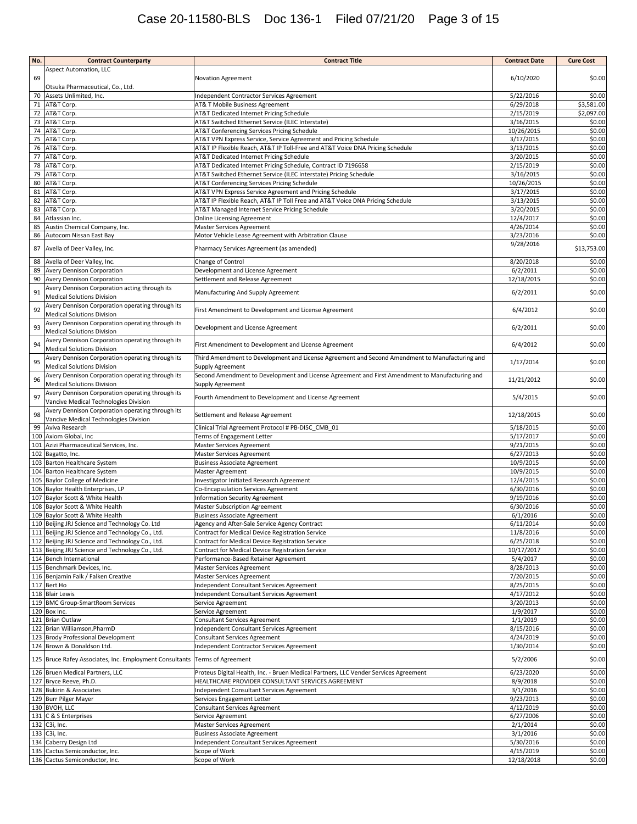# Case 20-11580-BLS Doc 136-1 Filed 07/21/20 Page 3 of 15

| No.      | <b>Contract Counterparty</b>                                                                       | <b>Contract Title</b>                                                                                              | <b>Contract Date</b>   | <b>Cure Cost</b> |
|----------|----------------------------------------------------------------------------------------------------|--------------------------------------------------------------------------------------------------------------------|------------------------|------------------|
|          | <b>Aspect Automation, LLC</b>                                                                      |                                                                                                                    |                        |                  |
| 69       |                                                                                                    | Novation Agreement                                                                                                 | 6/10/2020              | \$0.00           |
| 70       | Otsuka Pharmaceutical, Co., Ltd.<br>Assets Unlimited, Inc.                                         | Independent Contractor Services Agreement                                                                          | 5/22/2016              | \$0.00           |
| 71       | AT&T Corp.                                                                                         | AT& T Mobile Business Agreement                                                                                    | 6/29/2018              | \$3,581.00       |
|          | 72 AT&T Corp.                                                                                      | AT&T Dedicated Internet Pricing Schedule                                                                           | 2/15/2019              | \$2,097.00       |
| 73       | AT&T Corp.                                                                                         | AT&T Switched Ethernet Service (ILEC Interstate)                                                                   | 3/16/2015              | \$0.00           |
|          | 74 AT&T Corp.                                                                                      | AT&T Conferencing Services Pricing Schedule                                                                        | 10/26/2015             | \$0.00           |
| 75       | AT&T Corp.                                                                                         | AT&T VPN Express Service, Service Agreement and Pricing Schedule                                                   | 3/17/2015              | \$0.00           |
| 76       | AT&T Corp.                                                                                         | AT&T IP Flexible Reach, AT&T IP Toll-Free and AT&T Voice DNA Pricing Schedule                                      | 3/13/2015              | \$0.00           |
| 77       | AT&T Corp.                                                                                         | AT&T Dedicated Internet Pricing Schedule                                                                           | 3/20/2015              | \$0.00           |
| 78       | AT&T Corp.                                                                                         | AT&T Dedicated Internet Pricing Schedule, Contract ID 7196658                                                      | 2/15/2019<br>3/16/2015 | \$0.00           |
| 79<br>80 | AT&T Corp.<br>AT&T Corp.                                                                           | AT&T Switched Ethernet Service (ILEC Interstate) Pricing Schedule<br>AT&T Conferencing Services Pricing Schedule   | 10/26/2015             | \$0.00<br>\$0.00 |
| 81       | AT&T Corp.                                                                                         | AT&T VPN Express Service Agreement and Pricing Schedule                                                            | 3/17/2015              | \$0.00           |
| 82       | AT&T Corp.                                                                                         | AT&T IP Flexible Reach, AT&T IP Toll Free and AT&T Voice DNA Pricing Schedule                                      | 3/13/2015              | \$0.00           |
| 83       | AT&T Corp.                                                                                         | AT&T Managed Internet Service Pricing Schedule                                                                     | 3/20/2015              | \$0.00           |
| 84       | Atlassian Inc.                                                                                     | <b>Online Licensing Agreement</b>                                                                                  | 12/4/2017              | \$0.00           |
| 85       | Austin Chemical Company, Inc.                                                                      | Master Services Agreement                                                                                          | 4/26/2014              | \$0.00           |
| 86       | Autocom Nissan East Bay                                                                            | Motor Vehicle Lease Agreement with Arbitration Clause                                                              | 3/23/2016              | \$0.00           |
| 87       | Avella of Deer Valley, Inc.                                                                        | Pharmacy Services Agreement (as amended)                                                                           | 9/28/2016              | \$13,753.00      |
| 88       | Avella of Deer Valley, Inc.                                                                        | Change of Control                                                                                                  | 8/20/2018              | \$0.00           |
| 89       | Avery Dennison Corporation                                                                         | Development and License Agreement                                                                                  | 6/2/2011               | \$0.00           |
| 90       | Avery Dennison Corporation                                                                         | Settlement and Release Agreement                                                                                   | 12/18/2015             | \$0.00           |
| 91       | Avery Dennison Corporation acting through its<br><b>Medical Solutions Division</b>                 | Manufacturing And Supply Agreement                                                                                 | 6/2/2011               | \$0.00           |
| 92       | Avery Dennison Corporation operating through its<br><b>Medical Solutions Division</b>              | First Amendment to Development and License Agreement                                                               | 6/4/2012               | \$0.00           |
| 93       | Avery Dennison Corporation operating through its<br><b>Medical Solutions Division</b>              | Development and License Agreement                                                                                  | 6/2/2011               | \$0.00           |
| 94       | Avery Dennison Corporation operating through its<br><b>Medical Solutions Division</b>              | First Amendment to Development and License Agreement                                                               | 6/4/2012               | \$0.00           |
| 95       | Avery Dennison Corporation operating through its                                                   | Third Amendment to Development and License Agreement and Second Amendment to Manufacturing and                     | 1/17/2014              | \$0.00           |
| 96       | Medical Solutions Division<br>Avery Dennison Corporation operating through its                     | Supply Agreement<br>Second Amendment to Development and License Agreement and First Amendment to Manufacturing and | 11/21/2012             | \$0.00           |
| 97       | <b>Medical Solutions Division</b><br>Avery Dennison Corporation operating through its              | Supply Agreement<br>Fourth Amendment to Development and License Agreement                                          | 5/4/2015               | \$0.00           |
| 98       | Vancive Medical Technologies Division<br>Avery Dennison Corporation operating through its          | Settlement and Release Agreement                                                                                   | 12/18/2015             | \$0.00           |
|          | Vancive Medical Technologies Division                                                              |                                                                                                                    |                        |                  |
| 99       | Aviva Research<br>100 Axiom Global, Inc                                                            | Clinical Trial Agreement Protocol # PB-DISC_CMB_01<br>Terms of Engagement Letter                                   | 5/18/2015<br>5/17/2017 | \$0.00<br>\$0.00 |
|          | 101 Azizi Pharmaceutical Services, Inc.                                                            | Master Services Agreement                                                                                          | 9/21/2015              | \$0.00           |
|          | 102 Bagatto, Inc.                                                                                  | Master Services Agreement                                                                                          | 6/27/2013              | \$0.00           |
|          | 103 Barton Healthcare System                                                                       | <b>Business Associate Agreement</b>                                                                                | 10/9/2015              | \$0.00           |
|          | 104 Barton Healthcare System                                                                       | Master Agreement                                                                                                   | 10/9/2015              | \$0.00           |
|          | 105 Baylor College of Medicine                                                                     | Investigator Initiated Research Agreement                                                                          | 12/4/2015              | \$0.00           |
|          | 106 Baylor Health Enterprises, LP                                                                  | Co-Encapsulation Services Agreement                                                                                | 6/30/2016              | \$0.00           |
|          | 107 Baylor Scott & White Health                                                                    | <b>Information Security Agreement</b>                                                                              | 9/19/2016              | \$0.00           |
|          | 108 Baylor Scott & White Health                                                                    | <b>Master Subscription Agreement</b>                                                                               | 6/30/2016              | \$0.00           |
|          | 109 Baylor Scott & White Health                                                                    | <b>Business Associate Agreement</b>                                                                                | 6/1/2016               | \$0.00<br>\$0.00 |
|          | 110 Beijing JRJ Science and Technology Co. Ltd<br>111 Beijing JRJ Science and Technology Co., Ltd. | Agency and After-Sale Service Agency Contract<br>Contract for Medical Device Registration Service                  | 6/11/2014<br>11/8/2016 | \$0.00           |
|          | 112 Beijing JRJ Science and Technology Co., Ltd.                                                   | Contract for Medical Device Registration Service                                                                   | 6/25/2018              | \$0.00           |
|          | 113 Beijing JRJ Science and Technology Co., Ltd.                                                   | Contract for Medical Device Registration Service                                                                   | 10/17/2017             | \$0.00           |
|          | 114 Bench International                                                                            | Performance-Based Retainer Agreement                                                                               | 5/4/2017               | \$0.00           |
|          | 115 Benchmark Devices, Inc.                                                                        | Master Services Agreement                                                                                          | 8/28/2013              | \$0.00           |
|          | 116 Benjamin Falk / Falken Creative                                                                | Master Services Agreement                                                                                          | 7/20/2015              | \$0.00           |
|          | 117 Bert Ho                                                                                        | Independent Consultant Services Agreement                                                                          | 8/25/2015              | \$0.00           |
|          | 118 Blair Lewis<br>119 BMC Group-SmartRoom Services                                                | Independent Consultant Services Agreement                                                                          | 4/17/2012<br>3/20/2013 | \$0.00<br>\$0.00 |
|          | 120 Box Inc.                                                                                       | Service Agreement<br>Service Agreement                                                                             | 1/9/2017               | \$0.00           |
|          | 121 Brian Outlaw                                                                                   | <b>Consultant Services Agreement</b>                                                                               | 1/1/2019               | \$0.00           |
|          | 122 Brian Williamson, PharmD                                                                       | Independent Consultant Services Agreement                                                                          | 8/15/2016              | \$0.00           |
|          | 123 Brody Professional Development                                                                 | <b>Consultant Services Agreement</b>                                                                               | 4/24/2019              | \$0.00           |
|          | 124 Brown & Donaldson Ltd.                                                                         | Independent Contractor Services Agreement                                                                          | 1/30/2014              | \$0.00           |
|          | 125 Bruce Rafey Associates, Inc. Employment Consultants Terms of Agreement                         |                                                                                                                    | 5/2/2006               | \$0.00           |
|          | 126 Bruen Medical Partners, LLC                                                                    | Proteus Digital Health, Inc. - Bruen Medical Partners, LLC Vender Services Agreement                               | 6/23/2020              | \$0.00           |
|          | 127 Bryce Reeve, Ph.D.                                                                             | HEALTHCARE PROVIDER CONSULTANT SERVICES AGREEMENT                                                                  | 8/9/2018               | \$0.00           |
|          | 128 Bukirin & Associates                                                                           | Independent Consultant Services Agreement                                                                          | 3/1/2016               | \$0.00           |
|          | 129 Burr Pilger Mayer                                                                              | Services Engagement Letter                                                                                         | 9/23/2013              | \$0.00           |
|          | 130 BVOH, LLC                                                                                      | <b>Consultant Services Agreement</b>                                                                               | 4/12/2019              | \$0.00           |
|          | 131 C & S Enterprises                                                                              | Service Agreement                                                                                                  | 6/27/2006              | \$0.00<br>\$0.00 |
|          | 132 C3i, Inc.<br>133 C3i, Inc.                                                                     | Master Services Agreement<br><b>Business Associate Agreement</b>                                                   | 2/1/2014<br>3/1/2016   | \$0.00           |
|          | 134 Caberry Design Ltd                                                                             | Independent Consultant Services Agreement                                                                          | 5/30/2016              | \$0.00           |
|          | 135 Cactus Semiconductor, Inc.                                                                     | Scope of Work                                                                                                      | 4/15/2019              | \$0.00           |
|          | 136 Cactus Semiconductor, Inc.                                                                     | Scope of Work                                                                                                      | 12/18/2018             | \$0.00           |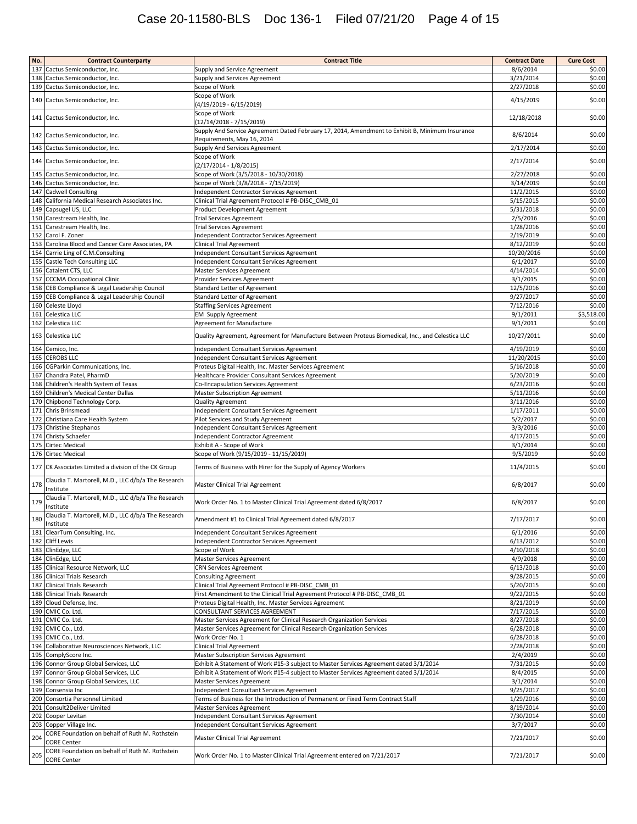| No. | <b>Contract Counterparty</b>                                    | <b>Contract Title</b>                                                                            | <b>Contract Date</b> | <b>Cure Cost</b> |
|-----|-----------------------------------------------------------------|--------------------------------------------------------------------------------------------------|----------------------|------------------|
|     | 137 Cactus Semiconductor, Inc.                                  | Supply and Service Agreement                                                                     | 8/6/2014             | \$0.00           |
|     | 138 Cactus Semiconductor, Inc.                                  | Supply and Services Agreement                                                                    | 3/21/2014            | \$0.00           |
|     | 139 Cactus Semiconductor, Inc.                                  | Scope of Work                                                                                    | 2/27/2018            | \$0.00           |
|     |                                                                 | Scope of Work                                                                                    |                      |                  |
| 140 | Cactus Semiconductor, Inc.                                      | (4/19/2019 - 6/15/2019)                                                                          | 4/15/2019            | \$0.00           |
|     |                                                                 | Scope of Work                                                                                    |                      |                  |
|     | 141 Cactus Semiconductor, Inc.                                  | (12/14/2018 - 7/15/2019)                                                                         | 12/18/2018           | \$0.00           |
|     |                                                                 | Supply And Service Agreement Dated February 17, 2014, Amendment to Exhibit B, Minimum Insurance  |                      |                  |
|     | 142 Cactus Semiconductor, Inc.                                  | Requirements, May 16, 2014                                                                       | 8/6/2014             | \$0.00           |
|     | 143 Cactus Semiconductor, Inc.                                  | Supply And Services Agreement                                                                    | 2/17/2014            | \$0.00           |
|     |                                                                 | Scope of Work                                                                                    |                      |                  |
|     | 144 Cactus Semiconductor, Inc.                                  | (2/17/2014 - 1/8/2015)                                                                           | 2/17/2014            | \$0.00           |
|     | 145 Cactus Semiconductor, Inc.                                  | Scope of Work (3/5/2018 - 10/30/2018)                                                            | 2/27/2018            | \$0.00           |
|     | 146 Cactus Semiconductor, Inc.                                  | Scope of Work (3/8/2018 - 7/15/2019)                                                             | 3/14/2019            | \$0.00           |
|     | 147 Cadwell Consulting                                          | Independent Contractor Services Agreement                                                        | 11/2/2015            | \$0.00           |
|     | 148 California Medical Research Associates Inc.                 | Clinical Trial Agreement Protocol # PB-DISC CMB 01                                               | 5/15/2015            | \$0.00           |
|     | 149 Capsugel US, LLC                                            | Product Development Agreement                                                                    | 5/31/2018            | \$0.00           |
|     | 150 Carestream Health, Inc.                                     | Trial Services Agreement                                                                         | 2/5/2016             | \$0.00           |
|     | 151 Carestream Health, Inc.                                     | <b>Trial Services Agreement</b>                                                                  | 1/28/2016            | \$0.00           |
|     | 152 Carol F. Zoner                                              | Independent Contractor Services Agreement                                                        | 2/19/2019            | \$0.00           |
|     | 153 Carolina Blood and Cancer Care Associates, PA               | <b>Clinical Trial Agreement</b>                                                                  | 8/12/2019            | \$0.00           |
|     | 154 Carrie Ling of C.M.Consulting                               | Independent Consultant Services Agreement                                                        | 10/20/2016           | \$0.00           |
|     | 155 Castle Tech Consulting LLC                                  | Independent Consultant Services Agreement                                                        | 6/1/2017             | \$0.00           |
|     | 156 Catalent CTS, LLC                                           | Master Services Agreement                                                                        | 4/14/2014            | \$0.00           |
|     | 157 CCCMA Occupational Clinic                                   | Provider Services Agreement                                                                      | 3/1/2015             | \$0.00           |
|     | 158 CEB Compliance & Legal Leadership Council                   | <b>Standard Letter of Agreement</b>                                                              | 12/5/2016            | \$0.00           |
|     | 159 CEB Compliance & Legal Leadership Council                   | Standard Letter of Agreement                                                                     | 9/27/2017            | \$0.00           |
|     |                                                                 |                                                                                                  | 7/12/2016            | \$0.00           |
|     | 160 Celeste Lloyd<br>161 Celestica LLC                          | <b>Staffing Services Agreement</b>                                                               | 9/1/2011             | \$3,518.00       |
|     |                                                                 | <b>EM Supply Agreement</b>                                                                       |                      |                  |
|     | 162 Celestica LLC                                               | <b>Agreement for Manufacture</b>                                                                 | 9/1/2011             | \$0.00           |
|     | 163 Celestica LLC                                               | Quality Agreement, Agreement for Manufacture Between Proteus Biomedical, Inc., and Celestica LLC | 10/27/2011           | \$0.00           |
|     |                                                                 |                                                                                                  |                      |                  |
|     | 164 Cemico, Inc.                                                | Independent Consultant Services Agreement                                                        | 4/19/2019            | \$0.00           |
|     | 165 CEROBS LLC                                                  | Independent Consultant Services Agreement                                                        | 11/20/2015           | \$0.00           |
|     | 166 CGParkin Communications, Inc.                               | Proteus Digital Health, Inc. Master Services Agreement                                           | 5/16/2018            | \$0.00           |
|     | 167 Chandra Patel, PharmD                                       | Healthcare Provider Consultant Services Agreement                                                | 5/20/2019            | \$0.00           |
|     | 168 Children's Health System of Texas                           | Co-Encapsulation Services Agreement                                                              | 6/23/2016            | \$0.00           |
|     | 169 Children's Medical Center Dallas                            | Master Subscription Agreement                                                                    | 5/11/2016            | \$0.00           |
|     | 170 Chipbond Technology Corp.                                   | <b>Quality Agreement</b>                                                                         | 3/11/2016            | \$0.00           |
|     | 171 Chris Brinsmead                                             | Independent Consultant Services Agreement                                                        | 1/17/2011            | \$0.00           |
|     | 172 Christiana Care Health System                               | Pilot Services and Study Agreement                                                               | 5/2/2017             | \$0.00           |
|     | 173 Christine Stephanos                                         | Independent Consultant Services Agreement                                                        | 3/3/2016             | \$0.00           |
|     | 174 Christy Schaefer                                            | Independent Contractor Agreement                                                                 | 4/17/2015            | \$0.00           |
|     | 175 Cirtec Medical                                              | Exhibit A - Scope of Work                                                                        | 3/1/2014             | \$0.00           |
|     | 176 Cirtec Medical                                              | Scope of Work (9/15/2019 - 11/15/2019)                                                           | 9/5/2019             | \$0.00           |
|     | 177 CK Associates Limited a division of the CK Group            | Terms of Business with Hirer for the Supply of Agency Workers                                    | 11/4/2015            | \$0.00           |
| 178 | Claudia T. Martorell, M.D., LLC d/b/a The Research<br>Institute | <b>Master Clinical Trial Agreement</b>                                                           | 6/8/2017             | \$0.00           |
| 179 | Claudia T. Martorell, M.D., LLC d/b/a The Research<br>Institute | Work Order No. 1 to Master Clinical Trial Agreement dated 6/8/2017                               | 6/8/2017             | \$0.00           |
| 180 | Claudia T. Martorell, M.D., LLC d/b/a The Research<br>Institute | Amendment #1 to Clinical Trial Agreement dated 6/8/2017                                          | 7/17/2017            | \$0.00           |
|     | 181 ClearTurn Consulting, Inc.                                  | Independent Consultant Services Agreement                                                        | 6/1/2016             | \$0.00           |
|     | 182 Cliff Lewis                                                 | Independent Contractor Services Agreement                                                        | 6/13/2012            | \$0.00           |
|     | 183 ClinEdge, LLC                                               | Scope of Work                                                                                    | 4/10/2018            | \$0.00           |
|     | 184 ClinEdge, LLC                                               | Master Services Agreement                                                                        | 4/9/2018             | \$0.00           |
|     | 185 Clinical Resource Network, LLC                              | <b>CRN Services Agreement</b>                                                                    | 6/13/2018            | \$0.00           |
|     | 186 Clinical Trials Research                                    | <b>Consulting Agreement</b>                                                                      | 9/28/2015            | \$0.00           |
|     | 187 Clinical Trials Research                                    | Clinical Trial Agreement Protocol # PB-DISC CMB 01                                               | 5/20/2015            | \$0.00           |
|     | 188 Clinical Trials Research                                    | First Amendment to the Clinical Trial Agreement Protocol # PB-DISC CMB 01                        | 9/22/2015            | \$0.00           |
|     | 189 Cloud Defense, Inc.                                         | Proteus Digital Health, Inc. Master Services Agreement                                           | 8/21/2019            | \$0.00           |
|     | 190 CMIC Co. Ltd.                                               | CONSULTANT SERVICES AGREEMENT                                                                    | 7/17/2015            | \$0.00           |
|     | 191 CMIC Co. Ltd.                                               | Master Services Agreement for Clinical Research Organization Services                            | 8/27/2018            | \$0.00           |
|     | 192 CMIC Co., Ltd.                                              | Master Services Agreement for Clinical Research Organization Services                            | 6/28/2018            | \$0.00           |
|     | 193 CMIC Co., Ltd.                                              | Work Order No. 1                                                                                 | 6/28/2018            | \$0.00           |
|     | 194 Collaborative Neurosciences Network, LLC                    | Clinical Trial Agreement                                                                         | 2/28/2018            | \$0.00           |
|     | 195 ComplyScore Inc.                                            | Master Subscription Services Agreement                                                           | 2/4/2019             | \$0.00           |
|     | 196 Connor Group Global Services, LLC                           | Exhibit A Statement of Work #15-3 subject to Master Services Agreement dated 3/1/2014            | 7/31/2015            | \$0.00           |
|     | 197 Connor Group Global Services, LLC                           | Exhibit A Statement of Work #15-4 subject to Master Services Agreement dated 3/1/2014            | 8/4/2015             | \$0.00           |
|     | 198 Connor Group Global Services, LLC                           | Master Services Agreement                                                                        | 3/1/2014             | \$0.00           |
|     | 199 Consensia Inc                                               | Independent Consultant Services Agreement                                                        | 9/25/2017            | \$0.00           |
|     | 200 Consortia Personnel Limited                                 | Terms of Business for the Introduction of Permanent or Fixed Term Contract Staff                 | 1/29/2016            | \$0.00           |
|     | 201 Consult2Deliver Limited                                     | Master Services Agreement                                                                        | 8/19/2014            | \$0.00           |
|     | 202 Cooper Levitan                                              | Independent Consultant Services Agreement                                                        | 7/30/2014            | \$0.00           |
|     | 203 Copper Village Inc.                                         | Independent Consultant Services Agreement                                                        | 3/7/2017             | \$0.00           |
|     | CORE Foundation on behalf of Ruth M. Rothstein                  |                                                                                                  |                      |                  |
| 204 | <b>CORE Center</b>                                              | <b>Master Clinical Trial Agreement</b>                                                           | 7/21/2017            | \$0.00           |
|     | CORE Foundation on behalf of Ruth M. Rothstein                  |                                                                                                  |                      |                  |
| 205 | <b>CORE Center</b>                                              | Work Order No. 1 to Master Clinical Trial Agreement entered on 7/21/2017                         | 7/21/2017            | \$0.00           |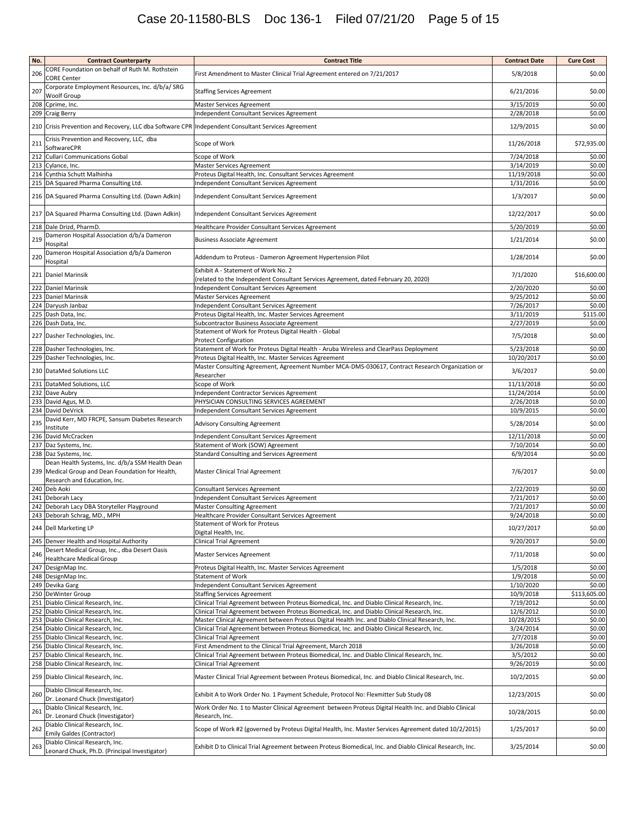# Case 20-11580-BLS Doc 136-1 Filed 07/21/20 Page 5 of 15

| No.        | <b>Contract Counterparty</b>                                                                                          | <b>Contract Title</b>                                                                                                                                     | <b>Contract Date</b>   | <b>Cure Cost</b> |
|------------|-----------------------------------------------------------------------------------------------------------------------|-----------------------------------------------------------------------------------------------------------------------------------------------------------|------------------------|------------------|
| 206        | CORE Foundation on behalf of Ruth M. Rothstein<br><b>CORE Center</b>                                                  | First Amendment to Master Clinical Trial Agreement entered on 7/21/2017                                                                                   | 5/8/2018               | \$0.00           |
| 207        | Corporate Employment Resources, Inc. d/b/a/ SRG<br>Woolf Group                                                        | <b>Staffing Services Agreement</b>                                                                                                                        | 6/21/2016              | \$0.00           |
|            | 208 Cprime, Inc.                                                                                                      | Master Services Agreement                                                                                                                                 | 3/15/2019              | \$0.00           |
|            | 209 Craig Berry<br>210 Crisis Prevention and Recovery, LLC dba Software CPR Independent Consultant Services Agreement | Independent Consultant Services Agreement                                                                                                                 | 2/28/2018<br>12/9/2015 | \$0.00<br>\$0.00 |
| 211        | Crisis Prevention and Recovery, LLC, dba                                                                              | Scope of Work                                                                                                                                             | 11/26/2018             | \$72,935.00      |
|            | SoftwareCPR<br><b>Cullari Communications Gobal</b>                                                                    | Scope of Work                                                                                                                                             | 7/24/2018              | \$0.00           |
| 212<br>213 | Cylance, Inc.                                                                                                         | Master Services Agreement                                                                                                                                 | 3/14/2019              | \$0.00           |
|            | 214 Cynthia Schutt Malhinha                                                                                           | Proteus Digital Health, Inc. Consultant Services Agreement                                                                                                | 11/19/2018             | \$0.00           |
|            | 215 DA Squared Pharma Consulting Ltd.                                                                                 | Independent Consultant Services Agreement                                                                                                                 | 1/31/2016              | \$0.00           |
|            | 216 DA Squared Pharma Consulting Ltd. (Dawn Adkin)                                                                    | Independent Consultant Services Agreement                                                                                                                 | 1/3/2017               | \$0.00           |
|            | 217 DA Squared Pharma Consulting Ltd. (Dawn Adkin)                                                                    | Independent Consultant Services Agreement                                                                                                                 | 12/22/2017             | \$0.00           |
|            | 218 Dale Drizd, PharmD.                                                                                               | Healthcare Provider Consultant Services Agreement                                                                                                         | 5/20/2019              | \$0.00           |
| 219        | Dameron Hospital Association d/b/a Dameron<br>Hospital                                                                | <b>Business Associate Agreement</b>                                                                                                                       | 1/21/2014              | \$0.00           |
| 220        | Dameron Hospital Association d/b/a Dameron<br>Hospital                                                                | Addendum to Proteus - Dameron Agreement Hypertension Pilot                                                                                                | 1/28/2014              | \$0.00           |
|            | 221 Daniel Marinsik                                                                                                   | Exhibit A - Statement of Work No. 2<br>(related to the Independent Consultant Services Agreement, dated February 20, 2020)                                | 7/1/2020               | \$16,600.00      |
| 222<br>223 | <b>Daniel Marinsik</b><br><b>Daniel Marinsik</b>                                                                      | Independent Consultant Services Agreement<br>Master Services Agreement                                                                                    | 2/20/2020<br>9/25/2012 | \$0.00<br>\$0.00 |
|            | 224 Daryush Janbaz                                                                                                    | Independent Consultant Services Agreement                                                                                                                 | 7/26/2017              | \$0.00           |
|            | 225 Dash Data, Inc.                                                                                                   | Proteus Digital Health, Inc. Master Services Agreement                                                                                                    | 3/11/2019              | \$115.00         |
|            | 226 Dash Data, Inc.                                                                                                   | Subcontractor Business Associate Agreement                                                                                                                | 2/27/2019              | \$0.00           |
|            | 227 Dasher Technologies, Inc.                                                                                         | Statement of Work for Proteus Digital Health - Global<br><b>Protect Configuration</b>                                                                     | 7/5/2018               | \$0.00           |
|            | 228 Dasher Technologies, Inc.                                                                                         | Statement of Work for Proteus Digital Health - Aruba Wireless and ClearPass Deployment                                                                    | 5/23/2018              | \$0.00           |
|            | 229 Dasher Technologies, Inc.<br>230 DataMed Solutions LLC                                                            | Proteus Digital Health, Inc. Master Services Agreement<br>Master Consulting Agreement, Agreement Number MCA-DMS-030617, Contract Research Organization or | 10/20/2017<br>3/6/2017 | \$0.00<br>\$0.00 |
| 231        | DataMed Solutions, LLC                                                                                                | Researcher<br>Scope of Work                                                                                                                               | 11/13/2018             | \$0.00           |
|            | 232 Dave Aubry                                                                                                        | Independent Contractor Services Agreement                                                                                                                 | 11/24/2014             | \$0.00           |
|            | 233 David Agus, M.D.                                                                                                  | PHYSICIAN CONSULTING SERVICES AGREEMENT                                                                                                                   | 2/26/2018              | \$0.00           |
|            | 234 David DeVrick                                                                                                     | Independent Consultant Services Agreement                                                                                                                 | 10/9/2015              | \$0.00           |
| 235        | David Kerr, MD FRCPE, Sansum Diabetes Research<br>Institute                                                           | <b>Advisory Consulting Agreement</b>                                                                                                                      | 5/28/2014              | \$0.00           |
|            | 236 David McCracken                                                                                                   | Independent Consultant Services Agreement                                                                                                                 | 12/11/2018             | \$0.00           |
|            | 237 Daz Systems, Inc.                                                                                                 | Statement of Work (SOW) Agreement                                                                                                                         | 7/10/2014              | \$0.00           |
|            | 238 Daz Systems, Inc.<br>Dean Health Systems, Inc. d/b/a SSM Health Dean                                              | <b>Standard Consulting and Services Agreement</b>                                                                                                         | 6/9/2014               | \$0.00           |
| 239        | Medical Group and Dean Foundation for Health,<br>Research and Education, Inc.                                         | Master Clinical Trial Agreement                                                                                                                           | 7/6/2017               | \$0.00           |
|            | 240 Deb Aoki                                                                                                          | <b>Consultant Services Agreement</b>                                                                                                                      | 2/22/2019              | \$0.00           |
|            | 241 Deborah Lacy                                                                                                      | Independent Consultant Services Agreement                                                                                                                 | 7/21/2017              | \$0.00           |
| 242        | Deborah Lacy DBA Storyteller Playground                                                                               | <b>Master Consulting Agreement</b>                                                                                                                        | 7/21/2017              | \$0.00           |
|            | 243 Deborah Schrag, MD., MPH                                                                                          | Healthcare Provider Consultant Services Agreement<br>Statement of Work for Proteus                                                                        | 9/24/2018              | \$0.00           |
|            | 244 Dell Marketing LP                                                                                                 | Digital Health, Inc.                                                                                                                                      | 10/27/2017             | \$0.00           |
|            | 245 Denver Health and Hospital Authority<br>Desert Medical Group, Inc., dba Desert Oasis                              | Clinical Trial Agreement                                                                                                                                  | 9/20/2017              | \$0.00           |
| 246        | <b>Healthcare Medical Group</b>                                                                                       | <b>Master Services Agreement</b>                                                                                                                          | 7/11/2018              | \$0.00           |
|            | 247 DesignMap Inc.                                                                                                    | Proteus Digital Health, Inc. Master Services Agreement                                                                                                    | 1/5/2018               | \$0.00           |
|            | 248 DesignMap Inc.<br>249 Devika Garg                                                                                 | <b>Statement of Work</b><br>Independent Consultant Services Agreement                                                                                     | 1/9/2018<br>1/10/2020  | \$0.00<br>\$0.00 |
|            | 250 DeWinter Group                                                                                                    | <b>Staffing Services Agreement</b>                                                                                                                        | 10/9/2018              | \$113,605.00     |
|            | 251 Diablo Clinical Research, Inc.                                                                                    | Clinical Trial Agreement between Proteus Biomedical, Inc. and Diablo Clinical Research, Inc.                                                              | 7/19/2012              | \$0.00           |
|            | 252 Diablo Clinical Research, Inc.                                                                                    | Clinical Trial Agreement between Proteus Biomedical, Inc. and Diablo Clinical Research, Inc.                                                              | 12/6/2012              | \$0.00           |
|            | 253 Diablo Clinical Research, Inc.                                                                                    | Master Clinical Agreement between Proteus Digital Health Inc. and Diablo Clinical Research, Inc.                                                          | 10/28/2015             | \$0.00           |
|            | 254 Diablo Clinical Research, Inc.<br>255 Diablo Clinical Research, Inc.                                              | Clinical Trial Agreement between Proteus Biomedical, Inc. and Diablo Clinical Research, Inc.<br><b>Clinical Trial Agreement</b>                           | 3/24/2014<br>2/7/2018  | \$0.00<br>\$0.00 |
|            | 256 Diablo Clinical Research, Inc.                                                                                    | First Amendment to the Clinical Trial Agreement, March 2018                                                                                               | 3/26/2018              | \$0.00           |
|            | 257 Diablo Clinical Research, Inc.                                                                                    | Clinical Trial Agreement between Proteus Biomedical, Inc. and Diablo Clinical Research, Inc.                                                              | 3/5/2012               | \$0.00           |
|            | 258 Diablo Clinical Research, Inc.                                                                                    | <b>Clinical Trial Agreement</b>                                                                                                                           | 9/26/2019              | \$0.00           |
|            | 259 Diablo Clinical Research, Inc.                                                                                    | Master Clinical Trial Agreement between Proteus Biomedical, Inc. and Diablo Clinical Research, Inc.                                                       | 10/2/2015              | \$0.00           |
| 260        | Diablo Clinical Research, Inc.<br>Dr. Leonard Chuck (Investigator)                                                    | Exhibit A to Work Order No. 1 Payment Schedule, Protocol No: Flexmitter Sub Study 08                                                                      | 12/23/2015             | \$0.00           |
| 261        | Diablo Clinical Research, Inc.<br>Dr. Leonard Chuck (Investigator)                                                    | Work Order No. 1 to Master Clinical Agreement between Proteus Digital Health Inc. and Diablo Clinical<br>Research, Inc.                                   | 10/28/2015             | \$0.00           |
| 262        | Diablo Clinical Research, Inc.<br>Emily Galdes (Contractor)                                                           | Scope of Work #2 (governed by Proteus Digital Health, Inc. Master Services Agreement dated 10/2/2015)                                                     | 1/25/2017              | \$0.00           |
| 263        | Diablo Clinical Research, Inc.<br>Leonard Chuck, Ph.D. (Principal Investigator)                                       | Exhibit D to Clinical Trial Agreement between Proteus Biomedical, Inc. and Diablo Clinical Research, Inc.                                                 | 3/25/2014              | \$0.00           |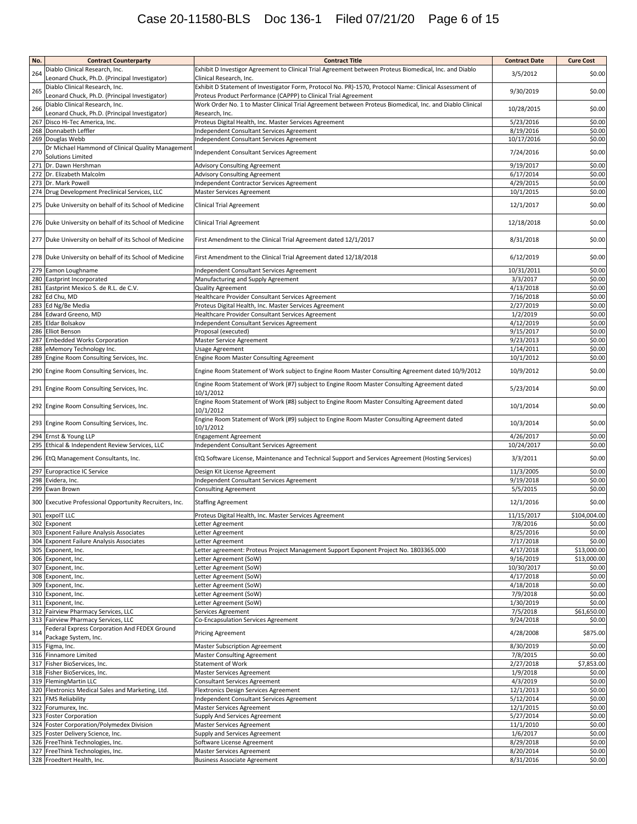| No. | <b>Contract Counterparty</b>                                                    | <b>Contract Title</b>                                                                                                      | <b>Contract Date</b>   | <b>Cure Cost</b> |
|-----|---------------------------------------------------------------------------------|----------------------------------------------------------------------------------------------------------------------------|------------------------|------------------|
|     | Diablo Clinical Research, Inc.                                                  | Exhibit D Investigor Agreement to Clinical Trial Agreement between Proteus Biomedical, Inc. and Diablo                     | 3/5/2012               |                  |
| 264 | Leonard Chuck, Ph.D. (Principal Investigator)                                   | Clinical Research, Inc.                                                                                                    |                        | \$0.00           |
| 265 | Diablo Clinical Research, Inc.                                                  | Exhibit D Statement of Investigator Form, Protocol No. PR)-1570, Protocol Name: Clinical Assessment of                     | 9/30/2019              | \$0.00           |
|     | Leonard Chuck, Ph.D. (Principal Investigator)                                   | Proteus Product Performance (CAPPP) to Clinical Trial Agreement                                                            |                        |                  |
| 266 | Diablo Clinical Research, Inc.                                                  | Work Order No. 1 to Master Clinical Trial Agreement between Proteus Biomedical, Inc. and Diablo Clinical<br>Research, Inc. | 10/28/2015             | \$0.00           |
|     | Leonard Chuck, Ph.D. (Principal Investigator)<br>267 Disco Hi-Tec America, Inc. | Proteus Digital Health, Inc. Master Services Agreement                                                                     | 5/23/2016              | \$0.00           |
|     | 268 Donnabeth Leffler                                                           | Independent Consultant Services Agreement                                                                                  | 8/19/2016              | \$0.00           |
|     | 269 Douglas Webb                                                                | Independent Consultant Services Agreement                                                                                  | 10/17/2016             | \$0.00           |
|     | Dr Michael Hammond of Clinical Quality Management                               |                                                                                                                            |                        |                  |
| 270 | <b>Solutions Limited</b>                                                        | Independent Consultant Services Agreement                                                                                  | 7/24/2016              | \$0.00           |
|     | 271 Dr. Dawn Hershman                                                           | <b>Advisory Consulting Agreement</b>                                                                                       | 9/19/2017              | \$0.00           |
|     | 272 Dr. Elizabeth Malcolm                                                       | Advisory Consulting Agreement                                                                                              | 6/17/2014              | \$0.00           |
|     | 273 Dr. Mark Powell                                                             | Independent Contractor Services Agreement                                                                                  | 4/29/2015              | \$0.00           |
|     | 274 Drug Development Preclinical Services, LLC                                  | Master Services Agreement                                                                                                  | 10/1/2015              | \$0.00           |
|     | 275 Duke University on behalf of its School of Medicine                         | <b>Clinical Trial Agreement</b>                                                                                            | 12/1/2017              | \$0.00           |
|     | 276 Duke University on behalf of its School of Medicine                         | Clinical Trial Agreement                                                                                                   | 12/18/2018             | \$0.00           |
|     | 277 Duke University on behalf of its School of Medicine                         | First Amendment to the Clinical Trial Agreement dated 12/1/2017                                                            | 8/31/2018              | \$0.00           |
|     | 278 Duke University on behalf of its School of Medicine                         | First Amendment to the Clinical Trial Agreement dated 12/18/2018                                                           | 6/12/2019              | \$0.00           |
|     | 279 Eamon Loughname                                                             | Independent Consultant Services Agreement                                                                                  | 10/31/2011             | \$0.00           |
| 280 | Eastprint Incorporated                                                          | Manufacturing and Supply Agreement                                                                                         | 3/3/2017               | \$0.00           |
| 281 | Eastprint Mexico S. de R.L. de C.V.                                             | <b>Quality Agreement</b>                                                                                                   | 4/13/2018              | \$0.00           |
|     | 282 Ed Chu, MD                                                                  | Healthcare Provider Consultant Services Agreement                                                                          | 7/16/2018              | \$0.00           |
|     | 283 Ed Ng/Be Media                                                              | Proteus Digital Health, Inc. Master Services Agreement                                                                     | 2/27/2019              | \$0.00           |
|     | 284 Edward Greeno, MD                                                           | Healthcare Provider Consultant Services Agreement                                                                          | 1/2/2019               | \$0.00           |
| 285 | Eldar Bolsakov                                                                  | Independent Consultant Services Agreement                                                                                  | 4/12/2019              | \$0.00           |
|     | 286 Elliot Benson<br>287 Embedded Works Corporation                             | Proposal (executed)<br>Master Service Agreement                                                                            | 9/15/2017<br>9/23/2013 | \$0.00<br>\$0.00 |
|     | 288 eMemory Technology Inc.                                                     | Usage Agreement                                                                                                            | 1/14/2011              | \$0.00           |
|     | 289 Engine Room Consulting Services, Inc.                                       | Engine Room Master Consulting Agreement                                                                                    | 10/1/2012              | \$0.00           |
|     | 290 Engine Room Consulting Services, Inc.                                       | Engine Room Statement of Work subject to Engine Room Master Consulting Agreement dated 10/9/2012                           | 10/9/2012              | \$0.00           |
|     | 291 Engine Room Consulting Services, Inc.                                       | Engine Room Statement of Work (#7) subject to Engine Room Master Consulting Agreement dated                                | 5/23/2014              | \$0.00           |
|     | 292 Engine Room Consulting Services, Inc.                                       | 10/1/2012<br>Engine Room Statement of Work (#8) subject to Engine Room Master Consulting Agreement dated                   | 10/1/2014              | \$0.00           |
|     |                                                                                 | 10/1/2012<br>Engine Room Statement of Work (#9) subject to Engine Room Master Consulting Agreement dated                   |                        | \$0.00           |
|     | 293 Engine Room Consulting Services, Inc.<br>294 Ernst & Young LLP              | 10/1/2012<br><b>Engagement Agreement</b>                                                                                   | 10/3/2014<br>4/26/2017 | \$0.00           |
|     | 295 Ethical & Independent Review Services, LLC                                  | Independent Consultant Services Agreement                                                                                  | 10/24/2017             | \$0.00           |
|     | 296 EtQ Management Consultants, Inc.                                            | EtQ Software License, Maintenance and Technical Support and Services Agreement (Hosting Services)                          | 3/3/2011               | \$0.00           |
|     | 297 Europractice IC Service                                                     | Design Kit License Agreement                                                                                               | 11/3/2005              | \$0.00           |
|     | 298 Evidera, Inc.                                                               | Independent Consultant Services Agreement                                                                                  | 9/19/2018              | \$0.00           |
|     | 299 Ewan Brown                                                                  | <b>Consulting Agreement</b>                                                                                                | 5/5/2015               | \$0.00           |
|     | 300 Executive Professional Opportunity Recruiters, Inc.                         | <b>Staffing Agreement</b>                                                                                                  | 12/1/2016              | \$0.00           |
|     | 301 expoIT LLC                                                                  | Proteus Digital Health, Inc. Master Services Agreement                                                                     | 11/15/2017             | \$104,004.00     |
|     | 302 Exponent                                                                    | Letter Agreement                                                                                                           | 7/8/2016               | \$0.00           |
|     | 303 Exponent Failure Analysis Associates                                        | Letter Agreement                                                                                                           | 8/25/2016              | \$0.00           |
|     | 304 Exponent Failure Analysis Associates                                        | etter Agreement                                                                                                            | 7/17/2018              | \$0.00           |
|     | 305 Exponent, Inc.                                                              | etter agreement: Proteus Project Management Support Exponent Project No. 1803365.000                                       | 4/17/2018              | \$13,000.00      |
|     | 306 Exponent, Inc.                                                              | Letter Agreement (SoW)                                                                                                     | 9/16/2019              | \$13,000.00      |
|     | 307 Exponent, Inc.                                                              | Letter Agreement (SoW)                                                                                                     | 10/30/2017             | \$0.00           |
|     | 308 Exponent, Inc.                                                              | Letter Agreement (SoW)                                                                                                     | 4/17/2018              | \$0.00           |
|     | 309 Exponent, Inc.                                                              | Letter Agreement (SoW)                                                                                                     | 4/18/2018              | \$0.00           |
|     | 310 Exponent, Inc.<br>311 Exponent, Inc.                                        | Letter Agreement (SoW)<br>Letter Agreement (SoW)                                                                           | 7/9/2018<br>1/30/2019  | \$0.00<br>\$0.00 |
|     | 312 Fairview Pharmacy Services, LLC                                             | Services Agreement                                                                                                         | 7/5/2018               | \$61,650.00      |
|     | 313 Fairview Pharmacy Services, LLC                                             | Co-Encapsulation Services Agreement                                                                                        | 9/24/2018              | \$0.00           |
| 314 | Federal Express Corporation And FEDEX Ground                                    | <b>Pricing Agreement</b>                                                                                                   | 4/28/2008              | \$875.00         |
|     | Package System, Inc.<br>315 Figma, Inc.                                         | <b>Master Subscription Agreement</b>                                                                                       | 8/30/2019              | \$0.00           |
|     | 316 Finnamore Limited                                                           | <b>Master Consulting Agreement</b>                                                                                         | 7/8/2015               | \$0.00           |
|     | 317 Fisher BioServices, Inc.                                                    | <b>Statement of Work</b>                                                                                                   | 2/27/2018              | \$7,853.00       |
|     | 318 Fisher BioServices, Inc.                                                    | Master Services Agreement                                                                                                  | 1/9/2018               | \$0.00           |
|     | 319 FlemingMartin LLC                                                           | Consultant Services Agreement                                                                                              | 4/3/2019               | \$0.00           |
|     | 320 Flextronics Medical Sales and Marketing, Ltd.                               | Flextronics Design Services Agreement                                                                                      | 12/1/2013              | \$0.00           |
|     | 321 FMS Reliability<br>322 Forumurex, Inc.                                      | Independent Consultant Services Agreement                                                                                  | 5/12/2014              | \$0.00<br>\$0.00 |
|     | 323 Foster Corporation                                                          | Master Services Agreement<br>Supply And Services Agreement                                                                 | 12/1/2015<br>5/27/2014 | \$0.00           |
|     | 324 Foster Corporation/Polymedex Division                                       | <b>Master Services Agreement</b>                                                                                           | 11/1/2010              | \$0.00           |
|     | 325 Foster Delivery Science, Inc.                                               | Supply and Services Agreement                                                                                              | 1/6/2017               | \$0.00           |
|     | 326 FreeThink Technologies, Inc.                                                | Software License Agreement                                                                                                 | 8/29/2018              | \$0.00           |
|     | 327 FreeThink Technologies, Inc.                                                | <b>Master Services Agreement</b>                                                                                           | 8/20/2014              | \$0.00           |
|     | 328 Froedtert Health, Inc.                                                      | <b>Business Associate Agreement</b>                                                                                        | 8/31/2016              | \$0.00           |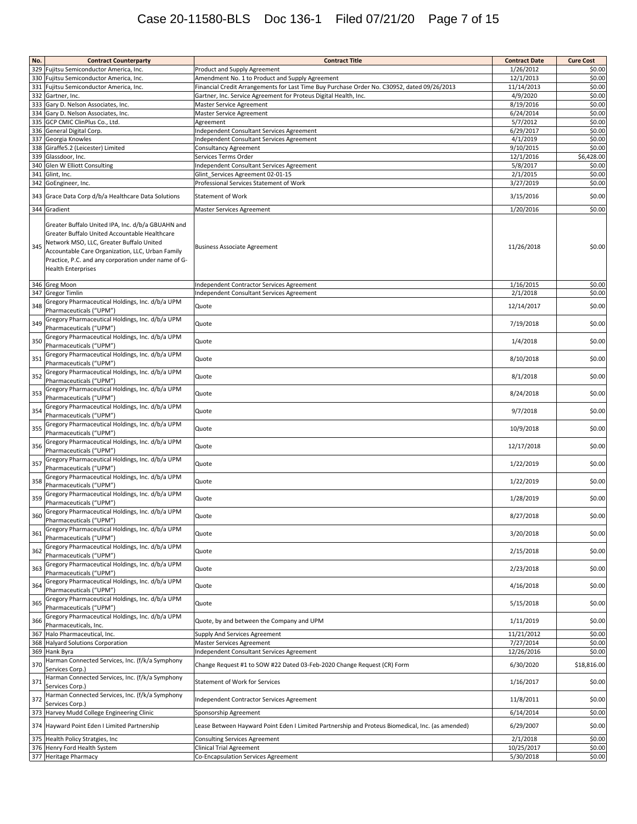| No. | <b>Contract Counterparty</b>                                                                                                                                                                                                                                                           | <b>Contract Title</b>                                                                                                                          | <b>Contract Date</b>    | <b>Cure Cost</b> |
|-----|----------------------------------------------------------------------------------------------------------------------------------------------------------------------------------------------------------------------------------------------------------------------------------------|------------------------------------------------------------------------------------------------------------------------------------------------|-------------------------|------------------|
|     | 329 Fujitsu Semiconductor America, Inc.                                                                                                                                                                                                                                                | Product and Supply Agreement                                                                                                                   | 1/26/2012               | \$0.00           |
|     | 330 Fujitsu Semiconductor America, Inc.<br>331 Fujitsu Semiconductor America, Inc.                                                                                                                                                                                                     | Amendment No. 1 to Product and Supply Agreement<br>Financial Credit Arrangements for Last Time Buy Purchase Order No. C30952, dated 09/26/2013 | 12/1/2013<br>11/14/2013 | \$0.00<br>\$0.00 |
|     | 332 Gartner, Inc.                                                                                                                                                                                                                                                                      | Gartner, Inc. Service Agreement for Proteus Digital Health, Inc.                                                                               | 4/9/2020                | \$0.00           |
|     | 333 Gary D. Nelson Associates, Inc.                                                                                                                                                                                                                                                    | Master Service Agreement                                                                                                                       | 8/19/2016               | \$0.00           |
|     | 334 Gary D. Nelson Associates, Inc.                                                                                                                                                                                                                                                    | Master Service Agreement                                                                                                                       | 6/24/2014               | \$0.00           |
| 335 | GCP CMIC ClinPlus Co., Ltd.<br>336 General Digital Corp.                                                                                                                                                                                                                               | Agreement<br>Independent Consultant Services Agreement                                                                                         | 5/7/2012<br>6/29/2017   | \$0.00<br>\$0.00 |
|     | 337 Georgia Knowles                                                                                                                                                                                                                                                                    | Independent Consultant Services Agreement                                                                                                      | 4/1/2019                | \$0.00           |
|     | 338 Giraffe5.2 (Leicester) Limited                                                                                                                                                                                                                                                     | Consultancy Agreement                                                                                                                          | 9/10/2015               | \$0.00           |
|     | 339 Glassdoor, Inc.                                                                                                                                                                                                                                                                    | Services Terms Order                                                                                                                           | 12/1/2016<br>5/8/2017   | \$6,428.00       |
|     | 340 Glen W Elliott Consulting<br>341 Glint, Inc.                                                                                                                                                                                                                                       | Independent Consultant Services Agreement<br>Glint Services Agreement 02-01-15                                                                 | 2/1/2015                | \$0.00<br>\$0.00 |
|     | 342 GoEngineer, Inc.                                                                                                                                                                                                                                                                   | Professional Services Statement of Work                                                                                                        | 3/27/2019               | \$0.00           |
|     | 343 Grace Data Corp d/b/a Healthcare Data Solutions                                                                                                                                                                                                                                    | <b>Statement of Work</b>                                                                                                                       | 3/15/2016               | \$0.00           |
|     | 344 Gradient                                                                                                                                                                                                                                                                           | Master Services Agreement                                                                                                                      | 1/20/2016               | \$0.00           |
| 345 | Greater Buffalo United IPA, Inc. d/b/a GBUAHN and<br>Greater Buffalo United Accountable Healthcare<br>Network MSO, LLC, Greater Buffalo United<br>Accountable Care Organization, LLC, Urban Family<br>Practice, P.C. and any corporation under name of G-<br><b>Health Enterprises</b> | <b>Business Associate Agreement</b>                                                                                                            | 11/26/2018              | \$0.00           |
|     | 346 Greg Moon                                                                                                                                                                                                                                                                          | Independent Contractor Services Agreement                                                                                                      | 1/16/2015               | \$0.00           |
|     | 347 Gregor Timlin<br>Gregory Pharmaceutical Holdings, Inc. d/b/a UPM                                                                                                                                                                                                                   | Independent Consultant Services Agreement                                                                                                      | 2/1/2018                | \$0.00           |
| 348 | Pharmaceuticals ("UPM")<br>Gregory Pharmaceutical Holdings, Inc. d/b/a UPM                                                                                                                                                                                                             | Quote                                                                                                                                          | 12/14/2017              | \$0.00           |
| 349 | Pharmaceuticals ("UPM")<br>Gregory Pharmaceutical Holdings, Inc. d/b/a UPM                                                                                                                                                                                                             | Quote                                                                                                                                          | 7/19/2018               | \$0.00           |
| 350 | Pharmaceuticals ("UPM")                                                                                                                                                                                                                                                                | Quote                                                                                                                                          | 1/4/2018                | \$0.00           |
| 351 | Gregory Pharmaceutical Holdings, Inc. d/b/a UPM<br>Pharmaceuticals ("UPM")                                                                                                                                                                                                             | Quote                                                                                                                                          | 8/10/2018               | \$0.00           |
| 352 | Gregory Pharmaceutical Holdings, Inc. d/b/a UPM<br>Pharmaceuticals ("UPM")                                                                                                                                                                                                             | Quote                                                                                                                                          | 8/1/2018                | \$0.00           |
| 353 | Gregory Pharmaceutical Holdings, Inc. d/b/a UPM<br>Pharmaceuticals ("UPM")                                                                                                                                                                                                             | Quote                                                                                                                                          | 8/24/2018               | \$0.00           |
| 354 | Gregory Pharmaceutical Holdings, Inc. d/b/a UPM<br>Pharmaceuticals ("UPM")                                                                                                                                                                                                             | Quote                                                                                                                                          | 9/7/2018                | \$0.00           |
| 355 | Gregory Pharmaceutical Holdings, Inc. d/b/a UPM<br>Pharmaceuticals ("UPM")                                                                                                                                                                                                             | Quote                                                                                                                                          | 10/9/2018               | \$0.00           |
| 356 | Gregory Pharmaceutical Holdings, Inc. d/b/a UPM<br>Pharmaceuticals ("UPM")                                                                                                                                                                                                             | Quote                                                                                                                                          | 12/17/2018              | \$0.00           |
| 357 | Gregory Pharmaceutical Holdings, Inc. d/b/a UPM<br>Pharmaceuticals ("UPM")                                                                                                                                                                                                             | Quote                                                                                                                                          | 1/22/2019               | \$0.00           |
| 358 | Gregory Pharmaceutical Holdings, Inc. d/b/a UPM<br>Pharmaceuticals ("UPM")                                                                                                                                                                                                             | Quote                                                                                                                                          | 1/22/2019               | \$0.00           |
| 359 | Gregory Pharmaceutical Holdings, Inc. d/b/a UPM<br>Pharmaceuticals ("UPM")                                                                                                                                                                                                             | Quote                                                                                                                                          | 1/28/2019               | \$0.00           |
| 360 | Gregory Pharmaceutical Holdings, Inc. d/b/a UPM<br>Pharmaceuticals ("UPM")                                                                                                                                                                                                             | Quote                                                                                                                                          | 8/27/2018               | \$0.00           |
| 361 | Gregory Pharmaceutical Holdings, Inc. d/b/a UPM<br>Pharmaceuticals ("UPM")                                                                                                                                                                                                             | Quote                                                                                                                                          | 3/20/2018               | \$0.00           |
| 362 | Gregory Pharmaceutical Holdings, Inc. d/b/a UPM<br>Pharmaceuticals ("UPM")                                                                                                                                                                                                             | Quote                                                                                                                                          | 2/15/2018               | \$0.00           |
| 363 | Gregory Pharmaceutical Holdings, Inc. d/b/a UPM<br>Pharmaceuticals ("UPM")                                                                                                                                                                                                             | Quote                                                                                                                                          | 2/23/2018               | \$0.00           |
| 364 | Gregory Pharmaceutical Holdings, Inc. d/b/a UPM<br>Pharmaceuticals ("UPM")                                                                                                                                                                                                             | Quote                                                                                                                                          | 4/16/2018               | \$0.00           |
| 365 | Gregory Pharmaceutical Holdings, Inc. d/b/a UPM<br>Pharmaceuticals ("UPM")                                                                                                                                                                                                             | Quote                                                                                                                                          | 5/15/2018               | \$0.00           |
| 366 | Gregory Pharmaceutical Holdings, Inc. d/b/a UPM<br>Pharmaceuticals, Inc.                                                                                                                                                                                                               | Quote, by and between the Company and UPM                                                                                                      | 1/11/2019               | \$0.00           |
|     | 367 Halo Pharmaceutical, Inc.                                                                                                                                                                                                                                                          | Supply And Services Agreement                                                                                                                  | 11/21/2012              | \$0.00           |
|     | 368 Halyard Solutions Corporation                                                                                                                                                                                                                                                      | <b>Master Services Agreement</b>                                                                                                               | 7/27/2014               | \$0.00           |
|     | 369 Hank Byra<br>Harman Connected Services, Inc. (f/k/a Symphony                                                                                                                                                                                                                       | Independent Consultant Services Agreement                                                                                                      | 12/26/2016              | \$0.00           |
| 370 | Services Corp.)                                                                                                                                                                                                                                                                        | Change Request #1 to SOW #22 Dated 03-Feb-2020 Change Request (CR) Form                                                                        | 6/30/2020               | \$18,816.00      |
| 371 | Harman Connected Services, Inc. (f/k/a Symphony<br>Services Corp.)                                                                                                                                                                                                                     | Statement of Work for Services                                                                                                                 | 1/16/2017               | \$0.00           |
| 372 | Harman Connected Services, Inc. (f/k/a Symphony<br>Services Corp.)                                                                                                                                                                                                                     | Independent Contractor Services Agreement                                                                                                      | 11/8/2011               | \$0.00           |
|     | 373 Harvey Mudd College Engineering Clinic                                                                                                                                                                                                                                             | Sponsorship Agreement                                                                                                                          | 6/14/2014               | \$0.00           |
|     | 374 Hayward Point Eden I Limited Partnership                                                                                                                                                                                                                                           | Lease Between Hayward Point Eden I Limited Partnership and Proteus Biomedical, Inc. (as amended)                                               | 6/29/2007               | \$0.00           |
|     | 375 Health Policy Stratgies, Inc.<br>376 Henry Ford Health System                                                                                                                                                                                                                      | Consulting Services Agreement<br><b>Clinical Trial Agreement</b>                                                                               | 2/1/2018<br>10/25/2017  | \$0.00<br>\$0.00 |
|     | 377 Heritage Pharmacy                                                                                                                                                                                                                                                                  | Co-Encapsulation Services Agreement                                                                                                            | 5/30/2018               | \$0.00           |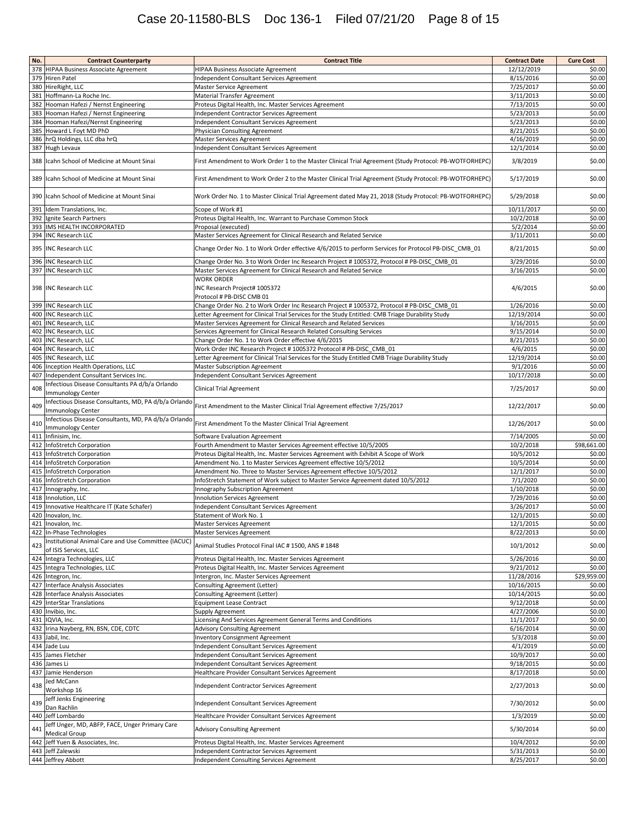# Case 20-11580-BLS Doc 136-1 Filed 07/21/20 Page 8 of 15

| No. | <b>Contract Counterparty</b>                                                 | <b>Contract Title</b>                                                                                  | <b>Contract Date</b>    | <b>Cure Cost</b> |
|-----|------------------------------------------------------------------------------|--------------------------------------------------------------------------------------------------------|-------------------------|------------------|
| 378 | <b>HIPAA Business Associate Agreement</b>                                    | HIPAA Business Associate Agreement                                                                     | 12/12/2019              | \$0.00           |
| 379 | <b>Hiren Patel</b>                                                           | Independent Consultant Services Agreement                                                              | 8/15/2016               | \$0.00           |
|     | 380 HireRight, LLC                                                           | Master Service Agreement                                                                               | 7/25/2017               | \$0.00           |
|     | 381 Hoffmann-La Roche Inc.                                                   | <b>Material Transfer Agreement</b>                                                                     | 3/11/2013               | \$0.00           |
| 382 | Hooman Hafezi / Nernst Engineering                                           | Proteus Digital Health, Inc. Master Services Agreement                                                 | 7/13/2015               | \$0.00           |
| 383 | Hooman Hafezi / Nernst Engineering                                           | Independent Contractor Services Agreement                                                              | 5/23/2013               | \$0.00           |
|     | 384 Hooman Hafezi/Nernst Engineering                                         | Independent Consultant Services Agreement                                                              | 5/23/2013               | \$0.00           |
|     | 385 Howard L Foyt MD PhD                                                     | Physician Consulting Agreement                                                                         | 8/21/2015               | \$0.00           |
|     | 386 hrQ Holdings, LLC dba hrQ                                                | Master Services Agreement                                                                              | 4/16/2019               | \$0.00           |
|     | 387 Hugh Levaux                                                              | Independent Consultant Services Agreement                                                              | 12/1/2014               | \$0.00           |
| 388 | Icahn School of Medicine at Mount Sinai                                      | First Amendment to Work Order 1 to the Master Clinical Trial Agreement (Study Protocol: PB-WOTFORHEPC) | 3/8/2019                | \$0.00           |
| 389 | Icahn School of Medicine at Mount Sinai                                      | First Amendment to Work Order 2 to the Master Clinical Trial Agreement (Study Protocol: PB-WOTFORHEPC) | 5/17/2019               | \$0.00           |
| 390 | Icahn School of Medicine at Mount Sinai                                      | Work Order No. 1 to Master Clinical Trial Agreement dated May 21, 2018 (Study Protocol: PB-WOTFORHEPC) | 5/29/2018               | \$0.00           |
| 391 | Idem Translations, Inc.                                                      | Scope of Work #1                                                                                       | 10/11/2017              | \$0.00           |
| 392 | Ignite Search Partners                                                       | Proteus Digital Health, Inc. Warrant to Purchase Common Stock                                          | 10/2/2018               | \$0.00           |
| 393 | IMS HEALTH INCORPORATED                                                      | Proposal (executed)                                                                                    | 5/2/2014                | \$0.00           |
|     | 394 INC Research LLC                                                         | Master Services Agreement for Clinical Research and Related Service                                    | 3/11/2011               | \$0.00           |
|     | 395 INC Research LLC                                                         | Change Order No. 1 to Work Order effective 4/6/2015 to perform Services for Protocol PB-DISC_CMB_01    | 8/21/2015               | \$0.00           |
|     | 396 INC Research LLC                                                         | Change Order No. 3 to Work Order Inc Research Project #1005372, Protocol #PB-DISC_CMB_01               | 3/29/2016               | \$0.00           |
|     | 397 INC Research LLC                                                         | Master Services Agreement for Clinical Research and Related Service                                    | 3/16/2015               | \$0.00           |
|     | 398 INC Research LLC                                                         | <b>WORK ORDER</b><br>INC Research Project# 1005372<br>Protocol # PB-DISC CMB 01                        | 4/6/2015                | \$0.00           |
|     | 399 INC Research LLC                                                         | Change Order No. 2 to Work Order Inc Research Project #1005372, Protocol #PB-DISC CMB 01               | 1/26/2016               | \$0.00           |
|     | 400 INC Research LLC                                                         | Letter Agreement for Clinical Trial Services for the Study Entitled: CMB Triage Durability Study       | 12/19/2014              | \$0.00           |
| 401 | <b>INC Research, LLC</b>                                                     | Master Services Agreement for Clinical Research and Related Services                                   | 3/16/2015               | \$0.00           |
| 402 | <b>INC Research, LLC</b>                                                     | Services Agreement for Clinical Research Related Consulting Services                                   | 9/15/2014               | \$0.00           |
| 403 | <b>INC Research, LLC</b>                                                     | Change Order No. 1 to Work Order effective 4/6/2015                                                    | 8/21/2015               | \$0.00           |
|     | 404 INC Research, LLC                                                        | Work Order INC Research Project # 1005372 Protocol # PB-DISC CMB 01                                    | 4/6/2015                | \$0.00           |
| 405 | <b>INC Research, LLC</b>                                                     | Letter Agreement for Clinical Trial Services for the Study Entitled CMB Triage Durability Study        | 12/19/2014              | \$0.00           |
|     | 406 Inception Health Operations, LLC                                         | Master Subscription Agreement                                                                          | 9/1/2016                | \$0.00           |
|     | 407 Independent Consultant Services Inc.                                     | Independent Consultant Services Agreement                                                              | 10/17/2018              | \$0.00           |
|     | Infectious Disease Consultants PA d/b/a Orlando                              |                                                                                                        |                         |                  |
| 408 | Immunology Center<br>Infectious Disease Consultants, MD, PA d/b/a Orlando    | Clinical Trial Agreement                                                                               | 7/25/2017               | \$0.00           |
| 409 | Immunology Center<br>Infectious Disease Consultants, MD, PA d/b/a Orlando    | First Amendment to the Master Clinical Trial Agreement effective 7/25/2017                             | 12/22/2017              | \$0.00           |
| 410 | Immunology Center<br>411 Infinisim, Inc.                                     | First Amendment To the Master Clinical Trial Agreement<br>Software Evaluation Agreement                | 12/26/2017<br>7/14/2005 | \$0.00<br>\$0.00 |
| 412 | InfoStretch Corporation                                                      | Fourth Amendment to Master Services Agreement effective 10/5/2005                                      | 10/2/2018               | \$98,661.00      |
| 413 | InfoStretch Corporation                                                      | Proteus Digital Health, Inc. Master Services Agreement with Exhibit A Scope of Work                    | 10/5/2012               | \$0.00           |
|     | 414 InfoStretch Corporation                                                  | Amendment No. 1 to Master Services Agreement effective 10/5/2012                                       | 10/5/2014               | \$0.00           |
| 415 | InfoStretch Corporation                                                      | Amendment No. Three to Master Services Agreement effective 10/5/2012                                   | 12/1/2017               | \$0.00           |
| 416 | InfoStretch Corporation                                                      | InfoStretch Statement of Work subject to Master Service Agreement dated 10/5/2012                      | 7/1/2020                | \$0.00           |
| 417 | Innography, Inc.                                                             | Innography Subscription Agreement                                                                      | 1/10/2018               | \$0.00           |
| 418 | Innolution, LLC                                                              | <b>Innolution Services Agreement</b>                                                                   | 7/29/2016               | \$0.00           |
| 419 | Innovative Healthcare IT (Kate Schafer)                                      | Independent Consultant Services Agreement                                                              | 3/26/2017               | \$0.00           |
| 420 | Inovalon, Inc.                                                               | Statement of Work No. 1                                                                                | 12/1/2015               | \$0.00           |
|     | 421 Inovalon, Inc.                                                           | Master Services Agreement                                                                              | 12/1/2015               | \$0.00           |
|     | 422 In-Phase Technologies                                                    | <b>Master Services Agreement</b>                                                                       | 8/22/2013               | \$0.00           |
| 423 | Institutional Animal Care and Use Committee (IACUC)<br>of ISIS Services, LLC | Animal Studies Protocol Final IAC # 1500, ANS # 1848                                                   | 10/1/2012               | \$0.00           |
|     | 424 Integra Technologies, LLC                                                | Proteus Digital Health, Inc. Master Services Agreement                                                 | 5/26/2016               | \$0.00           |
|     | 425 Integra Technologies, LLC                                                | Proteus Digital Health, Inc. Master Services Agreement                                                 | 9/21/2012               | \$0.00           |
|     | 426 Integron, Inc.                                                           | Intergron, Inc. Master Services Agreement                                                              | 11/28/2016              | \$29,959.00      |
|     | 427 Interface Analysis Associates                                            | Consulting Agreement (Letter)                                                                          | 10/16/2015              | \$0.00           |
|     | 428 Interface Analysis Associates                                            | <b>Consulting Agreement (Letter)</b>                                                                   | 10/14/2015              | \$0.00           |
|     | 429 InterStar Translations                                                   | <b>Equipment Lease Contract</b>                                                                        | 9/12/2018               | \$0.00           |
|     | 430 Invibio, Inc.                                                            | Supply Agreement                                                                                       | 4/27/2006               | \$0.00           |
|     | 431 IQVIA, Inc.                                                              | Licensing And Services Agreement General Terms and Conditions                                          | 11/1/2017               | \$0.00           |
|     | 432 Irina Nayberg, RN, BSN, CDE, CDTC                                        | <b>Advisory Consulting Agreement</b>                                                                   | 6/16/2014               | \$0.00           |
|     | 433 Jabil, Inc.                                                              | <b>Inventory Consignment Agreement</b>                                                                 | 5/3/2018                | \$0.00           |
|     | 434 Jade Luu                                                                 | Independent Consultant Services Agreement                                                              | 4/1/2019                | \$0.00           |
|     | 435 James Fletcher                                                           | Independent Consultant Services Agreement                                                              | 10/9/2017               | \$0.00           |
|     | 436 James Li                                                                 | Independent Consultant Services Agreement                                                              | 9/18/2015               | \$0.00           |
|     | 437 Jamie Henderson                                                          | Healthcare Provider Consultant Services Agreement                                                      | 8/17/2018               | \$0.00           |
| 438 | Jed McCann<br>Workshop 16                                                    | Independent Contractor Services Agreement                                                              | 2/27/2013               | \$0.00           |
| 439 | Jeff Jenks Engineering<br>Dan Rachlin                                        | Independent Consultant Services Agreement                                                              | 7/30/2012               | \$0.00           |
|     | 440 Jeff Lombardo                                                            | Healthcare Provider Consultant Services Agreement                                                      | 1/3/2019                | \$0.00           |
| 441 | Jeff Unger, MD, ABFP, FACE, Unger Primary Care<br><b>Medical Group</b>       | <b>Advisory Consulting Agreement</b>                                                                   | 5/30/2014               | \$0.00           |
|     | 442 Jeff Yuen & Associates, Inc.                                             | Proteus Digital Health, Inc. Master Services Agreement                                                 | 10/4/2012               | \$0.00           |
|     | 443 Jeff Zalewski                                                            | Independent Contractor Services Agreement                                                              | 5/31/2013               | \$0.00           |
|     |                                                                              |                                                                                                        |                         |                  |
|     | 444 Jeffrey Abbott                                                           | Independent Consulting Services Agreement                                                              | 8/25/2017               | \$0.00           |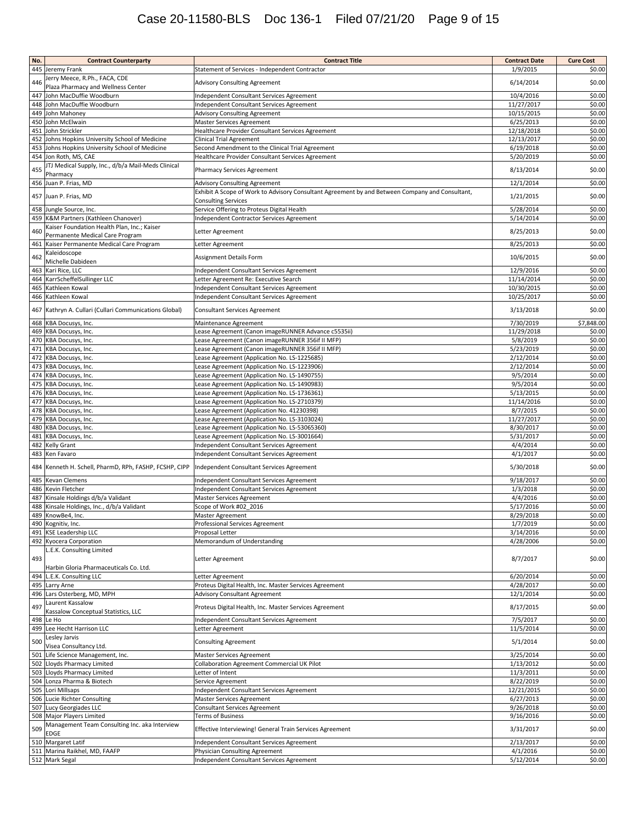# Case 20-11580-BLS Doc 136-1 Filed 07/21/20 Page 9 of 15

| No.        | <b>Contract Counterparty</b>                                                               | <b>Contract Title</b>                                                                           | <b>Contract Date</b>     | <b>Cure Cost</b> |
|------------|--------------------------------------------------------------------------------------------|-------------------------------------------------------------------------------------------------|--------------------------|------------------|
| 445        | Jeremy Frank                                                                               | Statement of Services - Independent Contractor                                                  | 1/9/2015                 | \$0.00           |
| 446        | Jerry Meece, R.Ph., FACA, CDE                                                              | <b>Advisory Consulting Agreement</b>                                                            | 6/14/2014                | \$0.00           |
|            | Plaza Pharmacy and Wellness Center                                                         |                                                                                                 |                          |                  |
| 447        | John MacDuffie Woodburn                                                                    | Independent Consultant Services Agreement                                                       | 10/4/2016                | \$0.00           |
| 448        | John MacDuffie Woodburn                                                                    | Independent Consultant Services Agreement                                                       | 11/27/2017               | \$0.00           |
| 449        | John Mahoney                                                                               | <b>Advisory Consulting Agreement</b>                                                            | 10/15/2015               | \$0.00           |
|            | 450 John McElwain                                                                          | <b>Master Services Agreement</b>                                                                | 6/25/2013                | \$0.00           |
| 451<br>452 | John Strickler                                                                             | Healthcare Provider Consultant Services Agreement                                               | 12/18/2018<br>12/13/2017 | \$0.00<br>\$0.00 |
| 453        | Johns Hopkins University School of Medicine<br>Johns Hopkins University School of Medicine | Clinical Trial Agreement<br>Second Amendment to the Clinical Trial Agreement                    | 6/19/2018                | \$0.00           |
| 454        | Jon Roth, MS, CAE                                                                          | Healthcare Provider Consultant Services Agreement                                               | 5/20/2019                | \$0.00           |
|            | JTJ Medical Supply, Inc., d/b/a Mail-Meds Clinical                                         |                                                                                                 |                          |                  |
| 455        | Pharmacy                                                                                   | <b>Pharmacy Services Agreement</b>                                                              | 8/13/2014                | \$0.00           |
|            | 456 Juan P. Frias, MD                                                                      | <b>Advisory Consulting Agreement</b>                                                            | 12/1/2014                | \$0.00           |
|            |                                                                                            | Exhibit A Scope of Work to Advisory Consultant Agreement by and Between Company and Consultant, |                          |                  |
|            | 457 Juan P. Frias, MD                                                                      | <b>Consulting Services</b>                                                                      | 1/21/2015                | \$0.00           |
|            | 458 Jungle Source, Inc.                                                                    | Service Offering to Proteus Digital Health                                                      | 5/28/2014                | \$0.00           |
| 459        | K&M Partners (Kathleen Chanover)                                                           | Independent Contractor Services Agreement                                                       | 5/14/2014                | \$0.00           |
| 460        | Kaiser Foundation Health Plan, Inc.; Kaiser                                                | Letter Agreement                                                                                | 8/25/2013                | \$0.00           |
|            | Permanente Medical Care Program                                                            |                                                                                                 |                          |                  |
| 461        | Kaiser Permanente Medical Care Program                                                     | Letter Agreement                                                                                | 8/25/2013                | \$0.00           |
| 462        | Kaleidoscope                                                                               | Assignment Details Form                                                                         | 10/6/2015                | \$0.00           |
|            | Michelle Dabideen                                                                          |                                                                                                 |                          |                  |
| 463        | Kari Rice, LLC                                                                             | Independent Consultant Services Agreement                                                       | 12/9/2016                | \$0.00           |
|            | 464 KarrScheffelSullinger LLC                                                              | Letter Agreement Re: Executive Search                                                           | 11/14/2014               | \$0.00           |
| 465        | Kathleen Kowal<br>466 Kathleen Kowal                                                       | Independent Consultant Services Agreement                                                       | 10/30/2015               | \$0.00           |
|            |                                                                                            | Independent Consultant Services Agreement                                                       | 10/25/2017               | \$0.00           |
|            | 467 Kathryn A. Cullari (Cullari Communications Global)                                     | <b>Consultant Services Agreement</b>                                                            | 3/13/2018                | \$0.00           |
|            | 468 KBA Docusys, Inc.                                                                      | Maintenance Agreement                                                                           | 7/30/2019                | \$7,848.00       |
| 469        | KBA Docusys, Inc.                                                                          | Lease Agreement (Canon imageRUNNER Advance c5535ii)                                             | 11/29/2018               | \$0.00           |
| 470        | KBA Docusys, Inc.                                                                          | Lease Agreement (Canon imageRUNNER 356if II MFP)                                                | 5/8/2019                 | \$0.00           |
| 471        | KBA Docusys, Inc.                                                                          | Lease Agreement (Canon imageRUNNER 356if II MFP)                                                | 5/23/2019                | \$0.00           |
| 472        | KBA Docusys, Inc.                                                                          | Lease Agreement (Application No. LS-1225685)                                                    | 2/12/2014                | \$0.00           |
| 473        | KBA Docusys, Inc.                                                                          | Lease Agreement (Application No. LS-1223906)                                                    | 2/12/2014                | \$0.00           |
|            | 474 KBA Docusys, Inc.                                                                      | Lease Agreement (Application No. LS-1490755)                                                    | 9/5/2014                 | \$0.00           |
|            | 475 KBA Docusys, Inc.                                                                      | Lease Agreement (Application No. LS-1490983)                                                    | 9/5/2014                 | \$0.00           |
| 476        | KBA Docusys, Inc.                                                                          | Lease Agreement (Application No. LS-1736361)                                                    | 5/13/2015                | \$0.00           |
| 477        | KBA Docusys, Inc.                                                                          | Lease Agreement (Application No. LS-2710379)                                                    | 11/14/2016               | \$0.00           |
| 478        | KBA Docusys, Inc.                                                                          | Lease Agreement (Application No. 41230398)                                                      | 8/7/2015                 | \$0.00           |
| 479        | KBA Docusys, Inc.                                                                          | Lease Agreement (Application No. LS-3103024)                                                    | 11/27/2017               | \$0.00           |
|            | 480 KBA Docusys, Inc.                                                                      | Lease Agreement (Application No. LS-53065360)                                                   | 8/30/2017                | \$0.00           |
| 481        | KBA Docusys, Inc.                                                                          | Lease Agreement (Application No. LS-3001664)                                                    | 5/31/2017                | \$0.00           |
| 482        | Kelly Grant                                                                                | Independent Consultant Services Agreement                                                       | 4/4/2014                 | \$0.00           |
|            | 483 Ken Favaro                                                                             | Independent Consultant Services Agreement                                                       | 4/1/2017                 | \$0.00           |
|            | 484 Kenneth H. Schell, PharmD, RPh, FASHP, FCSHP, CIPP                                     | Independent Consultant Services Agreement                                                       | 5/30/2018                | \$0.00           |
| 485        | <b>Kevan Clemens</b>                                                                       |                                                                                                 | 9/18/2017                | \$0.00           |
| 486        | Kevin Fletcher                                                                             | Independent Consultant Services Agreement<br>Independent Consultant Services Agreement          | 1/3/2018                 | \$0.00           |
| 487        | Kinsale Holdings d/b/a Validant                                                            | Master Services Agreement                                                                       | 4/4/2016                 | \$0.00           |
| 488        | Kinsale Holdings, Inc., d/b/a Validant                                                     | Scope of Work #02 2016                                                                          | 5/17/2016                | \$0.00           |
| 489        | KnowBe4, Inc.                                                                              | <b>Master Agreement</b>                                                                         | 8/29/2018                | \$0.00           |
|            | 490 Kognitiv, Inc.                                                                         | Professional Services Agreement                                                                 | 1/7/2019                 | \$0.00           |
|            | 491 KSE Leadership LLC                                                                     | Proposal Letter                                                                                 | 3/14/2016                | \$0.00           |
|            | 492 Kyocera Corporation                                                                    | Memorandum of Understanding                                                                     | 4/28/2006                | \$0.00           |
|            | L.E.K. Consulting Limited                                                                  |                                                                                                 |                          |                  |
| 493        |                                                                                            | Letter Agreement                                                                                | 8/7/2017                 | \$0.00           |
|            | Harbin Gloria Pharmaceuticals Co. Ltd.                                                     |                                                                                                 |                          |                  |
| 494        | L.E.K. Consulting LLC                                                                      | Letter Agreement                                                                                | 6/20/2014                | \$0.00           |
|            | 495 Larry Arne                                                                             | Proteus Digital Health, Inc. Master Services Agreement                                          | 4/28/2017                | \$0.00           |
|            | 496 Lars Osterberg, MD, MPH                                                                | Advisory Consultant Agreement                                                                   | 12/1/2014                | \$0.00           |
| 497        | Laurent Kassalow<br>Kassalow Conceptual Statistics, LLC                                    | Proteus Digital Health, Inc. Master Services Agreement                                          | 8/17/2015                | \$0.00           |
| 498        | Le Ho                                                                                      | Independent Consultant Services Agreement                                                       | 7/5/2017                 | \$0.00           |
|            | 499 Lee Hecht Harrison LLC                                                                 | Letter Agreement                                                                                | 11/5/2014                | \$0.00           |
|            | Lesley Jarvis                                                                              |                                                                                                 |                          |                  |
| 500        | Visea Consultancy Ltd.                                                                     | <b>Consulting Agreement</b>                                                                     | 5/1/2014                 | \$0.00           |
|            | 501 Life Science Management, Inc.                                                          | <b>Master Services Agreement</b>                                                                | 3/25/2014                | \$0.00           |
|            | 502 Lloyds Pharmacy Limited                                                                | <b>Collaboration Agreement Commercial UK Pilot</b>                                              | 1/13/2012                | \$0.00           |
|            | 503 Lloyds Pharmacy Limited                                                                | Letter of Intent                                                                                | 11/3/2011                | \$0.00           |
|            | 504 Lonza Pharma & Biotech                                                                 | Service Agreement                                                                               | 8/22/2019                | \$0.00           |
|            | 505 Lori Millsaps                                                                          | Independent Consultant Services Agreement                                                       | 12/21/2015               | \$0.00           |
|            | 506 Lucie Richter Consulting                                                               | <b>Master Services Agreement</b>                                                                | 6/27/2013                | \$0.00           |
|            | 507 Lucy Georgiades LLC                                                                    | <b>Consultant Services Agreement</b>                                                            | 9/26/2018                | \$0.00           |
|            | 508 Major Players Limited                                                                  | <b>Terms of Business</b>                                                                        | 9/16/2016                | \$0.00           |
| 509        | Management Team Consulting Inc. aka Interview                                              | Effective Interviewing! General Train Services Agreement                                        | 3/31/2017                | \$0.00           |
|            | <b>EDGE</b>                                                                                |                                                                                                 |                          |                  |
|            | 510 Margaret Latif                                                                         | Independent Consultant Services Agreement                                                       | 2/13/2017                | \$0.00           |
|            | 511 Marina Raikhel, MD, FAAFP                                                              | Physician Consulting Agreement                                                                  | 4/1/2016                 | \$0.00           |
|            | 512 Mark Segal                                                                             | Independent Consultant Services Agreement                                                       | 5/12/2014                | \$0.00           |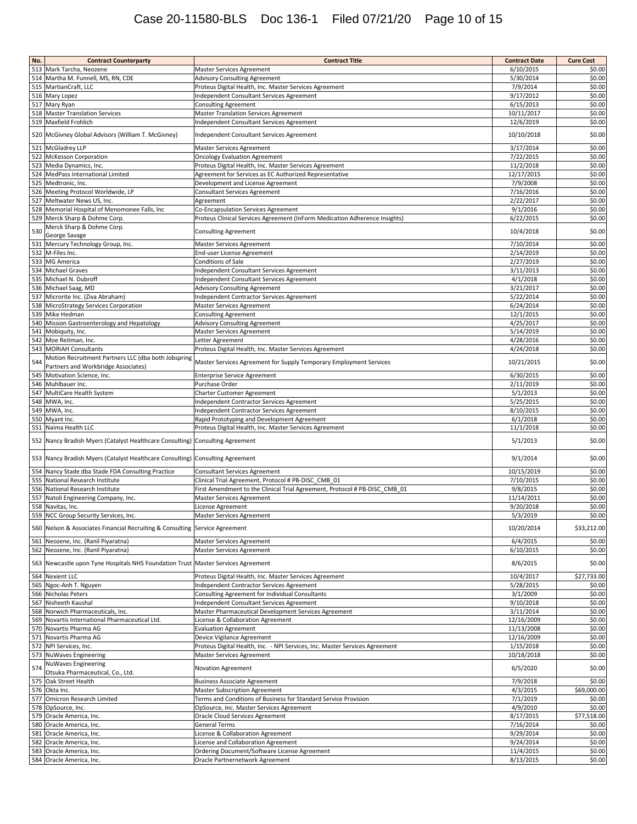# Case 20-11580-BLS Doc 136-1 Filed 07/21/20 Page 10 of 15

| No. | <b>Contract Counterparty</b>                                                     | <b>Contract Title</b>                                                                                           | <b>Contract Date</b>    | <b>Cure Cost</b> |
|-----|----------------------------------------------------------------------------------|-----------------------------------------------------------------------------------------------------------------|-------------------------|------------------|
|     | 513 Mark Tarcha, Neozene                                                         | <b>Master Services Agreement</b>                                                                                | 6/10/2015               | \$0.00           |
|     | 514 Martha M. Funnell, MS, RN, CDE                                               | <b>Advisory Consulting Agreement</b>                                                                            | 5/30/2014               | \$0.00           |
|     | 515 MartianCraft, LLC                                                            | Proteus Digital Health, Inc. Master Services Agreement                                                          | 7/9/2014                | \$0.00           |
|     | 516 Mary Lopez                                                                   | Independent Consultant Services Agreement                                                                       | 9/17/2012               | \$0.00           |
|     | 517 Mary Ryan                                                                    | <b>Consulting Agreement</b>                                                                                     | 6/15/2013               | \$0.00           |
|     | 518 Master Translation Services                                                  | <b>Master Translation Services Agreement</b>                                                                    | 10/11/2017              | \$0.00           |
|     | 519 Maxfield Frohlich                                                            | Independent Consultant Services Agreement                                                                       | 12/6/2019               | \$0.00           |
|     | 520 McGivney Global Advisors (William T. McGivney)                               | Independent Consultant Services Agreement                                                                       | 10/10/2018              | \$0.00           |
|     | 521 McGladrey LLP                                                                | Master Services Agreement                                                                                       | 3/17/2014               | \$0.00           |
|     | 522 McKesson Corporation                                                         | <b>Oncology Evaluation Agreement</b>                                                                            | 7/22/2015               | \$0.00           |
|     | 523 Media Dynamics, Inc.                                                         | Proteus Digital Health, Inc. Master Services Agreement                                                          | 11/2/2018               | \$0.00           |
|     | 524 MedPass International Limited<br>525 Medtronic, Inc.                         | Agreement for Services as EC Authorized Representative<br>Development and License Agreement                     | 12/17/2015<br>7/9/2008  | \$0.00<br>\$0.00 |
|     | 526 Meeting Protocol Worldwide, LP                                               | Consultant Services Agreement                                                                                   | 7/16/2016               | \$0.00           |
|     | 527 Meltwater News US, Inc.                                                      | Agreement                                                                                                       | 2/22/2017               | \$0.00           |
|     | 528 Memorial Hospital of Menomonee Falls, Inc                                    | Co-Encapsulation Services Agreement                                                                             | 9/1/2016                | \$0.00           |
|     | 529 Merck Sharp & Dohme Corp.                                                    | Proteus Clinical Services Agreement (InForm Medication Adherence Insights)                                      | 6/22/2015               | \$0.00           |
| 530 | Merck Sharp & Dohme Corp.<br>George Savage                                       | <b>Consulting Agreement</b>                                                                                     | 10/4/2018               | \$0.00           |
|     | 531 Mercury Technology Group, Inc.                                               | Master Services Agreement                                                                                       | 7/10/2014               | \$0.00           |
|     | 532 M-Files Inc.                                                                 | End-user License Agreement                                                                                      | 2/14/2019               | \$0.00           |
|     | 533 MG America                                                                   | Conditions of Sale                                                                                              | 2/27/2019               | \$0.00           |
|     | 534 Michael Graves                                                               | Independent Consultant Services Agreement                                                                       | 3/11/2013               | \$0.00           |
|     | 535 Michael N. Dubroff                                                           | Independent Consultant Services Agreement                                                                       | 4/1/2018                | \$0.00           |
|     | 536 Michael Saag, MD                                                             | <b>Advisory Consulting Agreement</b>                                                                            | 3/21/2017               | \$0.00           |
|     | 537 Microrite Inc. (Ziva Abraham)                                                | Independent Contractor Services Agreement                                                                       | 5/22/2014               | \$0.00           |
|     | 538 MicroStrategy Services Corporation                                           | Master Services Agreement                                                                                       | 6/24/2014               | \$0.00           |
|     | 539 Mike Hedman                                                                  | <b>Consulting Agreement</b>                                                                                     | 12/1/2015               | \$0.00           |
|     | 540 Mission Gastroenterology and Hepatology                                      | <b>Advisory Consulting Agreement</b>                                                                            | 4/25/2017               | \$0.00           |
|     | 541 Mobiquity, Inc.                                                              | Master Services Agreement                                                                                       | 5/14/2019               | \$0.00           |
|     | 542 Moe Reitman, Inc.                                                            | Letter Agreement                                                                                                | 4/28/2016<br>4/24/2018  | \$0.00<br>\$0.00 |
|     | 543 MORIAH Consultants<br>Motion Recruitment Partners LLC (dba both Jobspring    | Proteus Digital Health, Inc. Master Services Agreement                                                          |                         |                  |
| 544 | Partners and Workbridge Associates)                                              | Master Services Agreement for Supply Temporary Employment Services                                              | 10/21/2015              | \$0.00           |
|     | 545 Motivation Science, Inc.                                                     | <b>Enterprise Service Agreement</b>                                                                             | 6/30/2015               | \$0.00           |
|     | 546 Muhlbauer Inc.                                                               | Purchase Order                                                                                                  | 2/11/2019               | \$0.00           |
|     | 547 MultiCare Health System<br>548 MWA, Inc.                                     | Charter Customer Agreement<br>Independent Contractor Services Agreement                                         | 5/1/2013<br>5/25/2015   | \$0.00<br>\$0.00 |
| 549 | MWA, Inc.                                                                        | Independent Contractor Services Agreement                                                                       | 8/10/2015               | \$0.00           |
|     | 550 Myant Inc.                                                                   | Rapid Prototyping and Development Agreement                                                                     | 6/1/2018                | \$0.00           |
|     | 551 Naima Health LLC                                                             | Proteus Digital Health, Inc. Master Services Agreement                                                          | 11/1/2018               | \$0.00           |
|     | 552 Nancy Bradish Myers (Catalyst Healthcare Consulting) Consulting Agreement    |                                                                                                                 | 5/1/2013                | \$0.00           |
|     | 553 Nancy Bradish Myers (Catalyst Healthcare Consulting) Consulting Agreement    |                                                                                                                 | 9/1/2014                | \$0.00           |
|     | 554 Nancy Stade dba Stade FDA Consulting Practice                                | <b>Consultant Services Agreement</b>                                                                            | 10/15/2019              | \$0.00           |
|     | 555 National Research Institute                                                  | Clinical Trial Agreement, Protocol # PB-DISC_CMB_01                                                             | 7/10/2015               | \$0.00           |
|     | 556 National Research Institute                                                  | First Amendment to the Clinical Trial Agreement, Protocol # PB-DISC_CMB_01                                      | 9/8/2015                | \$0.00           |
|     | 557 Natoli Engineering Company, Inc.                                             | Master Services Agreement                                                                                       | 11/14/2011              | \$0.00           |
|     | 558 Navitas, Inc.                                                                | License Agreement                                                                                               | 9/20/2018               | \$0.00           |
|     | 559 NCC Group Security Services, Inc.                                            | Master Services Agreement                                                                                       | 5/3/2019                | \$0.00           |
|     | 560 Nelson & Associates Financial Recruiting & Consulting Service Agreement      |                                                                                                                 | 10/20/2014              | \$33,212.00      |
|     | 561 Neozene, Inc. (Ranil Piyaratna)                                              | Master Services Agreement                                                                                       | 6/4/2015                | \$0.00           |
|     | 562 Neozene, Inc. (Ranil Piyaratna)                                              | <b>Master Services Agreement</b>                                                                                | 6/10/2015               | \$0.00           |
|     | 563 Newcastle upon Tyne Hospitals NHS Foundation Trust Master Services Agreement |                                                                                                                 | 8/6/2015                | \$0.00           |
|     | 564 Nexient LLC                                                                  | Proteus Digital Health, Inc. Master Services Agreement                                                          | 10/4/2017               | \$27,733.00      |
|     | 565 Ngoc-Anh T. Nguyen                                                           | <b>Independent Contractor Services Agreement</b>                                                                | 5/28/2015               | \$0.00           |
|     | 566 Nicholas Peters                                                              | Consulting Agreement for Individual Consultants                                                                 | 3/1/2009                | \$0.00           |
|     | 567 Nisheeth Kaushal                                                             | Independent Consultant Services Agreement                                                                       | 9/10/2018               | \$0.00           |
|     | 568 Norwich Pharmaceuticals, Inc.                                                | Master Pharmaceutical Development Services Agreement                                                            | 3/11/2014               | \$0.00           |
|     | 569 Novartis International Pharmaceutical Ltd.                                   | License & Collaboration Agreement                                                                               | 12/16/2009              | \$0.00           |
|     | 570 Novartis Pharma AG                                                           | <b>Evaluation Agreement</b>                                                                                     | 11/13/2008              | \$0.00           |
|     | 571 Novartis Pharma AG                                                           | Device Vigilance Agreement                                                                                      | 12/16/2009              | \$0.00           |
|     | 572 NPI Services, Inc.<br>573 NuWaves Engineering                                | Proteus Digital Health, Inc. - NPI Services, Inc. Master Services Agreement<br><b>Master Services Agreement</b> | 1/15/2018<br>10/18/2018 | \$0.00<br>\$0.00 |
|     | <b>NuWaves Engineering</b>                                                       |                                                                                                                 |                         |                  |
| 574 | Otsuka Pharmaceutical, Co., Ltd.                                                 | Novation Agreement                                                                                              | 6/5/2020                | \$0.00           |
|     | 575 Oak Street Health                                                            | <b>Business Associate Agreement</b>                                                                             | 7/9/2018                | \$0.00           |
|     | 576 Okta Inc.                                                                    | <b>Master Subscription Agreement</b>                                                                            | 4/3/2015                | \$69,000.00      |
|     | 577 Omicron Research Limited<br>578 OpSource, Inc.                               | Terms and Conditions of Business for Standard Service Provision<br>OpSource, Inc. Master Services Agreement     | 7/1/2019<br>4/9/2010    | \$0.00<br>\$0.00 |
|     | 579 Oracle America, Inc.                                                         | Oracle Cloud Services Agreement                                                                                 | 8/17/2015               | \$77,518.00      |
|     | 580 Oracle America, Inc.                                                         | <b>General Terms</b>                                                                                            | 7/16/2014               | \$0.00           |
|     | 581 Oracle America, Inc.                                                         | License & Collaboration Agreement                                                                               | 9/29/2014               | \$0.00           |
|     | 582 Oracle America, Inc.                                                         | License and Collaboration Agreement                                                                             | 9/24/2014               | \$0.00           |
|     | 583 Oracle America, Inc.                                                         | Ordering Document/Software License Agreement                                                                    | 11/4/2015               | \$0.00           |
|     | 584 Oracle America, Inc.                                                         | Oracle Partnernetwork Agreement                                                                                 | 8/13/2015               | \$0.00           |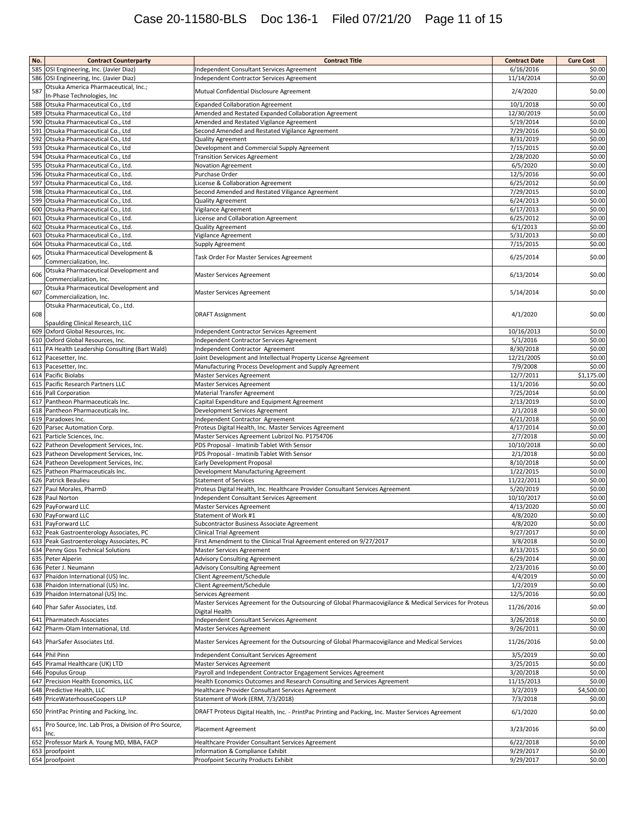# Case 20-11580-BLS Doc 136-1 Filed 07/21/20 Page 11 of 15

| No. | <b>Contract Counterparty</b>                                     | <b>Contract Title</b>                                                                                    | <b>Contract Date</b> | <b>Cure Cost</b> |
|-----|------------------------------------------------------------------|----------------------------------------------------------------------------------------------------------|----------------------|------------------|
| 585 | OSI Engineering, Inc. (Javier Diaz)                              | Independent Consultant Services Agreement                                                                | 6/16/2016            | \$0.00           |
|     | 586 OSI Engineering, Inc. (Javier Diaz)                          | Independent Contractor Services Agreement                                                                | 11/14/2014           | \$0.00           |
|     | Otsuka America Pharmaceutical, Inc.;                             |                                                                                                          |                      |                  |
| 587 | In-Phase Technologies, Inc                                       | Mutual Confidential Disclosure Agreement                                                                 | 2/4/2020             | \$0.00           |
|     |                                                                  |                                                                                                          |                      |                  |
| 588 | Otsuka Pharmaceutical Co., Ltd                                   | <b>Expanded Collaboration Agreement</b>                                                                  | 10/1/2018            | \$0.00           |
| 589 | Otsuka Pharmaceutical Co., Ltd                                   | Amended and Restated Expanded Collaboration Agreement                                                    | 12/30/2019           | \$0.00           |
| 590 | Otsuka Pharmaceutical Co., Ltd                                   | Amended and Restated Vigilance Agreement                                                                 | 5/19/2014            | \$0.00           |
| 591 | Otsuka Pharmaceutical Co., Ltd                                   | Second Amended and Restated Vigilance Agreement                                                          | 7/29/2016            | \$0.00           |
| 592 | Otsuka Pharmaceutical Co., Ltd                                   | <b>Quality Agreement</b>                                                                                 | 8/31/2019            | \$0.00           |
| 593 | Otsuka Pharmaceutical Co., Ltd                                   | Development and Commercial Supply Agreement                                                              | 7/15/2015            | \$0.00           |
| 594 | Otsuka Pharmaceutical Co., Ltd                                   | <b>Transition Services Agreement</b>                                                                     | 2/28/2020            | \$0.00           |
| 595 | Otsuka Pharmaceutical Co., Ltd.                                  | Novation Agreement                                                                                       | 6/5/2020             | \$0.00           |
| 596 | Otsuka Pharmaceutical Co., Ltd.                                  | Purchase Order                                                                                           | 12/5/2016            | \$0.00           |
| 597 | Otsuka Pharmaceutical Co., Ltd.                                  | License & Collaboration Agreement                                                                        | 6/25/2012            | \$0.00           |
| 598 | Otsuka Pharmaceutical Co., Ltd.                                  | Second Amended and Restated Viligance Agreement                                                          | 7/29/2015            | \$0.00           |
| 599 | Otsuka Pharmaceutical Co., Ltd.                                  | Quality Agreement                                                                                        | 6/24/2013            | \$0.00           |
| 600 | Otsuka Pharmaceutical Co., Ltd.                                  | Vigilance Agreement                                                                                      | 6/17/2013            | \$0.00           |
|     | 601 Otsuka Pharmaceutical Co., Ltd.                              |                                                                                                          | 6/25/2012            | \$0.00           |
|     |                                                                  | License and Collaboration Agreement                                                                      |                      | \$0.00           |
|     | 602 Otsuka Pharmaceutical Co., Ltd.                              | Quality Agreement                                                                                        | 6/1/2013             |                  |
|     | 603 Otsuka Pharmaceutical Co., Ltd.                              | Vigilance Agreement                                                                                      | 5/31/2013            | \$0.00           |
| 604 | Otsuka Pharmaceutical Co., Ltd.                                  | Supply Agreement                                                                                         | 7/15/2015            | \$0.00           |
| 605 | Otsuka Pharmaceutical Development &                              | Task Order For Master Services Agreement                                                                 | 6/25/2014            | \$0.00           |
|     | Commercialization, Inc.                                          |                                                                                                          |                      |                  |
| 606 | Otsuka Pharmaceutical Development and<br>Commercialization, Inc. | Master Services Agreement                                                                                | 6/13/2014            | \$0.00           |
|     | Otsuka Pharmaceutical Development and                            |                                                                                                          |                      |                  |
| 607 | Commercialization, Inc.                                          | <b>Master Services Agreement</b>                                                                         | 5/14/2014            | \$0.00           |
|     | Otsuka Pharmaceutical, Co., Ltd.                                 |                                                                                                          |                      |                  |
| 608 |                                                                  | <b>DRAFT Assignment</b>                                                                                  | 4/1/2020             | \$0.00           |
|     | Spaulding Clinical Research, LLC                                 |                                                                                                          |                      |                  |
|     | 609 Oxford Global Resources, Inc.                                | Independent Contractor Services Agreement                                                                | 10/16/2013           | \$0.00           |
|     | 610 Oxford Global Resources, Inc.                                | Independent Contractor Services Agreement                                                                | 5/1/2016             | \$0.00           |
|     | 611 PA Health Leadership Consulting (Bart Wald)                  | Independent Contractor Agreement                                                                         | 8/30/2018            | \$0.00           |
|     |                                                                  |                                                                                                          |                      | \$0.00           |
|     | 612 Pacesetter, Inc.                                             | Joint Development and Intellectual Property License Agreement                                            | 12/21/2005           |                  |
|     | 613 Pacesetter, Inc.                                             | Manufacturing Process Development and Supply Agreement                                                   | 7/9/2008             | \$0.00           |
|     | 614 Pacific Biolabs                                              | Master Services Agreement                                                                                | 12/7/2011            | \$1,175.00       |
|     | 615 Pacific Research Partners LLC                                | Master Services Agreement                                                                                | 11/1/2016            | \$0.00           |
|     | 616 Pall Corporation                                             | Material Transfer Agreement                                                                              | 7/25/2014            | \$0.00           |
|     | 617 Pantheon Pharmaceuticals Inc.                                | Capital Expenditure and Equipment Agreement                                                              | 2/13/2019            | \$0.00           |
|     | 618 Pantheon Pharmaceuticals Inc.                                | Development Services Agreement                                                                           | 2/1/2018             | \$0.00           |
|     | 619 Paradoxes Inc.                                               | Independent Contractor Agreement                                                                         | 6/21/2018            | \$0.00           |
|     | 620 Parsec Automation Corp.                                      | Proteus Digital Health, Inc. Master Services Agreement                                                   | 4/17/2014            | \$0.00           |
|     | 621 Particle Sciences, Inc.                                      | Master Services Agreement Lubrizol No. P1754706                                                          | 2/7/2018             | \$0.00           |
|     | 622 Patheon Development Services, Inc.                           | PDS Proposal - Imatinib Tablet With Sensor                                                               | 10/10/2018           | \$0.00           |
| 623 | Patheon Development Services, Inc.                               | PDS Proposal - Imatinib Tablet With Sensor                                                               | 2/1/2018             | \$0.00           |
|     | 624 Patheon Development Services, Inc.                           | Early Development Proposal                                                                               | 8/10/2018            | \$0.00           |
|     | 625 Patheon Pharmaceuticals Inc.                                 | Development Manufacturing Agreement                                                                      | 1/22/2015            | \$0.00           |
|     | 626 Patrick Beaulieu                                             | <b>Statement of Services</b>                                                                             | 11/22/2011           | \$0.00           |
|     |                                                                  | Proteus Digital Health, Inc. Healthcare Provider Consultant Services Agreement                           | 5/20/2019            | \$0.00           |
|     | 627 Paul Morales, PharmD                                         |                                                                                                          |                      |                  |
|     | 628 Paul Norton                                                  | Independent Consultant Services Agreement                                                                | 10/10/2017           | \$0.00           |
|     | 629 PayForward LLC                                               | Master Services Agreement                                                                                | 4/13/2020            | \$0.00           |
|     | 630 PayForward LLC                                               | Statement of Work #1                                                                                     | 4/8/2020             | \$0.00           |
|     | 631 PayForward LLC                                               | Subcontractor Business Associate Agreement                                                               | 4/8/2020             | \$0.00           |
|     | 632 Peak Gastroenterology Associates, PC                         | <b>Clinical Trial Agreement</b>                                                                          | 9/27/2017            | \$0.00           |
|     | 633 Peak Gastroenterology Associates, PC                         | First Amendment to the Clinical Trial Agreement entered on 9/27/2017                                     | 3/8/2018             | \$0.00           |
|     | 634 Penny Goss Technical Solutions                               | Master Services Agreement                                                                                | 8/13/2015            | \$0.00           |
|     | 635 Peter Alperin                                                | Advisory Consulting Agreement                                                                            | 6/29/2014            | \$0.00           |
|     | 636 Peter J. Neumann                                             | <b>Advisory Consulting Agreement</b>                                                                     | 2/23/2016            | \$0.00           |
|     | 637 Phaidon International (US) Inc.                              | Client Agreement/Schedule                                                                                | 4/4/2019             | \$0.00           |
|     | 638 Phaidon International (US) Inc.                              | Client Agreement/Schedule                                                                                | 1/2/2019             | \$0.00           |
|     | 639 Phaidon Internatonal (US) Inc.                               | Services Agreement                                                                                       | 12/5/2016            | \$0.00           |
|     |                                                                  | Master Services Agreement for the Outsourcing of Global Pharmacovigilance & Medical Services for Proteus |                      |                  |
|     | 640 Phar Safer Associates, Ltd.                                  | Digital Health                                                                                           | 11/26/2016           | \$0.00           |
|     | 641 Pharmatech Associates                                        | Independent Consultant Services Agreement                                                                | 3/26/2018            | \$0.00           |
|     | 642 Pharm-Olam International, Ltd.                               | Master Services Agreement                                                                                | 9/26/2011            | \$0.00           |
|     |                                                                  |                                                                                                          |                      |                  |
|     | 643 PharSafer Associates Ltd.                                    | Master Services Agreement for the Outsourcing of Global Pharmacovigilance and Medical Services           | 11/26/2016           | \$0.00           |
|     | 644 Phil Pinn                                                    | Independent Consultant Services Agreement                                                                | 3/5/2019             | \$0.00           |
|     | 645 Piramal Healthcare (UK) LTD                                  | Master Services Agreement                                                                                | 3/25/2015            | \$0.00           |
|     | 646 Populus Group                                                | Payroll and Independent Contractor Engagement Services Agreement                                         | 3/20/2018            | \$0.00           |
|     | 647 Precision Health Economics, LLC                              | Health Economics Outcomes and Research Consulting and Services Agreement                                 | 11/15/2013           | \$0.00           |
|     | 648 Predictive Health, LLC                                       | Healthcare Provider Consultant Services Agreement                                                        | 3/2/2019             | \$4,500.00       |
|     | 649 PriceWaterhouseCoopers LLP                                   | Statement of Work (ERM, 7/3/2018)                                                                        | 7/3/2018             | \$0.00           |
|     |                                                                  |                                                                                                          |                      |                  |
|     | 650 PrintPac Printing and Packing, Inc.                          | DRAFT Proteus Digital Health, Inc. - PrintPac Printing and Packing, Inc. Master Services Agreement       | 6/1/2020             | \$0.00           |
| 651 | Pro Source, Inc. Lab Pros, a Division of Pro Source,<br>Inc.     | Placement Agreement                                                                                      | 3/23/2016            | \$0.00           |
|     | 652 Professor Mark A. Young MD, MBA, FACP                        | Healthcare Provider Consultant Services Agreement                                                        | 6/22/2018            | \$0.00           |
|     | 653 proofpoint                                                   | Information & Compliance Exhibit                                                                         | 9/29/2017            | \$0.00           |
|     | 654 proofpoint                                                   | Proofpoint Security Products Exhibit                                                                     | 9/29/2017            | \$0.00           |
|     |                                                                  |                                                                                                          |                      |                  |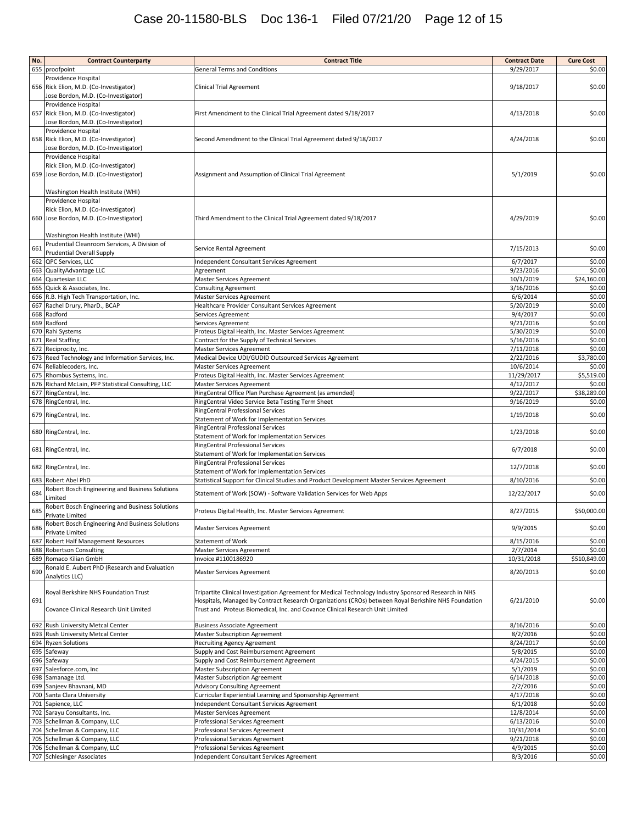| 655 proofpoint<br>9/29/2017<br><b>General Terms and Conditions</b><br>\$0.00<br>Providence Hospital<br>656 Rick Elion, M.D. (Co-Investigator)<br>Clinical Trial Agreement<br>9/18/2017<br>\$0.00<br>Jose Bordon, M.D. (Co-Investigator)<br>Providence Hospital<br>657 Rick Elion, M.D. (Co-Investigator)<br>4/13/2018<br>\$0.00<br>First Amendment to the Clinical Trial Agreement dated 9/18/2017<br>Jose Bordon, M.D. (Co-Investigator)<br>Providence Hospital<br>658 Rick Elion, M.D. (Co-Investigator)<br>Second Amendment to the Clinical Trial Agreement dated 9/18/2017<br>4/24/2018<br>Jose Bordon, M.D. (Co-Investigator)<br>Providence Hospital<br>Rick Elion, M.D. (Co-Investigator)<br>659 Jose Bordon, M.D. (Co-Investigator)<br>Assignment and Assumption of Clinical Trial Agreement<br>5/1/2019<br>\$0.00<br>Washington Health Institute (WHI)<br>Providence Hospital<br>Rick Elion, M.D. (Co-Investigator)<br>660 Jose Bordon, M.D. (Co-Investigator)<br>Third Amendment to the Clinical Trial Agreement dated 9/18/2017<br>4/29/2019<br>\$0.00<br>Washington Health Institute (WHI)<br>Prudential Cleanroom Services, A Division of<br>661<br>Service Rental Agreement<br>7/15/2013<br>\$0.00<br><b>Prudential Overall Supply</b><br>662 QPC Services, LLC<br>6/7/2017<br>\$0.00<br>Independent Consultant Services Agreement<br>663 QualityAdvantage LLC<br>9/23/2016<br>\$0.00<br>Agreement<br>664 Quartesian LLC<br>10/1/2019<br>\$24,160.00<br>Master Services Agreement<br>665 Quick & Associates, Inc.<br>3/16/2016<br>\$0.00<br><b>Consulting Agreement</b><br>6/6/2014<br>\$0.00<br>666 R.B. High Tech Transportation, Inc.<br>Master Services Agreement<br>\$0.00<br>667 Rachel Drury, PharD., BCAP<br>5/20/2019<br>Healthcare Provider Consultant Services Agreement<br>\$0.00<br>668 Radford<br>9/4/2017<br>Services Agreement<br>669 Radford<br>9/21/2016<br>\$0.00<br>Services Agreement<br>670 Rahi Systems<br>\$0.00<br>5/30/2019<br>Proteus Digital Health, Inc. Master Services Agreement<br>671 Real Staffing<br>5/16/2016<br>\$0.00<br>Contract for the Supply of Technical Services<br>672 Reciprocity, Inc.<br>7/11/2018<br>\$0.00<br>Master Services Agreement<br>\$3,780.00<br>Medical Device UDI/GUDID Outsourced Services Agreement<br>2/22/2016<br>673 Reed Technology and Information Services, Inc.<br>674 Reliablecoders, Inc.<br>10/6/2014<br>\$0.00<br>Master Services Agreement<br>675 Rhombus Systems, Inc.<br>11/29/2017<br>\$5,519.00<br>Proteus Digital Health, Inc. Master Services Agreement<br>676 Richard McLain, PFP Statistical Consulting, LLC<br>4/12/2017<br>\$0.00<br>Master Services Agreement<br>677 RingCentral, Inc.<br>RingCentral Office Plan Purchase Agreement (as amended)<br>9/22/2017<br>\$38,289.00<br>9/16/2019<br>\$0.00<br>678 RingCentral, Inc.<br>RingCentral Video Service Beta Testing Term Sheet<br>RingCentral Professional Services<br>\$0.00<br>679 RingCentral, Inc.<br>1/19/2018<br>Statement of Work for Implementation Services<br>RingCentral Professional Services<br>\$0.00<br>680 RingCentral, Inc.<br>1/23/2018<br>Statement of Work for Implementation Services<br>RingCentral Professional Services<br>\$0.00<br>681 RingCentral, Inc.<br>6/7/2018<br>Statement of Work for Implementation Services<br>RingCentral Professional Services<br>\$0.00<br>682 RingCentral, Inc.<br>12/7/2018<br>Statement of Work for Implementation Services<br>683 Robert Abel PhD<br>8/10/2016<br>\$0.00<br>Statistical Support for Clinical Studies and Product Development Master Services Agreement<br>Robert Bosch Engineering and Business Solutions<br>\$0.00<br>684<br>Statement of Work (SOW) - Software Validation Services for Web Apps<br>12/22/2017<br>Limited<br>Robert Bosch Engineering and Business Solutions<br>685<br>8/27/2015<br>Proteus Digital Health, Inc. Master Services Agreement<br>Private Limited<br>Robert Bosch Engineering And Business Solutlons<br>686<br>9/9/2015<br><b>Master Services Agreement</b><br>Private Limited<br>687 Robert Half Management Resources<br>Statement of Work<br>8/15/2016<br>\$0.00<br>688 Robertson Consulting<br>2/7/2014<br>\$0.00<br>Master Services Agreement<br>689 Romaco Kilian GmbH<br>Invoice #1100186920<br>10/31/2018<br>\$510,849.00<br>Ronald E. Aubert PhD (Research and Evaluation<br>690<br>\$0.00<br>8/20/2013<br>Master Services Agreement<br>Analytics LLC)<br>Royal Berkshire NHS Foundation Trust<br>Tripartite Clinical Investigation Agreement for Medical Technology Industry Sponsored Research in NHS<br>691<br>Hospitals, Managed by Contract Research Organizations (CROs) between Royal Berkshire NHS Foundation<br>6/21/2010<br>Covance Clinical Research Unit Limited<br>Trust and Proteus Biomedical, Inc. and Covance Clinical Research Unit Limited<br>692 Rush University Metcal Center<br>8/16/2016<br>\$0.00<br><b>Business Associate Agreement</b><br>693 Rush University Metcal Center<br>8/2/2016<br>\$0.00<br>Master Subscription Agreement<br>694 Ryzen Solutions<br>8/24/2017<br><b>Recruiting Agency Agreement</b><br>695 Safeway<br>5/8/2015<br>\$0.00<br>Supply and Cost Reimbursement Agreement<br>4/24/2015<br>\$0.00<br>696 Safeway<br>Supply and Cost Reimbursement Agreement<br>697 Salesforce.com, Inc<br>\$0.00<br>5/1/2019<br><b>Master Subscription Agreement</b><br>\$0.00<br>698 Samanage Ltd.<br>6/14/2018<br><b>Master Subscription Agreement</b><br>699 Sanjeev Bhavnani, MD<br>2/2/2016<br>\$0.00<br><b>Advisory Consulting Agreement</b><br>700 Santa Clara University<br>4/17/2018<br>\$0.00<br>Curricular Experiential Learning and Sponsorship Agreement<br>6/1/2018<br>\$0.00<br>701 Sapience, LLC<br>Independent Consultant Services Agreement<br>702 Sarayu Consultants, Inc.<br>12/8/2014<br>\$0.00<br>Master Services Agreement<br>703 Schellman & Company, LLC<br>6/13/2016<br>\$0.00<br>Professional Services Agreement<br>704 Schellman & Company, LLC<br>10/31/2014<br>\$0.00<br>Professional Services Agreement<br>705 Schellman & Company, LLC<br>9/21/2018<br>\$0.00<br>Professional Services Agreement<br>706 Schellman & Company, LLC<br>4/9/2015<br>Professional Services Agreement<br>707 Schlesinger Associates<br>8/3/2016<br>Independent Consultant Services Agreement | No. | <b>Contract Counterparty</b> | <b>Contract Title</b> | <b>Contract Date</b> | <b>Cure Cost</b> |
|----------------------------------------------------------------------------------------------------------------------------------------------------------------------------------------------------------------------------------------------------------------------------------------------------------------------------------------------------------------------------------------------------------------------------------------------------------------------------------------------------------------------------------------------------------------------------------------------------------------------------------------------------------------------------------------------------------------------------------------------------------------------------------------------------------------------------------------------------------------------------------------------------------------------------------------------------------------------------------------------------------------------------------------------------------------------------------------------------------------------------------------------------------------------------------------------------------------------------------------------------------------------------------------------------------------------------------------------------------------------------------------------------------------------------------------------------------------------------------------------------------------------------------------------------------------------------------------------------------------------------------------------------------------------------------------------------------------------------------------------------------------------------------------------------------------------------------------------------------------------------------------------------------------------------------------------------------------------------------------------------------------------------------------------------------------------------------------------------------------------------------------------------------------------------------------------------------------------------------------------------------------------------------------------------------------------------------------------------------------------------------------------------------------------------------------------------------------------------------------------------------------------------------------------------------------------------------------------------------------------------------------------------------------------------------------------------------------------------------------------------------------------------------------------------------------------------------------------------------------------------------------------------------------------------------------------------------------------------------------------------------------------------------------------------------------------------------------------------------------------------------------------------------------------------------------------------------------------------------------------------------------------------------------------------------------------------------------------------------------------------------------------------------------------------------------------------------------------------------------------------------------------------------------------------------------------------------------------------------------------------------------------------------------------------------------------------------------------------------------------------------------------------------------------------------------------------------------------------------------------------------------------------------------------------------------------------------------------------------------------------------------------------------------------------------------------------------------------------------------------------------------------------------------------------------------------------------------------------------------------------------------------------------------------------------------------------------------------------------------------------------------------------------------------------------------------------------------------------------------------------------------------------------------------------------------------------------------------------------------------------------------------------------------------------------------------------------------------------------------------------------------------------------------------------------------------------------------------------------------------------------------------------------------------------------------------------------------------------------------------------------------------------------------------------------------------------------------------------------------------------------------------------------------------------------------------------------------------------------------------------------------------------------------------------------------------------------------------------------------------------------------------------------------------------------------------------------------------------------------------------------------------------------------------------------------------------------------------------------------------------------------------------------------------------------------------------------------------------------------------------------------------------------------------------------------------------------------------------------------------------------------------------------------------------------------------------------------------------------------------------------------------------------------------------------------------------------------------------------------------------------------------------------------------------------------------------------------------------------------------------------------------------------------------------------|-----|------------------------------|-----------------------|----------------------|------------------|
|                                                                                                                                                                                                                                                                                                                                                                                                                                                                                                                                                                                                                                                                                                                                                                                                                                                                                                                                                                                                                                                                                                                                                                                                                                                                                                                                                                                                                                                                                                                                                                                                                                                                                                                                                                                                                                                                                                                                                                                                                                                                                                                                                                                                                                                                                                                                                                                                                                                                                                                                                                                                                                                                                                                                                                                                                                                                                                                                                                                                                                                                                                                                                                                                                                                                                                                                                                                                                                                                                                                                                                                                                                                                                                                                                                                                                                                                                                                                                                                                                                                                                                                                                                                                                                                                                                                                                                                                                                                                                                                                                                                                                                                                                                                                                                                                                                                                                                                                                                                                                                                                                                                                                                                                                                                                                                                                                                                                                                                                                                                                                                                                                                                                                                                                                                                                                                                                                                                                                                                                                                                                                                                                                                                                                                                                                                          |     |                              |                       |                      |                  |
|                                                                                                                                                                                                                                                                                                                                                                                                                                                                                                                                                                                                                                                                                                                                                                                                                                                                                                                                                                                                                                                                                                                                                                                                                                                                                                                                                                                                                                                                                                                                                                                                                                                                                                                                                                                                                                                                                                                                                                                                                                                                                                                                                                                                                                                                                                                                                                                                                                                                                                                                                                                                                                                                                                                                                                                                                                                                                                                                                                                                                                                                                                                                                                                                                                                                                                                                                                                                                                                                                                                                                                                                                                                                                                                                                                                                                                                                                                                                                                                                                                                                                                                                                                                                                                                                                                                                                                                                                                                                                                                                                                                                                                                                                                                                                                                                                                                                                                                                                                                                                                                                                                                                                                                                                                                                                                                                                                                                                                                                                                                                                                                                                                                                                                                                                                                                                                                                                                                                                                                                                                                                                                                                                                                                                                                                                                          |     |                              |                       |                      |                  |
|                                                                                                                                                                                                                                                                                                                                                                                                                                                                                                                                                                                                                                                                                                                                                                                                                                                                                                                                                                                                                                                                                                                                                                                                                                                                                                                                                                                                                                                                                                                                                                                                                                                                                                                                                                                                                                                                                                                                                                                                                                                                                                                                                                                                                                                                                                                                                                                                                                                                                                                                                                                                                                                                                                                                                                                                                                                                                                                                                                                                                                                                                                                                                                                                                                                                                                                                                                                                                                                                                                                                                                                                                                                                                                                                                                                                                                                                                                                                                                                                                                                                                                                                                                                                                                                                                                                                                                                                                                                                                                                                                                                                                                                                                                                                                                                                                                                                                                                                                                                                                                                                                                                                                                                                                                                                                                                                                                                                                                                                                                                                                                                                                                                                                                                                                                                                                                                                                                                                                                                                                                                                                                                                                                                                                                                                                                          |     |                              |                       |                      |                  |
|                                                                                                                                                                                                                                                                                                                                                                                                                                                                                                                                                                                                                                                                                                                                                                                                                                                                                                                                                                                                                                                                                                                                                                                                                                                                                                                                                                                                                                                                                                                                                                                                                                                                                                                                                                                                                                                                                                                                                                                                                                                                                                                                                                                                                                                                                                                                                                                                                                                                                                                                                                                                                                                                                                                                                                                                                                                                                                                                                                                                                                                                                                                                                                                                                                                                                                                                                                                                                                                                                                                                                                                                                                                                                                                                                                                                                                                                                                                                                                                                                                                                                                                                                                                                                                                                                                                                                                                                                                                                                                                                                                                                                                                                                                                                                                                                                                                                                                                                                                                                                                                                                                                                                                                                                                                                                                                                                                                                                                                                                                                                                                                                                                                                                                                                                                                                                                                                                                                                                                                                                                                                                                                                                                                                                                                                                                          |     |                              |                       |                      |                  |
|                                                                                                                                                                                                                                                                                                                                                                                                                                                                                                                                                                                                                                                                                                                                                                                                                                                                                                                                                                                                                                                                                                                                                                                                                                                                                                                                                                                                                                                                                                                                                                                                                                                                                                                                                                                                                                                                                                                                                                                                                                                                                                                                                                                                                                                                                                                                                                                                                                                                                                                                                                                                                                                                                                                                                                                                                                                                                                                                                                                                                                                                                                                                                                                                                                                                                                                                                                                                                                                                                                                                                                                                                                                                                                                                                                                                                                                                                                                                                                                                                                                                                                                                                                                                                                                                                                                                                                                                                                                                                                                                                                                                                                                                                                                                                                                                                                                                                                                                                                                                                                                                                                                                                                                                                                                                                                                                                                                                                                                                                                                                                                                                                                                                                                                                                                                                                                                                                                                                                                                                                                                                                                                                                                                                                                                                                                          |     |                              |                       |                      |                  |
|                                                                                                                                                                                                                                                                                                                                                                                                                                                                                                                                                                                                                                                                                                                                                                                                                                                                                                                                                                                                                                                                                                                                                                                                                                                                                                                                                                                                                                                                                                                                                                                                                                                                                                                                                                                                                                                                                                                                                                                                                                                                                                                                                                                                                                                                                                                                                                                                                                                                                                                                                                                                                                                                                                                                                                                                                                                                                                                                                                                                                                                                                                                                                                                                                                                                                                                                                                                                                                                                                                                                                                                                                                                                                                                                                                                                                                                                                                                                                                                                                                                                                                                                                                                                                                                                                                                                                                                                                                                                                                                                                                                                                                                                                                                                                                                                                                                                                                                                                                                                                                                                                                                                                                                                                                                                                                                                                                                                                                                                                                                                                                                                                                                                                                                                                                                                                                                                                                                                                                                                                                                                                                                                                                                                                                                                                                          |     |                              |                       |                      |                  |
|                                                                                                                                                                                                                                                                                                                                                                                                                                                                                                                                                                                                                                                                                                                                                                                                                                                                                                                                                                                                                                                                                                                                                                                                                                                                                                                                                                                                                                                                                                                                                                                                                                                                                                                                                                                                                                                                                                                                                                                                                                                                                                                                                                                                                                                                                                                                                                                                                                                                                                                                                                                                                                                                                                                                                                                                                                                                                                                                                                                                                                                                                                                                                                                                                                                                                                                                                                                                                                                                                                                                                                                                                                                                                                                                                                                                                                                                                                                                                                                                                                                                                                                                                                                                                                                                                                                                                                                                                                                                                                                                                                                                                                                                                                                                                                                                                                                                                                                                                                                                                                                                                                                                                                                                                                                                                                                                                                                                                                                                                                                                                                                                                                                                                                                                                                                                                                                                                                                                                                                                                                                                                                                                                                                                                                                                                                          |     |                              |                       |                      |                  |
|                                                                                                                                                                                                                                                                                                                                                                                                                                                                                                                                                                                                                                                                                                                                                                                                                                                                                                                                                                                                                                                                                                                                                                                                                                                                                                                                                                                                                                                                                                                                                                                                                                                                                                                                                                                                                                                                                                                                                                                                                                                                                                                                                                                                                                                                                                                                                                                                                                                                                                                                                                                                                                                                                                                                                                                                                                                                                                                                                                                                                                                                                                                                                                                                                                                                                                                                                                                                                                                                                                                                                                                                                                                                                                                                                                                                                                                                                                                                                                                                                                                                                                                                                                                                                                                                                                                                                                                                                                                                                                                                                                                                                                                                                                                                                                                                                                                                                                                                                                                                                                                                                                                                                                                                                                                                                                                                                                                                                                                                                                                                                                                                                                                                                                                                                                                                                                                                                                                                                                                                                                                                                                                                                                                                                                                                                                          |     |                              |                       |                      |                  |
|                                                                                                                                                                                                                                                                                                                                                                                                                                                                                                                                                                                                                                                                                                                                                                                                                                                                                                                                                                                                                                                                                                                                                                                                                                                                                                                                                                                                                                                                                                                                                                                                                                                                                                                                                                                                                                                                                                                                                                                                                                                                                                                                                                                                                                                                                                                                                                                                                                                                                                                                                                                                                                                                                                                                                                                                                                                                                                                                                                                                                                                                                                                                                                                                                                                                                                                                                                                                                                                                                                                                                                                                                                                                                                                                                                                                                                                                                                                                                                                                                                                                                                                                                                                                                                                                                                                                                                                                                                                                                                                                                                                                                                                                                                                                                                                                                                                                                                                                                                                                                                                                                                                                                                                                                                                                                                                                                                                                                                                                                                                                                                                                                                                                                                                                                                                                                                                                                                                                                                                                                                                                                                                                                                                                                                                                                                          |     |                              |                       |                      |                  |
|                                                                                                                                                                                                                                                                                                                                                                                                                                                                                                                                                                                                                                                                                                                                                                                                                                                                                                                                                                                                                                                                                                                                                                                                                                                                                                                                                                                                                                                                                                                                                                                                                                                                                                                                                                                                                                                                                                                                                                                                                                                                                                                                                                                                                                                                                                                                                                                                                                                                                                                                                                                                                                                                                                                                                                                                                                                                                                                                                                                                                                                                                                                                                                                                                                                                                                                                                                                                                                                                                                                                                                                                                                                                                                                                                                                                                                                                                                                                                                                                                                                                                                                                                                                                                                                                                                                                                                                                                                                                                                                                                                                                                                                                                                                                                                                                                                                                                                                                                                                                                                                                                                                                                                                                                                                                                                                                                                                                                                                                                                                                                                                                                                                                                                                                                                                                                                                                                                                                                                                                                                                                                                                                                                                                                                                                                                          |     |                              |                       |                      | \$0.00           |
|                                                                                                                                                                                                                                                                                                                                                                                                                                                                                                                                                                                                                                                                                                                                                                                                                                                                                                                                                                                                                                                                                                                                                                                                                                                                                                                                                                                                                                                                                                                                                                                                                                                                                                                                                                                                                                                                                                                                                                                                                                                                                                                                                                                                                                                                                                                                                                                                                                                                                                                                                                                                                                                                                                                                                                                                                                                                                                                                                                                                                                                                                                                                                                                                                                                                                                                                                                                                                                                                                                                                                                                                                                                                                                                                                                                                                                                                                                                                                                                                                                                                                                                                                                                                                                                                                                                                                                                                                                                                                                                                                                                                                                                                                                                                                                                                                                                                                                                                                                                                                                                                                                                                                                                                                                                                                                                                                                                                                                                                                                                                                                                                                                                                                                                                                                                                                                                                                                                                                                                                                                                                                                                                                                                                                                                                                                          |     |                              |                       |                      |                  |
|                                                                                                                                                                                                                                                                                                                                                                                                                                                                                                                                                                                                                                                                                                                                                                                                                                                                                                                                                                                                                                                                                                                                                                                                                                                                                                                                                                                                                                                                                                                                                                                                                                                                                                                                                                                                                                                                                                                                                                                                                                                                                                                                                                                                                                                                                                                                                                                                                                                                                                                                                                                                                                                                                                                                                                                                                                                                                                                                                                                                                                                                                                                                                                                                                                                                                                                                                                                                                                                                                                                                                                                                                                                                                                                                                                                                                                                                                                                                                                                                                                                                                                                                                                                                                                                                                                                                                                                                                                                                                                                                                                                                                                                                                                                                                                                                                                                                                                                                                                                                                                                                                                                                                                                                                                                                                                                                                                                                                                                                                                                                                                                                                                                                                                                                                                                                                                                                                                                                                                                                                                                                                                                                                                                                                                                                                                          |     |                              |                       |                      |                  |
|                                                                                                                                                                                                                                                                                                                                                                                                                                                                                                                                                                                                                                                                                                                                                                                                                                                                                                                                                                                                                                                                                                                                                                                                                                                                                                                                                                                                                                                                                                                                                                                                                                                                                                                                                                                                                                                                                                                                                                                                                                                                                                                                                                                                                                                                                                                                                                                                                                                                                                                                                                                                                                                                                                                                                                                                                                                                                                                                                                                                                                                                                                                                                                                                                                                                                                                                                                                                                                                                                                                                                                                                                                                                                                                                                                                                                                                                                                                                                                                                                                                                                                                                                                                                                                                                                                                                                                                                                                                                                                                                                                                                                                                                                                                                                                                                                                                                                                                                                                                                                                                                                                                                                                                                                                                                                                                                                                                                                                                                                                                                                                                                                                                                                                                                                                                                                                                                                                                                                                                                                                                                                                                                                                                                                                                                                                          |     |                              |                       |                      |                  |
|                                                                                                                                                                                                                                                                                                                                                                                                                                                                                                                                                                                                                                                                                                                                                                                                                                                                                                                                                                                                                                                                                                                                                                                                                                                                                                                                                                                                                                                                                                                                                                                                                                                                                                                                                                                                                                                                                                                                                                                                                                                                                                                                                                                                                                                                                                                                                                                                                                                                                                                                                                                                                                                                                                                                                                                                                                                                                                                                                                                                                                                                                                                                                                                                                                                                                                                                                                                                                                                                                                                                                                                                                                                                                                                                                                                                                                                                                                                                                                                                                                                                                                                                                                                                                                                                                                                                                                                                                                                                                                                                                                                                                                                                                                                                                                                                                                                                                                                                                                                                                                                                                                                                                                                                                                                                                                                                                                                                                                                                                                                                                                                                                                                                                                                                                                                                                                                                                                                                                                                                                                                                                                                                                                                                                                                                                                          |     |                              |                       |                      |                  |
|                                                                                                                                                                                                                                                                                                                                                                                                                                                                                                                                                                                                                                                                                                                                                                                                                                                                                                                                                                                                                                                                                                                                                                                                                                                                                                                                                                                                                                                                                                                                                                                                                                                                                                                                                                                                                                                                                                                                                                                                                                                                                                                                                                                                                                                                                                                                                                                                                                                                                                                                                                                                                                                                                                                                                                                                                                                                                                                                                                                                                                                                                                                                                                                                                                                                                                                                                                                                                                                                                                                                                                                                                                                                                                                                                                                                                                                                                                                                                                                                                                                                                                                                                                                                                                                                                                                                                                                                                                                                                                                                                                                                                                                                                                                                                                                                                                                                                                                                                                                                                                                                                                                                                                                                                                                                                                                                                                                                                                                                                                                                                                                                                                                                                                                                                                                                                                                                                                                                                                                                                                                                                                                                                                                                                                                                                                          |     |                              |                       |                      |                  |
|                                                                                                                                                                                                                                                                                                                                                                                                                                                                                                                                                                                                                                                                                                                                                                                                                                                                                                                                                                                                                                                                                                                                                                                                                                                                                                                                                                                                                                                                                                                                                                                                                                                                                                                                                                                                                                                                                                                                                                                                                                                                                                                                                                                                                                                                                                                                                                                                                                                                                                                                                                                                                                                                                                                                                                                                                                                                                                                                                                                                                                                                                                                                                                                                                                                                                                                                                                                                                                                                                                                                                                                                                                                                                                                                                                                                                                                                                                                                                                                                                                                                                                                                                                                                                                                                                                                                                                                                                                                                                                                                                                                                                                                                                                                                                                                                                                                                                                                                                                                                                                                                                                                                                                                                                                                                                                                                                                                                                                                                                                                                                                                                                                                                                                                                                                                                                                                                                                                                                                                                                                                                                                                                                                                                                                                                                                          |     |                              |                       |                      |                  |
|                                                                                                                                                                                                                                                                                                                                                                                                                                                                                                                                                                                                                                                                                                                                                                                                                                                                                                                                                                                                                                                                                                                                                                                                                                                                                                                                                                                                                                                                                                                                                                                                                                                                                                                                                                                                                                                                                                                                                                                                                                                                                                                                                                                                                                                                                                                                                                                                                                                                                                                                                                                                                                                                                                                                                                                                                                                                                                                                                                                                                                                                                                                                                                                                                                                                                                                                                                                                                                                                                                                                                                                                                                                                                                                                                                                                                                                                                                                                                                                                                                                                                                                                                                                                                                                                                                                                                                                                                                                                                                                                                                                                                                                                                                                                                                                                                                                                                                                                                                                                                                                                                                                                                                                                                                                                                                                                                                                                                                                                                                                                                                                                                                                                                                                                                                                                                                                                                                                                                                                                                                                                                                                                                                                                                                                                                                          |     |                              |                       |                      |                  |
|                                                                                                                                                                                                                                                                                                                                                                                                                                                                                                                                                                                                                                                                                                                                                                                                                                                                                                                                                                                                                                                                                                                                                                                                                                                                                                                                                                                                                                                                                                                                                                                                                                                                                                                                                                                                                                                                                                                                                                                                                                                                                                                                                                                                                                                                                                                                                                                                                                                                                                                                                                                                                                                                                                                                                                                                                                                                                                                                                                                                                                                                                                                                                                                                                                                                                                                                                                                                                                                                                                                                                                                                                                                                                                                                                                                                                                                                                                                                                                                                                                                                                                                                                                                                                                                                                                                                                                                                                                                                                                                                                                                                                                                                                                                                                                                                                                                                                                                                                                                                                                                                                                                                                                                                                                                                                                                                                                                                                                                                                                                                                                                                                                                                                                                                                                                                                                                                                                                                                                                                                                                                                                                                                                                                                                                                                                          |     |                              |                       |                      |                  |
|                                                                                                                                                                                                                                                                                                                                                                                                                                                                                                                                                                                                                                                                                                                                                                                                                                                                                                                                                                                                                                                                                                                                                                                                                                                                                                                                                                                                                                                                                                                                                                                                                                                                                                                                                                                                                                                                                                                                                                                                                                                                                                                                                                                                                                                                                                                                                                                                                                                                                                                                                                                                                                                                                                                                                                                                                                                                                                                                                                                                                                                                                                                                                                                                                                                                                                                                                                                                                                                                                                                                                                                                                                                                                                                                                                                                                                                                                                                                                                                                                                                                                                                                                                                                                                                                                                                                                                                                                                                                                                                                                                                                                                                                                                                                                                                                                                                                                                                                                                                                                                                                                                                                                                                                                                                                                                                                                                                                                                                                                                                                                                                                                                                                                                                                                                                                                                                                                                                                                                                                                                                                                                                                                                                                                                                                                                          |     |                              |                       |                      |                  |
|                                                                                                                                                                                                                                                                                                                                                                                                                                                                                                                                                                                                                                                                                                                                                                                                                                                                                                                                                                                                                                                                                                                                                                                                                                                                                                                                                                                                                                                                                                                                                                                                                                                                                                                                                                                                                                                                                                                                                                                                                                                                                                                                                                                                                                                                                                                                                                                                                                                                                                                                                                                                                                                                                                                                                                                                                                                                                                                                                                                                                                                                                                                                                                                                                                                                                                                                                                                                                                                                                                                                                                                                                                                                                                                                                                                                                                                                                                                                                                                                                                                                                                                                                                                                                                                                                                                                                                                                                                                                                                                                                                                                                                                                                                                                                                                                                                                                                                                                                                                                                                                                                                                                                                                                                                                                                                                                                                                                                                                                                                                                                                                                                                                                                                                                                                                                                                                                                                                                                                                                                                                                                                                                                                                                                                                                                                          |     |                              |                       |                      |                  |
|                                                                                                                                                                                                                                                                                                                                                                                                                                                                                                                                                                                                                                                                                                                                                                                                                                                                                                                                                                                                                                                                                                                                                                                                                                                                                                                                                                                                                                                                                                                                                                                                                                                                                                                                                                                                                                                                                                                                                                                                                                                                                                                                                                                                                                                                                                                                                                                                                                                                                                                                                                                                                                                                                                                                                                                                                                                                                                                                                                                                                                                                                                                                                                                                                                                                                                                                                                                                                                                                                                                                                                                                                                                                                                                                                                                                                                                                                                                                                                                                                                                                                                                                                                                                                                                                                                                                                                                                                                                                                                                                                                                                                                                                                                                                                                                                                                                                                                                                                                                                                                                                                                                                                                                                                                                                                                                                                                                                                                                                                                                                                                                                                                                                                                                                                                                                                                                                                                                                                                                                                                                                                                                                                                                                                                                                                                          |     |                              |                       |                      |                  |
|                                                                                                                                                                                                                                                                                                                                                                                                                                                                                                                                                                                                                                                                                                                                                                                                                                                                                                                                                                                                                                                                                                                                                                                                                                                                                                                                                                                                                                                                                                                                                                                                                                                                                                                                                                                                                                                                                                                                                                                                                                                                                                                                                                                                                                                                                                                                                                                                                                                                                                                                                                                                                                                                                                                                                                                                                                                                                                                                                                                                                                                                                                                                                                                                                                                                                                                                                                                                                                                                                                                                                                                                                                                                                                                                                                                                                                                                                                                                                                                                                                                                                                                                                                                                                                                                                                                                                                                                                                                                                                                                                                                                                                                                                                                                                                                                                                                                                                                                                                                                                                                                                                                                                                                                                                                                                                                                                                                                                                                                                                                                                                                                                                                                                                                                                                                                                                                                                                                                                                                                                                                                                                                                                                                                                                                                                                          |     |                              |                       |                      |                  |
|                                                                                                                                                                                                                                                                                                                                                                                                                                                                                                                                                                                                                                                                                                                                                                                                                                                                                                                                                                                                                                                                                                                                                                                                                                                                                                                                                                                                                                                                                                                                                                                                                                                                                                                                                                                                                                                                                                                                                                                                                                                                                                                                                                                                                                                                                                                                                                                                                                                                                                                                                                                                                                                                                                                                                                                                                                                                                                                                                                                                                                                                                                                                                                                                                                                                                                                                                                                                                                                                                                                                                                                                                                                                                                                                                                                                                                                                                                                                                                                                                                                                                                                                                                                                                                                                                                                                                                                                                                                                                                                                                                                                                                                                                                                                                                                                                                                                                                                                                                                                                                                                                                                                                                                                                                                                                                                                                                                                                                                                                                                                                                                                                                                                                                                                                                                                                                                                                                                                                                                                                                                                                                                                                                                                                                                                                                          |     |                              |                       |                      |                  |
|                                                                                                                                                                                                                                                                                                                                                                                                                                                                                                                                                                                                                                                                                                                                                                                                                                                                                                                                                                                                                                                                                                                                                                                                                                                                                                                                                                                                                                                                                                                                                                                                                                                                                                                                                                                                                                                                                                                                                                                                                                                                                                                                                                                                                                                                                                                                                                                                                                                                                                                                                                                                                                                                                                                                                                                                                                                                                                                                                                                                                                                                                                                                                                                                                                                                                                                                                                                                                                                                                                                                                                                                                                                                                                                                                                                                                                                                                                                                                                                                                                                                                                                                                                                                                                                                                                                                                                                                                                                                                                                                                                                                                                                                                                                                                                                                                                                                                                                                                                                                                                                                                                                                                                                                                                                                                                                                                                                                                                                                                                                                                                                                                                                                                                                                                                                                                                                                                                                                                                                                                                                                                                                                                                                                                                                                                                          |     |                              |                       |                      |                  |
|                                                                                                                                                                                                                                                                                                                                                                                                                                                                                                                                                                                                                                                                                                                                                                                                                                                                                                                                                                                                                                                                                                                                                                                                                                                                                                                                                                                                                                                                                                                                                                                                                                                                                                                                                                                                                                                                                                                                                                                                                                                                                                                                                                                                                                                                                                                                                                                                                                                                                                                                                                                                                                                                                                                                                                                                                                                                                                                                                                                                                                                                                                                                                                                                                                                                                                                                                                                                                                                                                                                                                                                                                                                                                                                                                                                                                                                                                                                                                                                                                                                                                                                                                                                                                                                                                                                                                                                                                                                                                                                                                                                                                                                                                                                                                                                                                                                                                                                                                                                                                                                                                                                                                                                                                                                                                                                                                                                                                                                                                                                                                                                                                                                                                                                                                                                                                                                                                                                                                                                                                                                                                                                                                                                                                                                                                                          |     |                              |                       |                      |                  |
|                                                                                                                                                                                                                                                                                                                                                                                                                                                                                                                                                                                                                                                                                                                                                                                                                                                                                                                                                                                                                                                                                                                                                                                                                                                                                                                                                                                                                                                                                                                                                                                                                                                                                                                                                                                                                                                                                                                                                                                                                                                                                                                                                                                                                                                                                                                                                                                                                                                                                                                                                                                                                                                                                                                                                                                                                                                                                                                                                                                                                                                                                                                                                                                                                                                                                                                                                                                                                                                                                                                                                                                                                                                                                                                                                                                                                                                                                                                                                                                                                                                                                                                                                                                                                                                                                                                                                                                                                                                                                                                                                                                                                                                                                                                                                                                                                                                                                                                                                                                                                                                                                                                                                                                                                                                                                                                                                                                                                                                                                                                                                                                                                                                                                                                                                                                                                                                                                                                                                                                                                                                                                                                                                                                                                                                                                                          |     |                              |                       |                      |                  |
|                                                                                                                                                                                                                                                                                                                                                                                                                                                                                                                                                                                                                                                                                                                                                                                                                                                                                                                                                                                                                                                                                                                                                                                                                                                                                                                                                                                                                                                                                                                                                                                                                                                                                                                                                                                                                                                                                                                                                                                                                                                                                                                                                                                                                                                                                                                                                                                                                                                                                                                                                                                                                                                                                                                                                                                                                                                                                                                                                                                                                                                                                                                                                                                                                                                                                                                                                                                                                                                                                                                                                                                                                                                                                                                                                                                                                                                                                                                                                                                                                                                                                                                                                                                                                                                                                                                                                                                                                                                                                                                                                                                                                                                                                                                                                                                                                                                                                                                                                                                                                                                                                                                                                                                                                                                                                                                                                                                                                                                                                                                                                                                                                                                                                                                                                                                                                                                                                                                                                                                                                                                                                                                                                                                                                                                                                                          |     |                              |                       |                      |                  |
|                                                                                                                                                                                                                                                                                                                                                                                                                                                                                                                                                                                                                                                                                                                                                                                                                                                                                                                                                                                                                                                                                                                                                                                                                                                                                                                                                                                                                                                                                                                                                                                                                                                                                                                                                                                                                                                                                                                                                                                                                                                                                                                                                                                                                                                                                                                                                                                                                                                                                                                                                                                                                                                                                                                                                                                                                                                                                                                                                                                                                                                                                                                                                                                                                                                                                                                                                                                                                                                                                                                                                                                                                                                                                                                                                                                                                                                                                                                                                                                                                                                                                                                                                                                                                                                                                                                                                                                                                                                                                                                                                                                                                                                                                                                                                                                                                                                                                                                                                                                                                                                                                                                                                                                                                                                                                                                                                                                                                                                                                                                                                                                                                                                                                                                                                                                                                                                                                                                                                                                                                                                                                                                                                                                                                                                                                                          |     |                              |                       |                      |                  |
|                                                                                                                                                                                                                                                                                                                                                                                                                                                                                                                                                                                                                                                                                                                                                                                                                                                                                                                                                                                                                                                                                                                                                                                                                                                                                                                                                                                                                                                                                                                                                                                                                                                                                                                                                                                                                                                                                                                                                                                                                                                                                                                                                                                                                                                                                                                                                                                                                                                                                                                                                                                                                                                                                                                                                                                                                                                                                                                                                                                                                                                                                                                                                                                                                                                                                                                                                                                                                                                                                                                                                                                                                                                                                                                                                                                                                                                                                                                                                                                                                                                                                                                                                                                                                                                                                                                                                                                                                                                                                                                                                                                                                                                                                                                                                                                                                                                                                                                                                                                                                                                                                                                                                                                                                                                                                                                                                                                                                                                                                                                                                                                                                                                                                                                                                                                                                                                                                                                                                                                                                                                                                                                                                                                                                                                                                                          |     |                              |                       |                      |                  |
|                                                                                                                                                                                                                                                                                                                                                                                                                                                                                                                                                                                                                                                                                                                                                                                                                                                                                                                                                                                                                                                                                                                                                                                                                                                                                                                                                                                                                                                                                                                                                                                                                                                                                                                                                                                                                                                                                                                                                                                                                                                                                                                                                                                                                                                                                                                                                                                                                                                                                                                                                                                                                                                                                                                                                                                                                                                                                                                                                                                                                                                                                                                                                                                                                                                                                                                                                                                                                                                                                                                                                                                                                                                                                                                                                                                                                                                                                                                                                                                                                                                                                                                                                                                                                                                                                                                                                                                                                                                                                                                                                                                                                                                                                                                                                                                                                                                                                                                                                                                                                                                                                                                                                                                                                                                                                                                                                                                                                                                                                                                                                                                                                                                                                                                                                                                                                                                                                                                                                                                                                                                                                                                                                                                                                                                                                                          |     |                              |                       |                      |                  |
|                                                                                                                                                                                                                                                                                                                                                                                                                                                                                                                                                                                                                                                                                                                                                                                                                                                                                                                                                                                                                                                                                                                                                                                                                                                                                                                                                                                                                                                                                                                                                                                                                                                                                                                                                                                                                                                                                                                                                                                                                                                                                                                                                                                                                                                                                                                                                                                                                                                                                                                                                                                                                                                                                                                                                                                                                                                                                                                                                                                                                                                                                                                                                                                                                                                                                                                                                                                                                                                                                                                                                                                                                                                                                                                                                                                                                                                                                                                                                                                                                                                                                                                                                                                                                                                                                                                                                                                                                                                                                                                                                                                                                                                                                                                                                                                                                                                                                                                                                                                                                                                                                                                                                                                                                                                                                                                                                                                                                                                                                                                                                                                                                                                                                                                                                                                                                                                                                                                                                                                                                                                                                                                                                                                                                                                                                                          |     |                              |                       |                      |                  |
|                                                                                                                                                                                                                                                                                                                                                                                                                                                                                                                                                                                                                                                                                                                                                                                                                                                                                                                                                                                                                                                                                                                                                                                                                                                                                                                                                                                                                                                                                                                                                                                                                                                                                                                                                                                                                                                                                                                                                                                                                                                                                                                                                                                                                                                                                                                                                                                                                                                                                                                                                                                                                                                                                                                                                                                                                                                                                                                                                                                                                                                                                                                                                                                                                                                                                                                                                                                                                                                                                                                                                                                                                                                                                                                                                                                                                                                                                                                                                                                                                                                                                                                                                                                                                                                                                                                                                                                                                                                                                                                                                                                                                                                                                                                                                                                                                                                                                                                                                                                                                                                                                                                                                                                                                                                                                                                                                                                                                                                                                                                                                                                                                                                                                                                                                                                                                                                                                                                                                                                                                                                                                                                                                                                                                                                                                                          |     |                              |                       |                      |                  |
|                                                                                                                                                                                                                                                                                                                                                                                                                                                                                                                                                                                                                                                                                                                                                                                                                                                                                                                                                                                                                                                                                                                                                                                                                                                                                                                                                                                                                                                                                                                                                                                                                                                                                                                                                                                                                                                                                                                                                                                                                                                                                                                                                                                                                                                                                                                                                                                                                                                                                                                                                                                                                                                                                                                                                                                                                                                                                                                                                                                                                                                                                                                                                                                                                                                                                                                                                                                                                                                                                                                                                                                                                                                                                                                                                                                                                                                                                                                                                                                                                                                                                                                                                                                                                                                                                                                                                                                                                                                                                                                                                                                                                                                                                                                                                                                                                                                                                                                                                                                                                                                                                                                                                                                                                                                                                                                                                                                                                                                                                                                                                                                                                                                                                                                                                                                                                                                                                                                                                                                                                                                                                                                                                                                                                                                                                                          |     |                              |                       |                      |                  |
|                                                                                                                                                                                                                                                                                                                                                                                                                                                                                                                                                                                                                                                                                                                                                                                                                                                                                                                                                                                                                                                                                                                                                                                                                                                                                                                                                                                                                                                                                                                                                                                                                                                                                                                                                                                                                                                                                                                                                                                                                                                                                                                                                                                                                                                                                                                                                                                                                                                                                                                                                                                                                                                                                                                                                                                                                                                                                                                                                                                                                                                                                                                                                                                                                                                                                                                                                                                                                                                                                                                                                                                                                                                                                                                                                                                                                                                                                                                                                                                                                                                                                                                                                                                                                                                                                                                                                                                                                                                                                                                                                                                                                                                                                                                                                                                                                                                                                                                                                                                                                                                                                                                                                                                                                                                                                                                                                                                                                                                                                                                                                                                                                                                                                                                                                                                                                                                                                                                                                                                                                                                                                                                                                                                                                                                                                                          |     |                              |                       |                      |                  |
|                                                                                                                                                                                                                                                                                                                                                                                                                                                                                                                                                                                                                                                                                                                                                                                                                                                                                                                                                                                                                                                                                                                                                                                                                                                                                                                                                                                                                                                                                                                                                                                                                                                                                                                                                                                                                                                                                                                                                                                                                                                                                                                                                                                                                                                                                                                                                                                                                                                                                                                                                                                                                                                                                                                                                                                                                                                                                                                                                                                                                                                                                                                                                                                                                                                                                                                                                                                                                                                                                                                                                                                                                                                                                                                                                                                                                                                                                                                                                                                                                                                                                                                                                                                                                                                                                                                                                                                                                                                                                                                                                                                                                                                                                                                                                                                                                                                                                                                                                                                                                                                                                                                                                                                                                                                                                                                                                                                                                                                                                                                                                                                                                                                                                                                                                                                                                                                                                                                                                                                                                                                                                                                                                                                                                                                                                                          |     |                              |                       |                      |                  |
|                                                                                                                                                                                                                                                                                                                                                                                                                                                                                                                                                                                                                                                                                                                                                                                                                                                                                                                                                                                                                                                                                                                                                                                                                                                                                                                                                                                                                                                                                                                                                                                                                                                                                                                                                                                                                                                                                                                                                                                                                                                                                                                                                                                                                                                                                                                                                                                                                                                                                                                                                                                                                                                                                                                                                                                                                                                                                                                                                                                                                                                                                                                                                                                                                                                                                                                                                                                                                                                                                                                                                                                                                                                                                                                                                                                                                                                                                                                                                                                                                                                                                                                                                                                                                                                                                                                                                                                                                                                                                                                                                                                                                                                                                                                                                                                                                                                                                                                                                                                                                                                                                                                                                                                                                                                                                                                                                                                                                                                                                                                                                                                                                                                                                                                                                                                                                                                                                                                                                                                                                                                                                                                                                                                                                                                                                                          |     |                              |                       |                      |                  |
|                                                                                                                                                                                                                                                                                                                                                                                                                                                                                                                                                                                                                                                                                                                                                                                                                                                                                                                                                                                                                                                                                                                                                                                                                                                                                                                                                                                                                                                                                                                                                                                                                                                                                                                                                                                                                                                                                                                                                                                                                                                                                                                                                                                                                                                                                                                                                                                                                                                                                                                                                                                                                                                                                                                                                                                                                                                                                                                                                                                                                                                                                                                                                                                                                                                                                                                                                                                                                                                                                                                                                                                                                                                                                                                                                                                                                                                                                                                                                                                                                                                                                                                                                                                                                                                                                                                                                                                                                                                                                                                                                                                                                                                                                                                                                                                                                                                                                                                                                                                                                                                                                                                                                                                                                                                                                                                                                                                                                                                                                                                                                                                                                                                                                                                                                                                                                                                                                                                                                                                                                                                                                                                                                                                                                                                                                                          |     |                              |                       |                      |                  |
|                                                                                                                                                                                                                                                                                                                                                                                                                                                                                                                                                                                                                                                                                                                                                                                                                                                                                                                                                                                                                                                                                                                                                                                                                                                                                                                                                                                                                                                                                                                                                                                                                                                                                                                                                                                                                                                                                                                                                                                                                                                                                                                                                                                                                                                                                                                                                                                                                                                                                                                                                                                                                                                                                                                                                                                                                                                                                                                                                                                                                                                                                                                                                                                                                                                                                                                                                                                                                                                                                                                                                                                                                                                                                                                                                                                                                                                                                                                                                                                                                                                                                                                                                                                                                                                                                                                                                                                                                                                                                                                                                                                                                                                                                                                                                                                                                                                                                                                                                                                                                                                                                                                                                                                                                                                                                                                                                                                                                                                                                                                                                                                                                                                                                                                                                                                                                                                                                                                                                                                                                                                                                                                                                                                                                                                                                                          |     |                              |                       |                      |                  |
|                                                                                                                                                                                                                                                                                                                                                                                                                                                                                                                                                                                                                                                                                                                                                                                                                                                                                                                                                                                                                                                                                                                                                                                                                                                                                                                                                                                                                                                                                                                                                                                                                                                                                                                                                                                                                                                                                                                                                                                                                                                                                                                                                                                                                                                                                                                                                                                                                                                                                                                                                                                                                                                                                                                                                                                                                                                                                                                                                                                                                                                                                                                                                                                                                                                                                                                                                                                                                                                                                                                                                                                                                                                                                                                                                                                                                                                                                                                                                                                                                                                                                                                                                                                                                                                                                                                                                                                                                                                                                                                                                                                                                                                                                                                                                                                                                                                                                                                                                                                                                                                                                                                                                                                                                                                                                                                                                                                                                                                                                                                                                                                                                                                                                                                                                                                                                                                                                                                                                                                                                                                                                                                                                                                                                                                                                                          |     |                              |                       |                      |                  |
|                                                                                                                                                                                                                                                                                                                                                                                                                                                                                                                                                                                                                                                                                                                                                                                                                                                                                                                                                                                                                                                                                                                                                                                                                                                                                                                                                                                                                                                                                                                                                                                                                                                                                                                                                                                                                                                                                                                                                                                                                                                                                                                                                                                                                                                                                                                                                                                                                                                                                                                                                                                                                                                                                                                                                                                                                                                                                                                                                                                                                                                                                                                                                                                                                                                                                                                                                                                                                                                                                                                                                                                                                                                                                                                                                                                                                                                                                                                                                                                                                                                                                                                                                                                                                                                                                                                                                                                                                                                                                                                                                                                                                                                                                                                                                                                                                                                                                                                                                                                                                                                                                                                                                                                                                                                                                                                                                                                                                                                                                                                                                                                                                                                                                                                                                                                                                                                                                                                                                                                                                                                                                                                                                                                                                                                                                                          |     |                              |                       |                      |                  |
|                                                                                                                                                                                                                                                                                                                                                                                                                                                                                                                                                                                                                                                                                                                                                                                                                                                                                                                                                                                                                                                                                                                                                                                                                                                                                                                                                                                                                                                                                                                                                                                                                                                                                                                                                                                                                                                                                                                                                                                                                                                                                                                                                                                                                                                                                                                                                                                                                                                                                                                                                                                                                                                                                                                                                                                                                                                                                                                                                                                                                                                                                                                                                                                                                                                                                                                                                                                                                                                                                                                                                                                                                                                                                                                                                                                                                                                                                                                                                                                                                                                                                                                                                                                                                                                                                                                                                                                                                                                                                                                                                                                                                                                                                                                                                                                                                                                                                                                                                                                                                                                                                                                                                                                                                                                                                                                                                                                                                                                                                                                                                                                                                                                                                                                                                                                                                                                                                                                                                                                                                                                                                                                                                                                                                                                                                                          |     |                              |                       |                      |                  |
|                                                                                                                                                                                                                                                                                                                                                                                                                                                                                                                                                                                                                                                                                                                                                                                                                                                                                                                                                                                                                                                                                                                                                                                                                                                                                                                                                                                                                                                                                                                                                                                                                                                                                                                                                                                                                                                                                                                                                                                                                                                                                                                                                                                                                                                                                                                                                                                                                                                                                                                                                                                                                                                                                                                                                                                                                                                                                                                                                                                                                                                                                                                                                                                                                                                                                                                                                                                                                                                                                                                                                                                                                                                                                                                                                                                                                                                                                                                                                                                                                                                                                                                                                                                                                                                                                                                                                                                                                                                                                                                                                                                                                                                                                                                                                                                                                                                                                                                                                                                                                                                                                                                                                                                                                                                                                                                                                                                                                                                                                                                                                                                                                                                                                                                                                                                                                                                                                                                                                                                                                                                                                                                                                                                                                                                                                                          |     |                              |                       |                      |                  |
|                                                                                                                                                                                                                                                                                                                                                                                                                                                                                                                                                                                                                                                                                                                                                                                                                                                                                                                                                                                                                                                                                                                                                                                                                                                                                                                                                                                                                                                                                                                                                                                                                                                                                                                                                                                                                                                                                                                                                                                                                                                                                                                                                                                                                                                                                                                                                                                                                                                                                                                                                                                                                                                                                                                                                                                                                                                                                                                                                                                                                                                                                                                                                                                                                                                                                                                                                                                                                                                                                                                                                                                                                                                                                                                                                                                                                                                                                                                                                                                                                                                                                                                                                                                                                                                                                                                                                                                                                                                                                                                                                                                                                                                                                                                                                                                                                                                                                                                                                                                                                                                                                                                                                                                                                                                                                                                                                                                                                                                                                                                                                                                                                                                                                                                                                                                                                                                                                                                                                                                                                                                                                                                                                                                                                                                                                                          |     |                              |                       |                      |                  |
|                                                                                                                                                                                                                                                                                                                                                                                                                                                                                                                                                                                                                                                                                                                                                                                                                                                                                                                                                                                                                                                                                                                                                                                                                                                                                                                                                                                                                                                                                                                                                                                                                                                                                                                                                                                                                                                                                                                                                                                                                                                                                                                                                                                                                                                                                                                                                                                                                                                                                                                                                                                                                                                                                                                                                                                                                                                                                                                                                                                                                                                                                                                                                                                                                                                                                                                                                                                                                                                                                                                                                                                                                                                                                                                                                                                                                                                                                                                                                                                                                                                                                                                                                                                                                                                                                                                                                                                                                                                                                                                                                                                                                                                                                                                                                                                                                                                                                                                                                                                                                                                                                                                                                                                                                                                                                                                                                                                                                                                                                                                                                                                                                                                                                                                                                                                                                                                                                                                                                                                                                                                                                                                                                                                                                                                                                                          |     |                              |                       |                      |                  |
|                                                                                                                                                                                                                                                                                                                                                                                                                                                                                                                                                                                                                                                                                                                                                                                                                                                                                                                                                                                                                                                                                                                                                                                                                                                                                                                                                                                                                                                                                                                                                                                                                                                                                                                                                                                                                                                                                                                                                                                                                                                                                                                                                                                                                                                                                                                                                                                                                                                                                                                                                                                                                                                                                                                                                                                                                                                                                                                                                                                                                                                                                                                                                                                                                                                                                                                                                                                                                                                                                                                                                                                                                                                                                                                                                                                                                                                                                                                                                                                                                                                                                                                                                                                                                                                                                                                                                                                                                                                                                                                                                                                                                                                                                                                                                                                                                                                                                                                                                                                                                                                                                                                                                                                                                                                                                                                                                                                                                                                                                                                                                                                                                                                                                                                                                                                                                                                                                                                                                                                                                                                                                                                                                                                                                                                                                                          |     |                              |                       |                      |                  |
|                                                                                                                                                                                                                                                                                                                                                                                                                                                                                                                                                                                                                                                                                                                                                                                                                                                                                                                                                                                                                                                                                                                                                                                                                                                                                                                                                                                                                                                                                                                                                                                                                                                                                                                                                                                                                                                                                                                                                                                                                                                                                                                                                                                                                                                                                                                                                                                                                                                                                                                                                                                                                                                                                                                                                                                                                                                                                                                                                                                                                                                                                                                                                                                                                                                                                                                                                                                                                                                                                                                                                                                                                                                                                                                                                                                                                                                                                                                                                                                                                                                                                                                                                                                                                                                                                                                                                                                                                                                                                                                                                                                                                                                                                                                                                                                                                                                                                                                                                                                                                                                                                                                                                                                                                                                                                                                                                                                                                                                                                                                                                                                                                                                                                                                                                                                                                                                                                                                                                                                                                                                                                                                                                                                                                                                                                                          |     |                              |                       |                      |                  |
|                                                                                                                                                                                                                                                                                                                                                                                                                                                                                                                                                                                                                                                                                                                                                                                                                                                                                                                                                                                                                                                                                                                                                                                                                                                                                                                                                                                                                                                                                                                                                                                                                                                                                                                                                                                                                                                                                                                                                                                                                                                                                                                                                                                                                                                                                                                                                                                                                                                                                                                                                                                                                                                                                                                                                                                                                                                                                                                                                                                                                                                                                                                                                                                                                                                                                                                                                                                                                                                                                                                                                                                                                                                                                                                                                                                                                                                                                                                                                                                                                                                                                                                                                                                                                                                                                                                                                                                                                                                                                                                                                                                                                                                                                                                                                                                                                                                                                                                                                                                                                                                                                                                                                                                                                                                                                                                                                                                                                                                                                                                                                                                                                                                                                                                                                                                                                                                                                                                                                                                                                                                                                                                                                                                                                                                                                                          |     |                              |                       |                      |                  |
|                                                                                                                                                                                                                                                                                                                                                                                                                                                                                                                                                                                                                                                                                                                                                                                                                                                                                                                                                                                                                                                                                                                                                                                                                                                                                                                                                                                                                                                                                                                                                                                                                                                                                                                                                                                                                                                                                                                                                                                                                                                                                                                                                                                                                                                                                                                                                                                                                                                                                                                                                                                                                                                                                                                                                                                                                                                                                                                                                                                                                                                                                                                                                                                                                                                                                                                                                                                                                                                                                                                                                                                                                                                                                                                                                                                                                                                                                                                                                                                                                                                                                                                                                                                                                                                                                                                                                                                                                                                                                                                                                                                                                                                                                                                                                                                                                                                                                                                                                                                                                                                                                                                                                                                                                                                                                                                                                                                                                                                                                                                                                                                                                                                                                                                                                                                                                                                                                                                                                                                                                                                                                                                                                                                                                                                                                                          |     |                              |                       |                      |                  |
|                                                                                                                                                                                                                                                                                                                                                                                                                                                                                                                                                                                                                                                                                                                                                                                                                                                                                                                                                                                                                                                                                                                                                                                                                                                                                                                                                                                                                                                                                                                                                                                                                                                                                                                                                                                                                                                                                                                                                                                                                                                                                                                                                                                                                                                                                                                                                                                                                                                                                                                                                                                                                                                                                                                                                                                                                                                                                                                                                                                                                                                                                                                                                                                                                                                                                                                                                                                                                                                                                                                                                                                                                                                                                                                                                                                                                                                                                                                                                                                                                                                                                                                                                                                                                                                                                                                                                                                                                                                                                                                                                                                                                                                                                                                                                                                                                                                                                                                                                                                                                                                                                                                                                                                                                                                                                                                                                                                                                                                                                                                                                                                                                                                                                                                                                                                                                                                                                                                                                                                                                                                                                                                                                                                                                                                                                                          |     |                              |                       |                      |                  |
|                                                                                                                                                                                                                                                                                                                                                                                                                                                                                                                                                                                                                                                                                                                                                                                                                                                                                                                                                                                                                                                                                                                                                                                                                                                                                                                                                                                                                                                                                                                                                                                                                                                                                                                                                                                                                                                                                                                                                                                                                                                                                                                                                                                                                                                                                                                                                                                                                                                                                                                                                                                                                                                                                                                                                                                                                                                                                                                                                                                                                                                                                                                                                                                                                                                                                                                                                                                                                                                                                                                                                                                                                                                                                                                                                                                                                                                                                                                                                                                                                                                                                                                                                                                                                                                                                                                                                                                                                                                                                                                                                                                                                                                                                                                                                                                                                                                                                                                                                                                                                                                                                                                                                                                                                                                                                                                                                                                                                                                                                                                                                                                                                                                                                                                                                                                                                                                                                                                                                                                                                                                                                                                                                                                                                                                                                                          |     |                              |                       |                      |                  |
|                                                                                                                                                                                                                                                                                                                                                                                                                                                                                                                                                                                                                                                                                                                                                                                                                                                                                                                                                                                                                                                                                                                                                                                                                                                                                                                                                                                                                                                                                                                                                                                                                                                                                                                                                                                                                                                                                                                                                                                                                                                                                                                                                                                                                                                                                                                                                                                                                                                                                                                                                                                                                                                                                                                                                                                                                                                                                                                                                                                                                                                                                                                                                                                                                                                                                                                                                                                                                                                                                                                                                                                                                                                                                                                                                                                                                                                                                                                                                                                                                                                                                                                                                                                                                                                                                                                                                                                                                                                                                                                                                                                                                                                                                                                                                                                                                                                                                                                                                                                                                                                                                                                                                                                                                                                                                                                                                                                                                                                                                                                                                                                                                                                                                                                                                                                                                                                                                                                                                                                                                                                                                                                                                                                                                                                                                                          |     |                              |                       |                      |                  |
|                                                                                                                                                                                                                                                                                                                                                                                                                                                                                                                                                                                                                                                                                                                                                                                                                                                                                                                                                                                                                                                                                                                                                                                                                                                                                                                                                                                                                                                                                                                                                                                                                                                                                                                                                                                                                                                                                                                                                                                                                                                                                                                                                                                                                                                                                                                                                                                                                                                                                                                                                                                                                                                                                                                                                                                                                                                                                                                                                                                                                                                                                                                                                                                                                                                                                                                                                                                                                                                                                                                                                                                                                                                                                                                                                                                                                                                                                                                                                                                                                                                                                                                                                                                                                                                                                                                                                                                                                                                                                                                                                                                                                                                                                                                                                                                                                                                                                                                                                                                                                                                                                                                                                                                                                                                                                                                                                                                                                                                                                                                                                                                                                                                                                                                                                                                                                                                                                                                                                                                                                                                                                                                                                                                                                                                                                                          |     |                              |                       |                      |                  |
|                                                                                                                                                                                                                                                                                                                                                                                                                                                                                                                                                                                                                                                                                                                                                                                                                                                                                                                                                                                                                                                                                                                                                                                                                                                                                                                                                                                                                                                                                                                                                                                                                                                                                                                                                                                                                                                                                                                                                                                                                                                                                                                                                                                                                                                                                                                                                                                                                                                                                                                                                                                                                                                                                                                                                                                                                                                                                                                                                                                                                                                                                                                                                                                                                                                                                                                                                                                                                                                                                                                                                                                                                                                                                                                                                                                                                                                                                                                                                                                                                                                                                                                                                                                                                                                                                                                                                                                                                                                                                                                                                                                                                                                                                                                                                                                                                                                                                                                                                                                                                                                                                                                                                                                                                                                                                                                                                                                                                                                                                                                                                                                                                                                                                                                                                                                                                                                                                                                                                                                                                                                                                                                                                                                                                                                                                                          |     |                              |                       |                      |                  |
|                                                                                                                                                                                                                                                                                                                                                                                                                                                                                                                                                                                                                                                                                                                                                                                                                                                                                                                                                                                                                                                                                                                                                                                                                                                                                                                                                                                                                                                                                                                                                                                                                                                                                                                                                                                                                                                                                                                                                                                                                                                                                                                                                                                                                                                                                                                                                                                                                                                                                                                                                                                                                                                                                                                                                                                                                                                                                                                                                                                                                                                                                                                                                                                                                                                                                                                                                                                                                                                                                                                                                                                                                                                                                                                                                                                                                                                                                                                                                                                                                                                                                                                                                                                                                                                                                                                                                                                                                                                                                                                                                                                                                                                                                                                                                                                                                                                                                                                                                                                                                                                                                                                                                                                                                                                                                                                                                                                                                                                                                                                                                                                                                                                                                                                                                                                                                                                                                                                                                                                                                                                                                                                                                                                                                                                                                                          |     |                              |                       |                      |                  |
|                                                                                                                                                                                                                                                                                                                                                                                                                                                                                                                                                                                                                                                                                                                                                                                                                                                                                                                                                                                                                                                                                                                                                                                                                                                                                                                                                                                                                                                                                                                                                                                                                                                                                                                                                                                                                                                                                                                                                                                                                                                                                                                                                                                                                                                                                                                                                                                                                                                                                                                                                                                                                                                                                                                                                                                                                                                                                                                                                                                                                                                                                                                                                                                                                                                                                                                                                                                                                                                                                                                                                                                                                                                                                                                                                                                                                                                                                                                                                                                                                                                                                                                                                                                                                                                                                                                                                                                                                                                                                                                                                                                                                                                                                                                                                                                                                                                                                                                                                                                                                                                                                                                                                                                                                                                                                                                                                                                                                                                                                                                                                                                                                                                                                                                                                                                                                                                                                                                                                                                                                                                                                                                                                                                                                                                                                                          |     |                              |                       |                      |                  |
|                                                                                                                                                                                                                                                                                                                                                                                                                                                                                                                                                                                                                                                                                                                                                                                                                                                                                                                                                                                                                                                                                                                                                                                                                                                                                                                                                                                                                                                                                                                                                                                                                                                                                                                                                                                                                                                                                                                                                                                                                                                                                                                                                                                                                                                                                                                                                                                                                                                                                                                                                                                                                                                                                                                                                                                                                                                                                                                                                                                                                                                                                                                                                                                                                                                                                                                                                                                                                                                                                                                                                                                                                                                                                                                                                                                                                                                                                                                                                                                                                                                                                                                                                                                                                                                                                                                                                                                                                                                                                                                                                                                                                                                                                                                                                                                                                                                                                                                                                                                                                                                                                                                                                                                                                                                                                                                                                                                                                                                                                                                                                                                                                                                                                                                                                                                                                                                                                                                                                                                                                                                                                                                                                                                                                                                                                                          |     |                              |                       |                      | \$50,000.00      |
|                                                                                                                                                                                                                                                                                                                                                                                                                                                                                                                                                                                                                                                                                                                                                                                                                                                                                                                                                                                                                                                                                                                                                                                                                                                                                                                                                                                                                                                                                                                                                                                                                                                                                                                                                                                                                                                                                                                                                                                                                                                                                                                                                                                                                                                                                                                                                                                                                                                                                                                                                                                                                                                                                                                                                                                                                                                                                                                                                                                                                                                                                                                                                                                                                                                                                                                                                                                                                                                                                                                                                                                                                                                                                                                                                                                                                                                                                                                                                                                                                                                                                                                                                                                                                                                                                                                                                                                                                                                                                                                                                                                                                                                                                                                                                                                                                                                                                                                                                                                                                                                                                                                                                                                                                                                                                                                                                                                                                                                                                                                                                                                                                                                                                                                                                                                                                                                                                                                                                                                                                                                                                                                                                                                                                                                                                                          |     |                              |                       |                      |                  |
|                                                                                                                                                                                                                                                                                                                                                                                                                                                                                                                                                                                                                                                                                                                                                                                                                                                                                                                                                                                                                                                                                                                                                                                                                                                                                                                                                                                                                                                                                                                                                                                                                                                                                                                                                                                                                                                                                                                                                                                                                                                                                                                                                                                                                                                                                                                                                                                                                                                                                                                                                                                                                                                                                                                                                                                                                                                                                                                                                                                                                                                                                                                                                                                                                                                                                                                                                                                                                                                                                                                                                                                                                                                                                                                                                                                                                                                                                                                                                                                                                                                                                                                                                                                                                                                                                                                                                                                                                                                                                                                                                                                                                                                                                                                                                                                                                                                                                                                                                                                                                                                                                                                                                                                                                                                                                                                                                                                                                                                                                                                                                                                                                                                                                                                                                                                                                                                                                                                                                                                                                                                                                                                                                                                                                                                                                                          |     |                              |                       |                      | \$0.00           |
|                                                                                                                                                                                                                                                                                                                                                                                                                                                                                                                                                                                                                                                                                                                                                                                                                                                                                                                                                                                                                                                                                                                                                                                                                                                                                                                                                                                                                                                                                                                                                                                                                                                                                                                                                                                                                                                                                                                                                                                                                                                                                                                                                                                                                                                                                                                                                                                                                                                                                                                                                                                                                                                                                                                                                                                                                                                                                                                                                                                                                                                                                                                                                                                                                                                                                                                                                                                                                                                                                                                                                                                                                                                                                                                                                                                                                                                                                                                                                                                                                                                                                                                                                                                                                                                                                                                                                                                                                                                                                                                                                                                                                                                                                                                                                                                                                                                                                                                                                                                                                                                                                                                                                                                                                                                                                                                                                                                                                                                                                                                                                                                                                                                                                                                                                                                                                                                                                                                                                                                                                                                                                                                                                                                                                                                                                                          |     |                              |                       |                      |                  |
|                                                                                                                                                                                                                                                                                                                                                                                                                                                                                                                                                                                                                                                                                                                                                                                                                                                                                                                                                                                                                                                                                                                                                                                                                                                                                                                                                                                                                                                                                                                                                                                                                                                                                                                                                                                                                                                                                                                                                                                                                                                                                                                                                                                                                                                                                                                                                                                                                                                                                                                                                                                                                                                                                                                                                                                                                                                                                                                                                                                                                                                                                                                                                                                                                                                                                                                                                                                                                                                                                                                                                                                                                                                                                                                                                                                                                                                                                                                                                                                                                                                                                                                                                                                                                                                                                                                                                                                                                                                                                                                                                                                                                                                                                                                                                                                                                                                                                                                                                                                                                                                                                                                                                                                                                                                                                                                                                                                                                                                                                                                                                                                                                                                                                                                                                                                                                                                                                                                                                                                                                                                                                                                                                                                                                                                                                                          |     |                              |                       |                      |                  |
|                                                                                                                                                                                                                                                                                                                                                                                                                                                                                                                                                                                                                                                                                                                                                                                                                                                                                                                                                                                                                                                                                                                                                                                                                                                                                                                                                                                                                                                                                                                                                                                                                                                                                                                                                                                                                                                                                                                                                                                                                                                                                                                                                                                                                                                                                                                                                                                                                                                                                                                                                                                                                                                                                                                                                                                                                                                                                                                                                                                                                                                                                                                                                                                                                                                                                                                                                                                                                                                                                                                                                                                                                                                                                                                                                                                                                                                                                                                                                                                                                                                                                                                                                                                                                                                                                                                                                                                                                                                                                                                                                                                                                                                                                                                                                                                                                                                                                                                                                                                                                                                                                                                                                                                                                                                                                                                                                                                                                                                                                                                                                                                                                                                                                                                                                                                                                                                                                                                                                                                                                                                                                                                                                                                                                                                                                                          |     |                              |                       |                      |                  |
|                                                                                                                                                                                                                                                                                                                                                                                                                                                                                                                                                                                                                                                                                                                                                                                                                                                                                                                                                                                                                                                                                                                                                                                                                                                                                                                                                                                                                                                                                                                                                                                                                                                                                                                                                                                                                                                                                                                                                                                                                                                                                                                                                                                                                                                                                                                                                                                                                                                                                                                                                                                                                                                                                                                                                                                                                                                                                                                                                                                                                                                                                                                                                                                                                                                                                                                                                                                                                                                                                                                                                                                                                                                                                                                                                                                                                                                                                                                                                                                                                                                                                                                                                                                                                                                                                                                                                                                                                                                                                                                                                                                                                                                                                                                                                                                                                                                                                                                                                                                                                                                                                                                                                                                                                                                                                                                                                                                                                                                                                                                                                                                                                                                                                                                                                                                                                                                                                                                                                                                                                                                                                                                                                                                                                                                                                                          |     |                              |                       |                      |                  |
|                                                                                                                                                                                                                                                                                                                                                                                                                                                                                                                                                                                                                                                                                                                                                                                                                                                                                                                                                                                                                                                                                                                                                                                                                                                                                                                                                                                                                                                                                                                                                                                                                                                                                                                                                                                                                                                                                                                                                                                                                                                                                                                                                                                                                                                                                                                                                                                                                                                                                                                                                                                                                                                                                                                                                                                                                                                                                                                                                                                                                                                                                                                                                                                                                                                                                                                                                                                                                                                                                                                                                                                                                                                                                                                                                                                                                                                                                                                                                                                                                                                                                                                                                                                                                                                                                                                                                                                                                                                                                                                                                                                                                                                                                                                                                                                                                                                                                                                                                                                                                                                                                                                                                                                                                                                                                                                                                                                                                                                                                                                                                                                                                                                                                                                                                                                                                                                                                                                                                                                                                                                                                                                                                                                                                                                                                                          |     |                              |                       |                      |                  |
|                                                                                                                                                                                                                                                                                                                                                                                                                                                                                                                                                                                                                                                                                                                                                                                                                                                                                                                                                                                                                                                                                                                                                                                                                                                                                                                                                                                                                                                                                                                                                                                                                                                                                                                                                                                                                                                                                                                                                                                                                                                                                                                                                                                                                                                                                                                                                                                                                                                                                                                                                                                                                                                                                                                                                                                                                                                                                                                                                                                                                                                                                                                                                                                                                                                                                                                                                                                                                                                                                                                                                                                                                                                                                                                                                                                                                                                                                                                                                                                                                                                                                                                                                                                                                                                                                                                                                                                                                                                                                                                                                                                                                                                                                                                                                                                                                                                                                                                                                                                                                                                                                                                                                                                                                                                                                                                                                                                                                                                                                                                                                                                                                                                                                                                                                                                                                                                                                                                                                                                                                                                                                                                                                                                                                                                                                                          |     |                              |                       |                      |                  |
|                                                                                                                                                                                                                                                                                                                                                                                                                                                                                                                                                                                                                                                                                                                                                                                                                                                                                                                                                                                                                                                                                                                                                                                                                                                                                                                                                                                                                                                                                                                                                                                                                                                                                                                                                                                                                                                                                                                                                                                                                                                                                                                                                                                                                                                                                                                                                                                                                                                                                                                                                                                                                                                                                                                                                                                                                                                                                                                                                                                                                                                                                                                                                                                                                                                                                                                                                                                                                                                                                                                                                                                                                                                                                                                                                                                                                                                                                                                                                                                                                                                                                                                                                                                                                                                                                                                                                                                                                                                                                                                                                                                                                                                                                                                                                                                                                                                                                                                                                                                                                                                                                                                                                                                                                                                                                                                                                                                                                                                                                                                                                                                                                                                                                                                                                                                                                                                                                                                                                                                                                                                                                                                                                                                                                                                                                                          |     |                              |                       |                      |                  |
|                                                                                                                                                                                                                                                                                                                                                                                                                                                                                                                                                                                                                                                                                                                                                                                                                                                                                                                                                                                                                                                                                                                                                                                                                                                                                                                                                                                                                                                                                                                                                                                                                                                                                                                                                                                                                                                                                                                                                                                                                                                                                                                                                                                                                                                                                                                                                                                                                                                                                                                                                                                                                                                                                                                                                                                                                                                                                                                                                                                                                                                                                                                                                                                                                                                                                                                                                                                                                                                                                                                                                                                                                                                                                                                                                                                                                                                                                                                                                                                                                                                                                                                                                                                                                                                                                                                                                                                                                                                                                                                                                                                                                                                                                                                                                                                                                                                                                                                                                                                                                                                                                                                                                                                                                                                                                                                                                                                                                                                                                                                                                                                                                                                                                                                                                                                                                                                                                                                                                                                                                                                                                                                                                                                                                                                                                                          |     |                              |                       |                      |                  |
|                                                                                                                                                                                                                                                                                                                                                                                                                                                                                                                                                                                                                                                                                                                                                                                                                                                                                                                                                                                                                                                                                                                                                                                                                                                                                                                                                                                                                                                                                                                                                                                                                                                                                                                                                                                                                                                                                                                                                                                                                                                                                                                                                                                                                                                                                                                                                                                                                                                                                                                                                                                                                                                                                                                                                                                                                                                                                                                                                                                                                                                                                                                                                                                                                                                                                                                                                                                                                                                                                                                                                                                                                                                                                                                                                                                                                                                                                                                                                                                                                                                                                                                                                                                                                                                                                                                                                                                                                                                                                                                                                                                                                                                                                                                                                                                                                                                                                                                                                                                                                                                                                                                                                                                                                                                                                                                                                                                                                                                                                                                                                                                                                                                                                                                                                                                                                                                                                                                                                                                                                                                                                                                                                                                                                                                                                                          |     |                              |                       |                      | \$0.00           |
|                                                                                                                                                                                                                                                                                                                                                                                                                                                                                                                                                                                                                                                                                                                                                                                                                                                                                                                                                                                                                                                                                                                                                                                                                                                                                                                                                                                                                                                                                                                                                                                                                                                                                                                                                                                                                                                                                                                                                                                                                                                                                                                                                                                                                                                                                                                                                                                                                                                                                                                                                                                                                                                                                                                                                                                                                                                                                                                                                                                                                                                                                                                                                                                                                                                                                                                                                                                                                                                                                                                                                                                                                                                                                                                                                                                                                                                                                                                                                                                                                                                                                                                                                                                                                                                                                                                                                                                                                                                                                                                                                                                                                                                                                                                                                                                                                                                                                                                                                                                                                                                                                                                                                                                                                                                                                                                                                                                                                                                                                                                                                                                                                                                                                                                                                                                                                                                                                                                                                                                                                                                                                                                                                                                                                                                                                                          |     |                              |                       |                      |                  |
|                                                                                                                                                                                                                                                                                                                                                                                                                                                                                                                                                                                                                                                                                                                                                                                                                                                                                                                                                                                                                                                                                                                                                                                                                                                                                                                                                                                                                                                                                                                                                                                                                                                                                                                                                                                                                                                                                                                                                                                                                                                                                                                                                                                                                                                                                                                                                                                                                                                                                                                                                                                                                                                                                                                                                                                                                                                                                                                                                                                                                                                                                                                                                                                                                                                                                                                                                                                                                                                                                                                                                                                                                                                                                                                                                                                                                                                                                                                                                                                                                                                                                                                                                                                                                                                                                                                                                                                                                                                                                                                                                                                                                                                                                                                                                                                                                                                                                                                                                                                                                                                                                                                                                                                                                                                                                                                                                                                                                                                                                                                                                                                                                                                                                                                                                                                                                                                                                                                                                                                                                                                                                                                                                                                                                                                                                                          |     |                              |                       |                      |                  |
|                                                                                                                                                                                                                                                                                                                                                                                                                                                                                                                                                                                                                                                                                                                                                                                                                                                                                                                                                                                                                                                                                                                                                                                                                                                                                                                                                                                                                                                                                                                                                                                                                                                                                                                                                                                                                                                                                                                                                                                                                                                                                                                                                                                                                                                                                                                                                                                                                                                                                                                                                                                                                                                                                                                                                                                                                                                                                                                                                                                                                                                                                                                                                                                                                                                                                                                                                                                                                                                                                                                                                                                                                                                                                                                                                                                                                                                                                                                                                                                                                                                                                                                                                                                                                                                                                                                                                                                                                                                                                                                                                                                                                                                                                                                                                                                                                                                                                                                                                                                                                                                                                                                                                                                                                                                                                                                                                                                                                                                                                                                                                                                                                                                                                                                                                                                                                                                                                                                                                                                                                                                                                                                                                                                                                                                                                                          |     |                              |                       |                      |                  |
|                                                                                                                                                                                                                                                                                                                                                                                                                                                                                                                                                                                                                                                                                                                                                                                                                                                                                                                                                                                                                                                                                                                                                                                                                                                                                                                                                                                                                                                                                                                                                                                                                                                                                                                                                                                                                                                                                                                                                                                                                                                                                                                                                                                                                                                                                                                                                                                                                                                                                                                                                                                                                                                                                                                                                                                                                                                                                                                                                                                                                                                                                                                                                                                                                                                                                                                                                                                                                                                                                                                                                                                                                                                                                                                                                                                                                                                                                                                                                                                                                                                                                                                                                                                                                                                                                                                                                                                                                                                                                                                                                                                                                                                                                                                                                                                                                                                                                                                                                                                                                                                                                                                                                                                                                                                                                                                                                                                                                                                                                                                                                                                                                                                                                                                                                                                                                                                                                                                                                                                                                                                                                                                                                                                                                                                                                                          |     |                              |                       |                      |                  |
|                                                                                                                                                                                                                                                                                                                                                                                                                                                                                                                                                                                                                                                                                                                                                                                                                                                                                                                                                                                                                                                                                                                                                                                                                                                                                                                                                                                                                                                                                                                                                                                                                                                                                                                                                                                                                                                                                                                                                                                                                                                                                                                                                                                                                                                                                                                                                                                                                                                                                                                                                                                                                                                                                                                                                                                                                                                                                                                                                                                                                                                                                                                                                                                                                                                                                                                                                                                                                                                                                                                                                                                                                                                                                                                                                                                                                                                                                                                                                                                                                                                                                                                                                                                                                                                                                                                                                                                                                                                                                                                                                                                                                                                                                                                                                                                                                                                                                                                                                                                                                                                                                                                                                                                                                                                                                                                                                                                                                                                                                                                                                                                                                                                                                                                                                                                                                                                                                                                                                                                                                                                                                                                                                                                                                                                                                                          |     |                              |                       |                      | \$0.00           |
|                                                                                                                                                                                                                                                                                                                                                                                                                                                                                                                                                                                                                                                                                                                                                                                                                                                                                                                                                                                                                                                                                                                                                                                                                                                                                                                                                                                                                                                                                                                                                                                                                                                                                                                                                                                                                                                                                                                                                                                                                                                                                                                                                                                                                                                                                                                                                                                                                                                                                                                                                                                                                                                                                                                                                                                                                                                                                                                                                                                                                                                                                                                                                                                                                                                                                                                                                                                                                                                                                                                                                                                                                                                                                                                                                                                                                                                                                                                                                                                                                                                                                                                                                                                                                                                                                                                                                                                                                                                                                                                                                                                                                                                                                                                                                                                                                                                                                                                                                                                                                                                                                                                                                                                                                                                                                                                                                                                                                                                                                                                                                                                                                                                                                                                                                                                                                                                                                                                                                                                                                                                                                                                                                                                                                                                                                                          |     |                              |                       |                      |                  |
|                                                                                                                                                                                                                                                                                                                                                                                                                                                                                                                                                                                                                                                                                                                                                                                                                                                                                                                                                                                                                                                                                                                                                                                                                                                                                                                                                                                                                                                                                                                                                                                                                                                                                                                                                                                                                                                                                                                                                                                                                                                                                                                                                                                                                                                                                                                                                                                                                                                                                                                                                                                                                                                                                                                                                                                                                                                                                                                                                                                                                                                                                                                                                                                                                                                                                                                                                                                                                                                                                                                                                                                                                                                                                                                                                                                                                                                                                                                                                                                                                                                                                                                                                                                                                                                                                                                                                                                                                                                                                                                                                                                                                                                                                                                                                                                                                                                                                                                                                                                                                                                                                                                                                                                                                                                                                                                                                                                                                                                                                                                                                                                                                                                                                                                                                                                                                                                                                                                                                                                                                                                                                                                                                                                                                                                                                                          |     |                              |                       |                      |                  |
|                                                                                                                                                                                                                                                                                                                                                                                                                                                                                                                                                                                                                                                                                                                                                                                                                                                                                                                                                                                                                                                                                                                                                                                                                                                                                                                                                                                                                                                                                                                                                                                                                                                                                                                                                                                                                                                                                                                                                                                                                                                                                                                                                                                                                                                                                                                                                                                                                                                                                                                                                                                                                                                                                                                                                                                                                                                                                                                                                                                                                                                                                                                                                                                                                                                                                                                                                                                                                                                                                                                                                                                                                                                                                                                                                                                                                                                                                                                                                                                                                                                                                                                                                                                                                                                                                                                                                                                                                                                                                                                                                                                                                                                                                                                                                                                                                                                                                                                                                                                                                                                                                                                                                                                                                                                                                                                                                                                                                                                                                                                                                                                                                                                                                                                                                                                                                                                                                                                                                                                                                                                                                                                                                                                                                                                                                                          |     |                              |                       |                      |                  |
|                                                                                                                                                                                                                                                                                                                                                                                                                                                                                                                                                                                                                                                                                                                                                                                                                                                                                                                                                                                                                                                                                                                                                                                                                                                                                                                                                                                                                                                                                                                                                                                                                                                                                                                                                                                                                                                                                                                                                                                                                                                                                                                                                                                                                                                                                                                                                                                                                                                                                                                                                                                                                                                                                                                                                                                                                                                                                                                                                                                                                                                                                                                                                                                                                                                                                                                                                                                                                                                                                                                                                                                                                                                                                                                                                                                                                                                                                                                                                                                                                                                                                                                                                                                                                                                                                                                                                                                                                                                                                                                                                                                                                                                                                                                                                                                                                                                                                                                                                                                                                                                                                                                                                                                                                                                                                                                                                                                                                                                                                                                                                                                                                                                                                                                                                                                                                                                                                                                                                                                                                                                                                                                                                                                                                                                                                                          |     |                              |                       |                      |                  |
|                                                                                                                                                                                                                                                                                                                                                                                                                                                                                                                                                                                                                                                                                                                                                                                                                                                                                                                                                                                                                                                                                                                                                                                                                                                                                                                                                                                                                                                                                                                                                                                                                                                                                                                                                                                                                                                                                                                                                                                                                                                                                                                                                                                                                                                                                                                                                                                                                                                                                                                                                                                                                                                                                                                                                                                                                                                                                                                                                                                                                                                                                                                                                                                                                                                                                                                                                                                                                                                                                                                                                                                                                                                                                                                                                                                                                                                                                                                                                                                                                                                                                                                                                                                                                                                                                                                                                                                                                                                                                                                                                                                                                                                                                                                                                                                                                                                                                                                                                                                                                                                                                                                                                                                                                                                                                                                                                                                                                                                                                                                                                                                                                                                                                                                                                                                                                                                                                                                                                                                                                                                                                                                                                                                                                                                                                                          |     |                              |                       |                      |                  |
|                                                                                                                                                                                                                                                                                                                                                                                                                                                                                                                                                                                                                                                                                                                                                                                                                                                                                                                                                                                                                                                                                                                                                                                                                                                                                                                                                                                                                                                                                                                                                                                                                                                                                                                                                                                                                                                                                                                                                                                                                                                                                                                                                                                                                                                                                                                                                                                                                                                                                                                                                                                                                                                                                                                                                                                                                                                                                                                                                                                                                                                                                                                                                                                                                                                                                                                                                                                                                                                                                                                                                                                                                                                                                                                                                                                                                                                                                                                                                                                                                                                                                                                                                                                                                                                                                                                                                                                                                                                                                                                                                                                                                                                                                                                                                                                                                                                                                                                                                                                                                                                                                                                                                                                                                                                                                                                                                                                                                                                                                                                                                                                                                                                                                                                                                                                                                                                                                                                                                                                                                                                                                                                                                                                                                                                                                                          |     |                              |                       |                      |                  |
|                                                                                                                                                                                                                                                                                                                                                                                                                                                                                                                                                                                                                                                                                                                                                                                                                                                                                                                                                                                                                                                                                                                                                                                                                                                                                                                                                                                                                                                                                                                                                                                                                                                                                                                                                                                                                                                                                                                                                                                                                                                                                                                                                                                                                                                                                                                                                                                                                                                                                                                                                                                                                                                                                                                                                                                                                                                                                                                                                                                                                                                                                                                                                                                                                                                                                                                                                                                                                                                                                                                                                                                                                                                                                                                                                                                                                                                                                                                                                                                                                                                                                                                                                                                                                                                                                                                                                                                                                                                                                                                                                                                                                                                                                                                                                                                                                                                                                                                                                                                                                                                                                                                                                                                                                                                                                                                                                                                                                                                                                                                                                                                                                                                                                                                                                                                                                                                                                                                                                                                                                                                                                                                                                                                                                                                                                                          |     |                              |                       |                      |                  |
|                                                                                                                                                                                                                                                                                                                                                                                                                                                                                                                                                                                                                                                                                                                                                                                                                                                                                                                                                                                                                                                                                                                                                                                                                                                                                                                                                                                                                                                                                                                                                                                                                                                                                                                                                                                                                                                                                                                                                                                                                                                                                                                                                                                                                                                                                                                                                                                                                                                                                                                                                                                                                                                                                                                                                                                                                                                                                                                                                                                                                                                                                                                                                                                                                                                                                                                                                                                                                                                                                                                                                                                                                                                                                                                                                                                                                                                                                                                                                                                                                                                                                                                                                                                                                                                                                                                                                                                                                                                                                                                                                                                                                                                                                                                                                                                                                                                                                                                                                                                                                                                                                                                                                                                                                                                                                                                                                                                                                                                                                                                                                                                                                                                                                                                                                                                                                                                                                                                                                                                                                                                                                                                                                                                                                                                                                                          |     |                              |                       |                      |                  |
|                                                                                                                                                                                                                                                                                                                                                                                                                                                                                                                                                                                                                                                                                                                                                                                                                                                                                                                                                                                                                                                                                                                                                                                                                                                                                                                                                                                                                                                                                                                                                                                                                                                                                                                                                                                                                                                                                                                                                                                                                                                                                                                                                                                                                                                                                                                                                                                                                                                                                                                                                                                                                                                                                                                                                                                                                                                                                                                                                                                                                                                                                                                                                                                                                                                                                                                                                                                                                                                                                                                                                                                                                                                                                                                                                                                                                                                                                                                                                                                                                                                                                                                                                                                                                                                                                                                                                                                                                                                                                                                                                                                                                                                                                                                                                                                                                                                                                                                                                                                                                                                                                                                                                                                                                                                                                                                                                                                                                                                                                                                                                                                                                                                                                                                                                                                                                                                                                                                                                                                                                                                                                                                                                                                                                                                                                                          |     |                              |                       |                      |                  |
|                                                                                                                                                                                                                                                                                                                                                                                                                                                                                                                                                                                                                                                                                                                                                                                                                                                                                                                                                                                                                                                                                                                                                                                                                                                                                                                                                                                                                                                                                                                                                                                                                                                                                                                                                                                                                                                                                                                                                                                                                                                                                                                                                                                                                                                                                                                                                                                                                                                                                                                                                                                                                                                                                                                                                                                                                                                                                                                                                                                                                                                                                                                                                                                                                                                                                                                                                                                                                                                                                                                                                                                                                                                                                                                                                                                                                                                                                                                                                                                                                                                                                                                                                                                                                                                                                                                                                                                                                                                                                                                                                                                                                                                                                                                                                                                                                                                                                                                                                                                                                                                                                                                                                                                                                                                                                                                                                                                                                                                                                                                                                                                                                                                                                                                                                                                                                                                                                                                                                                                                                                                                                                                                                                                                                                                                                                          |     |                              |                       |                      |                  |
|                                                                                                                                                                                                                                                                                                                                                                                                                                                                                                                                                                                                                                                                                                                                                                                                                                                                                                                                                                                                                                                                                                                                                                                                                                                                                                                                                                                                                                                                                                                                                                                                                                                                                                                                                                                                                                                                                                                                                                                                                                                                                                                                                                                                                                                                                                                                                                                                                                                                                                                                                                                                                                                                                                                                                                                                                                                                                                                                                                                                                                                                                                                                                                                                                                                                                                                                                                                                                                                                                                                                                                                                                                                                                                                                                                                                                                                                                                                                                                                                                                                                                                                                                                                                                                                                                                                                                                                                                                                                                                                                                                                                                                                                                                                                                                                                                                                                                                                                                                                                                                                                                                                                                                                                                                                                                                                                                                                                                                                                                                                                                                                                                                                                                                                                                                                                                                                                                                                                                                                                                                                                                                                                                                                                                                                                                                          |     |                              |                       |                      |                  |
|                                                                                                                                                                                                                                                                                                                                                                                                                                                                                                                                                                                                                                                                                                                                                                                                                                                                                                                                                                                                                                                                                                                                                                                                                                                                                                                                                                                                                                                                                                                                                                                                                                                                                                                                                                                                                                                                                                                                                                                                                                                                                                                                                                                                                                                                                                                                                                                                                                                                                                                                                                                                                                                                                                                                                                                                                                                                                                                                                                                                                                                                                                                                                                                                                                                                                                                                                                                                                                                                                                                                                                                                                                                                                                                                                                                                                                                                                                                                                                                                                                                                                                                                                                                                                                                                                                                                                                                                                                                                                                                                                                                                                                                                                                                                                                                                                                                                                                                                                                                                                                                                                                                                                                                                                                                                                                                                                                                                                                                                                                                                                                                                                                                                                                                                                                                                                                                                                                                                                                                                                                                                                                                                                                                                                                                                                                          |     |                              |                       |                      |                  |
|                                                                                                                                                                                                                                                                                                                                                                                                                                                                                                                                                                                                                                                                                                                                                                                                                                                                                                                                                                                                                                                                                                                                                                                                                                                                                                                                                                                                                                                                                                                                                                                                                                                                                                                                                                                                                                                                                                                                                                                                                                                                                                                                                                                                                                                                                                                                                                                                                                                                                                                                                                                                                                                                                                                                                                                                                                                                                                                                                                                                                                                                                                                                                                                                                                                                                                                                                                                                                                                                                                                                                                                                                                                                                                                                                                                                                                                                                                                                                                                                                                                                                                                                                                                                                                                                                                                                                                                                                                                                                                                                                                                                                                                                                                                                                                                                                                                                                                                                                                                                                                                                                                                                                                                                                                                                                                                                                                                                                                                                                                                                                                                                                                                                                                                                                                                                                                                                                                                                                                                                                                                                                                                                                                                                                                                                                                          |     |                              |                       |                      | \$0.00           |
|                                                                                                                                                                                                                                                                                                                                                                                                                                                                                                                                                                                                                                                                                                                                                                                                                                                                                                                                                                                                                                                                                                                                                                                                                                                                                                                                                                                                                                                                                                                                                                                                                                                                                                                                                                                                                                                                                                                                                                                                                                                                                                                                                                                                                                                                                                                                                                                                                                                                                                                                                                                                                                                                                                                                                                                                                                                                                                                                                                                                                                                                                                                                                                                                                                                                                                                                                                                                                                                                                                                                                                                                                                                                                                                                                                                                                                                                                                                                                                                                                                                                                                                                                                                                                                                                                                                                                                                                                                                                                                                                                                                                                                                                                                                                                                                                                                                                                                                                                                                                                                                                                                                                                                                                                                                                                                                                                                                                                                                                                                                                                                                                                                                                                                                                                                                                                                                                                                                                                                                                                                                                                                                                                                                                                                                                                                          |     |                              |                       |                      | \$0.00           |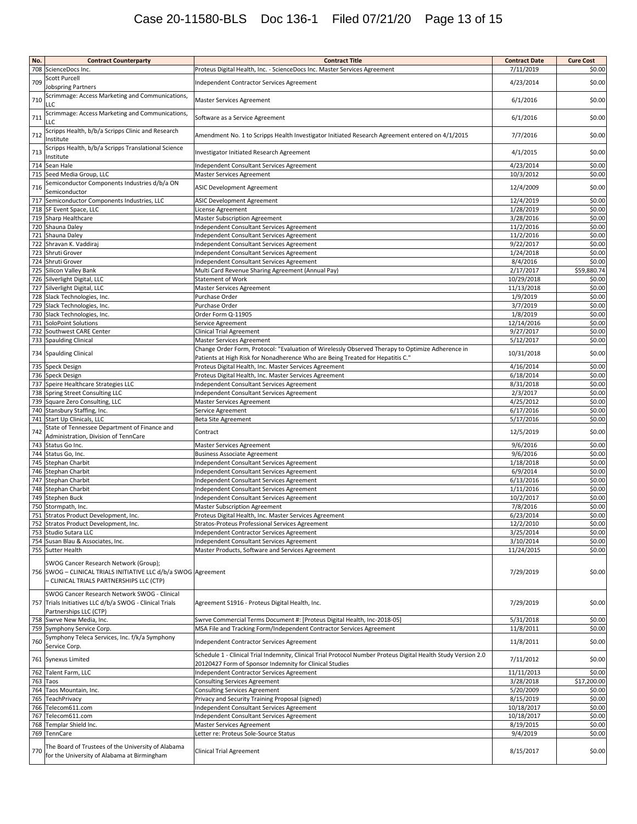# Case 20-11580-BLS Doc 136-1 Filed 07/21/20 Page 13 of 15

| No. | <b>Contract Counterparty</b>                                   | <b>Contract Title</b>                                                                                          | <b>Contract Date</b> | <b>Cure Cost</b> |
|-----|----------------------------------------------------------------|----------------------------------------------------------------------------------------------------------------|----------------------|------------------|
|     | 708 ScienceDocs Inc.                                           | Proteus Digital Health, Inc. - ScienceDocs Inc. Master Services Agreement                                      | 7/11/2019            | \$0.00           |
|     | Scott Purcell                                                  |                                                                                                                |                      |                  |
| 709 |                                                                | Independent Contractor Services Agreement                                                                      | 4/23/2014            | \$0.00           |
|     | <b>Jobspring Partners</b>                                      |                                                                                                                |                      |                  |
| 710 | Scrimmage: Access Marketing and Communications,                | Master Services Agreement                                                                                      | 6/1/2016             | \$0.00           |
|     | LLC                                                            |                                                                                                                |                      |                  |
|     | Scrimmage: Access Marketing and Communications,                |                                                                                                                |                      |                  |
| 711 | LLC                                                            | Software as a Service Agreement                                                                                | 6/1/2016             | \$0.00           |
|     | Scripps Health, b/b/a Scripps Clinic and Research              |                                                                                                                |                      |                  |
| 712 | Institute                                                      | Amendment No. 1 to Scripps Health Investigator Initiated Research Agreement entered on 4/1/2015                | 7/7/2016             | \$0.00           |
|     |                                                                |                                                                                                                |                      |                  |
| 713 | Scripps Health, b/b/a Scripps Translational Science            | Investigator Initiated Research Agreement                                                                      | 4/1/2015             | \$0.00           |
|     | Institute                                                      |                                                                                                                |                      |                  |
|     | 714 Sean Hale                                                  | Independent Consultant Services Agreement                                                                      | 4/23/2014            | \$0.00           |
|     | 715 Seed Media Group, LLC                                      | Master Services Agreement                                                                                      | 10/3/2012            | \$0.00           |
|     | Semiconductor Components Industries d/b/a ON                   |                                                                                                                |                      |                  |
| 716 | Semiconductor                                                  | ASIC Development Agreement                                                                                     | 12/4/2009            | \$0.00           |
|     | 717 Semiconductor Components Industries, LLC                   |                                                                                                                | 12/4/2019            | \$0.00           |
|     |                                                                | ASIC Development Agreement                                                                                     |                      |                  |
|     | 718 SF Event Space, LLC                                        | License Agreement                                                                                              | 1/28/2019            | \$0.00           |
|     | 719 Sharp Healthcare                                           | Master Subscription Agreement                                                                                  | 3/28/2016            | \$0.00           |
|     | 720 Shauna Daley                                               | Independent Consultant Services Agreement                                                                      | 11/2/2016            | \$0.00           |
|     | 721 Shauna Daley                                               | Independent Consultant Services Agreement                                                                      | 11/2/2016            | \$0.00           |
|     | 722 Shravan K. Vaddiraj                                        |                                                                                                                | 9/22/2017            | \$0.00           |
|     |                                                                | Independent Consultant Services Agreement                                                                      |                      |                  |
|     | 723 Shruti Grover                                              | Independent Consultant Services Agreement                                                                      | 1/24/2018            | \$0.00           |
|     | 724 Shruti Grover                                              | Independent Consultant Services Agreement                                                                      | 8/4/2016             | \$0.00           |
|     | 725 Silicon Valley Bank                                        | Multi Card Revenue Sharing Agreement (Annual Pay)                                                              | 2/17/2017            | \$59,880.74      |
|     | 726 Silverlight Digital, LLC                                   | <b>Statement of Work</b>                                                                                       | 10/29/2018           | \$0.00           |
|     | 727 Silverlight Digital, LLC                                   | Master Services Agreement                                                                                      | 11/13/2018           | \$0.00           |
|     |                                                                |                                                                                                                |                      |                  |
|     | 728 Slack Technologies, Inc.                                   | Purchase Order                                                                                                 | 1/9/2019             | \$0.00           |
|     | 729 Slack Technologies, Inc.                                   | Purchase Order                                                                                                 | 3/7/2019             | \$0.00           |
|     | 730 Slack Technologies, Inc.                                   | Order Form Q-11905                                                                                             | 1/8/2019             | \$0.00           |
|     | 731 SoloPoint Solutions                                        | Service Agreement                                                                                              | 12/14/2016           | \$0.00           |
|     | 732 Southwest CARE Center                                      | <b>Clinical Trial Agreement</b>                                                                                | 9/27/2017            | \$0.00           |
|     |                                                                |                                                                                                                |                      |                  |
|     | 733 Spaulding Clinical                                         | Master Services Agreement                                                                                      | 5/12/2017            | \$0.00           |
|     | 734 Spaulding Clinical                                         | Change Order Form, Protocol: "Evaluation of Wirelessly Observed Therapy to Optimize Adherence in               | 10/31/2018           | \$0.00           |
|     |                                                                | Patients at High Risk for Nonadherence Who are Being Treated for Hepatitis C."                                 |                      |                  |
|     | 735 Speck Design                                               | Proteus Digital Health, Inc. Master Services Agreement                                                         | 4/16/2014            | \$0.00           |
|     | 736 Speck Design                                               | Proteus Digital Health, Inc. Master Services Agreement                                                         | 6/18/2014            | \$0.00           |
|     |                                                                |                                                                                                                |                      |                  |
|     | 737 Speire Healthcare Strategies LLC                           | Independent Consultant Services Agreement                                                                      | 8/31/2018            | \$0.00           |
|     | 738 Spring Street Consulting LLC                               | Independent Consultant Services Agreement                                                                      | 2/3/2017             | \$0.00           |
|     | 739 Square Zero Consulting, LLC                                | Master Services Agreement                                                                                      | 4/25/2012            | \$0.00           |
|     | 740 Stansbury Staffing, Inc.                                   | Service Agreement                                                                                              | 6/17/2016            | \$0.00           |
|     | 741 Start Up Clinicals, LLC                                    | <b>Beta Site Agreement</b>                                                                                     | 5/17/2016            | \$0.00           |
|     |                                                                |                                                                                                                |                      |                  |
| 742 | State of Tennessee Department of Finance and                   | Contract                                                                                                       | 12/5/2019            | \$0.00           |
|     | Administration, Division of TennCare                           |                                                                                                                |                      |                  |
|     | 743 Status Go Inc.                                             | <b>Master Services Agreement</b>                                                                               | 9/6/2016             | \$0.00           |
|     | 744 Status Go, Inc.                                            | <b>Business Associate Agreement</b>                                                                            | 9/6/2016             | \$0.00           |
|     | 745 Stephan Charbit                                            | Independent Consultant Services Agreement                                                                      | 1/18/2018            | \$0.00           |
|     | 746 Stephan Charbit                                            |                                                                                                                | 6/9/2014             | \$0.00           |
|     |                                                                | Independent Consultant Services Agreement                                                                      |                      |                  |
|     | 747 Stephan Charbit                                            | Independent Consultant Services Agreement                                                                      | 6/13/2016            | \$0.00           |
|     | 748 Stephan Charbit                                            | Independent Consultant Services Agreement                                                                      | 1/11/2016            | \$0.00           |
|     | 749 Stephen Buck                                               | Independent Consultant Services Agreement                                                                      | 10/2/2017            | \$0.00           |
|     | 750 Stormpath, Inc.                                            | Master Subscription Agreement                                                                                  | 7/8/2016             | \$0.00           |
|     | 751 Stratos Product Development, Inc.                          | Proteus Digital Health, Inc. Master Services Agreement                                                         | 6/23/2014            | \$0.00           |
|     |                                                                |                                                                                                                |                      |                  |
|     | 752 Stratos Product Development, Inc.                          | Stratos-Proteus Professional Services Agreement                                                                | 12/2/2010            | \$0.00           |
|     | 753 Studio Sutara LLC                                          | Independent Contractor Services Agreement                                                                      | 3/25/2014            | \$0.00           |
|     | 754 Susan Blau & Associates, Inc.                              | Independent Consultant Services Agreement                                                                      | 3/10/2014            | \$0.00           |
|     | 755 Sutter Health                                              | Master Products, Software and Services Agreement                                                               | 11/24/2015           | \$0.00           |
|     |                                                                |                                                                                                                |                      |                  |
|     | SWOG Cancer Research Network (Group);                          |                                                                                                                |                      |                  |
|     | 756 SWOG - CLINICAL TRIALS INITIATIVE LLC d/b/a SWOG Agreement |                                                                                                                | 7/29/2019            | \$0.00           |
|     | - CLINICAL TRIALS PARTNERSHIPS LLC (CTP)                       |                                                                                                                |                      |                  |
|     |                                                                |                                                                                                                |                      |                  |
|     | SWOG Cancer Research Network SWOG - Clinical                   |                                                                                                                |                      |                  |
|     | 757 Trials Initiatives LLC d/b/a SWOG - Clinical Trials        | Agreement S1916 - Proteus Digital Health, Inc.                                                                 | 7/29/2019            | \$0.00           |
|     | Partnerships LLC (CTP)                                         |                                                                                                                |                      |                  |
|     |                                                                |                                                                                                                |                      |                  |
|     | 758 Swrve New Media, Inc.                                      | Swrve Commercial Terms Document #: [Proteus Digital Health, Inc-2018-05]                                       | 5/31/2018            | \$0.00           |
|     | 759 Symphony Service Corp.                                     | MSA File and Tracking Form/Independent Contractor Services Agreement                                           | 11/8/2011            | \$0.00           |
|     | Symphony Teleca Services, Inc. f/k/a Symphony                  |                                                                                                                |                      |                  |
| 760 | Service Corp.                                                  | Independent Contractor Services Agreement                                                                      | 11/8/2011            | \$0.00           |
|     |                                                                | Schedule 1 - Clinical Trial Indemnity, Clinical Trial Protocol Number Proteus Digital Health Study Version 2.0 |                      |                  |
|     | 761 Synexus Limited                                            |                                                                                                                | 7/11/2012            | \$0.00           |
|     |                                                                | 20120427 Form of Sponsor Indemnity for Clinical Studies                                                        |                      |                  |
|     | 762 Talent Farm, LLC                                           | Independent Contractor Services Agreement                                                                      | 11/11/2013           | \$0.00           |
|     | 763 Taos                                                       | Consulting Services Agreement                                                                                  | 3/28/2018            | \$17,200.00      |
|     | 764 Taos Mountain, Inc.                                        | <b>Consulting Services Agreement</b>                                                                           | 5/20/2009            | \$0.00           |
|     | 765 TeachPrivacy                                               |                                                                                                                | 8/15/2019            | \$0.00           |
|     |                                                                | Privacy and Security Training Proposal (signed)                                                                |                      |                  |
|     | 766 Telecom611.com                                             | Independent Consultant Services Agreement                                                                      | 10/18/2017           | \$0.00           |
|     | 767 Telecom611.com                                             | Independent Consultant Services Agreement                                                                      | 10/18/2017           | \$0.00           |
|     | 768 Templar Shield Inc.                                        | Master Services Agreement                                                                                      | 8/19/2015            | \$0.00           |
|     | 769 TennCare                                                   | Letter re: Proteus Sole-Source Status                                                                          | 9/4/2019             | \$0.00           |
|     |                                                                |                                                                                                                |                      |                  |
|     | The Board of Trustees of the University of Alabama             |                                                                                                                |                      |                  |
| 770 | for the University of Alabama at Birmingham                    | <b>Clinical Trial Agreement</b>                                                                                | 8/15/2017            | \$0.00           |
|     |                                                                |                                                                                                                |                      |                  |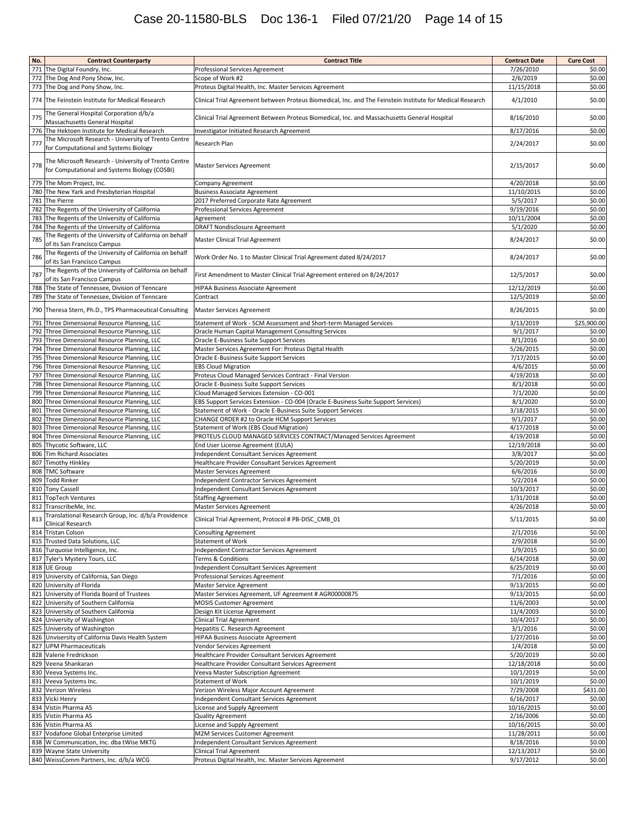# Case 20-11580-BLS Doc 136-1 Filed 07/21/20 Page 14 of 15

| No. | <b>Contract Counterparty</b>                                                                          | <b>Contract Title</b>                                                                                      | <b>Contract Date</b>   | <b>Cure Cost</b> |
|-----|-------------------------------------------------------------------------------------------------------|------------------------------------------------------------------------------------------------------------|------------------------|------------------|
|     | 771 The Digital Foundry, Inc.                                                                         | Professional Services Agreement                                                                            | 7/26/2010              | \$0.00           |
|     | 772 The Dog And Pony Show, Inc.                                                                       | Scope of Work #2                                                                                           | 2/6/2019               | \$0.00           |
|     | 773 The Dog and Pony Show, Inc.                                                                       | Proteus Digital Health, Inc. Master Services Agreement                                                     | 11/15/2018             | \$0.00           |
|     | 774 The Feinstein Institute for Medical Research                                                      | Clinical Trial Agreement between Proteus Biomedical, Inc. and The Feinstein Institute for Medical Research | 4/1/2010               | \$0.00           |
| 775 | The General Hospital Corporation d/b/a<br>Massachusetts General Hospital                              | Clinical Trial Agreement Between Proteus Biomedical, Inc. and Massachusetts General Hospital               | 8/16/2010              | \$0.00           |
| 776 | The Hektoen Institute for Medical Research                                                            | Investigator Initiated Research Agreement                                                                  | 8/17/2016              | \$0.00           |
| 777 | The Microsoft Research - University of Trento Centre                                                  | Research Plan                                                                                              | 2/24/2017              | \$0.00           |
|     | for Computational and Systems Biology                                                                 |                                                                                                            |                        |                  |
| 778 | The Microsoft Research - University of Trento Centre<br>for Computational and Systems Biology (COSBI) | <b>Master Services Agreement</b>                                                                           | 2/15/2017              | \$0.00           |
|     | 779 The Mom Project, Inc.                                                                             | Company Agreement                                                                                          | 4/20/2018              | \$0.00           |
|     | 780 The New Yark and Presbyterian Hospital                                                            | <b>Business Associate Agreement</b>                                                                        | 11/10/2015             | \$0.00           |
|     | 781 The Pierre                                                                                        | 2017 Preferred Corporate Rate Agreement                                                                    | 5/5/2017               | \$0.00           |
|     | 782 The Regents of the University of California                                                       | Professional Services Agreement                                                                            | 9/19/2016              | \$0.00           |
|     | 783 The Regents of the University of California                                                       | Agreement                                                                                                  | 10/11/2004             | \$0.00           |
|     | 784 The Regents of the University of California                                                       | <b>DRAFT Nondisclosure Agreement</b>                                                                       | 5/1/2020               | \$0.00           |
| 785 | The Regents of the University of California on behalf<br>of its San Francisco Campus                  | Master Clinical Trial Agreement                                                                            | 8/24/2017              | \$0.00           |
| 786 | The Regents of the University of California on behalf<br>of its San Francisco Campus                  | Work Order No. 1 to Master Clinical Trial Agreement dated 8/24/2017                                        | 8/24/2017              | \$0.00           |
| 787 | The Regents of the University of California on behalf<br>of its San Francisco Campus                  | First Amendment to Master Clinical Trial Agreement entered on 8/24/2017                                    | 12/5/2017              | \$0.00           |
|     | 788 The State of Tennessee, Division of Tenncare                                                      | HIPAA Business Associate Agreement                                                                         | 12/12/2019             | \$0.00           |
|     | 789 The State of Tennessee, Division of Tenncare                                                      | Contract                                                                                                   | 12/5/2019              | \$0.00           |
|     | 790 Theresa Stern, Ph.D., TPS Pharmaceutical Consulting                                               | <b>Master Services Agreement</b>                                                                           | 8/26/2015              | \$0.00           |
|     | 791 Three Dimensional Resource Planning, LLC                                                          | Statement of Work - SCM Assessment and Short-term Managed Services                                         | 3/13/2019              | \$25,900.00      |
|     | 792 Three Dimensional Resource Planning, LLC                                                          | Oracle Human Capital Management Consulting Services                                                        | 9/1/2017               | \$0.00           |
|     | 793 Three Dimensional Resource Planning, LLC                                                          | Oracle E-Business Suite Support Services                                                                   | 8/1/2016               | \$0.00           |
|     | 794 Three Dimensional Resource Planning, LLC                                                          | Master Services Agreement For: Proteus Digital Health                                                      | 5/26/2015              | \$0.00           |
|     | 795 Three Dimensional Resource Planning, LLC<br>796 Three Dimensional Resource Planning, LLC          | Oracle E-Business Suite Support Services<br><b>EBS Cloud Migration</b>                                     | 7/17/2015<br>4/6/2015  | \$0.00<br>\$0.00 |
| 797 | Three Dimensional Resource Planning, LLC                                                              | Proteus Cloud Managed Services Contract - Final Version                                                    | 4/19/2018              | \$0.00           |
|     | 798 Three Dimensional Resource Planning, LLC                                                          | Oracle E-Business Suite Support Services                                                                   | 8/1/2018               | \$0.00           |
|     | 799 Three Dimensional Resource Planning, LLC                                                          | Cloud Managed Services Extension - CO-001                                                                  | 7/1/2020               | \$0.00           |
| 800 | Three Dimensional Resource Planning, LLC                                                              | EBS Support Services Extension - CO-004 (Oracle E-Business Suite Support Services)                         | 8/1/2020               | \$0.00           |
|     | 801 Three Dimensional Resource Planning, LLC                                                          | Statement of Work - Oracle E-Business Suite Support Services                                               | 3/18/2015              | \$0.00           |
|     | 802 Three Dimensional Resource Planning, LLC                                                          | CHANGE ORDER #2 to Oracle HCM Support Services                                                             | 9/1/2017               | \$0.00           |
|     | 803 Three Dimensional Resource Planning, LLC                                                          | Statement of Work (EBS Cloud Migration)                                                                    | 4/17/2018              | \$0.00           |
|     | 804 Three Dimensional Resource Planning, LLC                                                          | PROTEUS CLOUD MANAGED SERVICES CONTRACT/Managed Services Agreement                                         | 4/19/2018              | \$0.00           |
|     | 805 Thycotic Software, LLC                                                                            | End User License Agreement (EULA)                                                                          | 12/19/2018             | \$0.00           |
|     | 806 Tim Richard Associates                                                                            | Independent Consultant Services Agreement                                                                  | 3/8/2017               | \$0.00           |
|     | 807 Timothy Hinkley                                                                                   | Healthcare Provider Consultant Services Agreement                                                          | 5/20/2019              | \$0.00           |
|     | 808 TMC Software                                                                                      | Master Services Agreement                                                                                  | 6/6/2016               | \$0.00           |
|     | 809 Todd Rinker                                                                                       | Independent Contractor Services Agreement                                                                  | 5/2/2014               | \$0.00           |
|     | 810 Tony Cassell<br>811 TopTech Ventures                                                              | Independent Consultant Services Agreement                                                                  | 10/3/2017<br>1/31/2018 | \$0.00<br>\$0.00 |
|     | 812 TranscribeMe, Inc.                                                                                | <b>Staffing Agreement</b><br>Master Services Agreement                                                     | 4/26/2018              | \$0.00           |
| 813 | Translational Research Group, Inc. d/b/a Providence                                                   | Clinical Trial Agreement, Protocol # PB-DISC_CMB_01                                                        | 5/11/2015              | \$0.00           |
|     | Clinical Research<br>814 Tristan Colson                                                               | Consulting Agreement                                                                                       | 2/1/2016               | \$0.00           |
|     | 815 Trusted Data Solutions, LLC                                                                       | Statement of Work                                                                                          | 2/9/2018               | \$0.00           |
|     | 816 Turquoise Intelligence, Inc.                                                                      | Independent Contractor Services Agreement                                                                  | 1/9/2015               | \$0.00           |
|     | 817 Tyler's Mystery Tours, LLC                                                                        | Terms & Conditions                                                                                         | 6/14/2018              | \$0.00           |
|     | 818 UE Group                                                                                          | Independent Consultant Services Agreement                                                                  | 6/25/2019              | \$0.00           |
|     | 819 University of California, San Diego                                                               | Professional Services Agreement                                                                            | 7/1/2016               | \$0.00           |
|     | 820 University of Florida                                                                             | Master Service Agreement                                                                                   | 9/13/2015              | \$0.00           |
|     | 821 University of Florida Board of Trustees                                                           | Master Services Agreement, UF Agreement # AGR00000875                                                      | 9/13/2015              | \$0.00           |
|     | 822 University of Southern California                                                                 | MOSIS Customer Agreement                                                                                   | 11/6/2003              | \$0.00           |
|     | 823 University of Southern California                                                                 | Design Kit License Agreement                                                                               | 11/4/2003              | \$0.00           |
|     | 824 University of Washington<br>825 University of Washington                                          | <b>Clinical Trial Agreement</b><br>Hepatitis C. Research Agreement                                         | 10/4/2017              | \$0.00           |
|     | 826 Unvisersity of California Davis Health System                                                     | HIPAA Business Associate Agreement                                                                         | 3/1/2016<br>1/27/2016  | \$0.00<br>\$0.00 |
|     | 827 UPM Pharmaceuticals                                                                               | Vendor Services Agreement                                                                                  | 1/4/2018               | \$0.00           |
|     | 828 Valerie Fredrickson                                                                               | Healthcare Provider Consultant Services Agreement                                                          | 5/20/2019              | \$0.00           |
|     | 829 Veena Shankaran                                                                                   | Healthcare Provider Consultant Services Agreement                                                          | 12/18/2018             | \$0.00           |
|     | 830 Veeva Systems Inc.                                                                                | Veeva Master Subscription Agreement                                                                        | 10/1/2019              | \$0.00           |
|     | 831 Veeva Systems Inc.                                                                                | Statement of Work                                                                                          | 10/1/2019              | \$0.00           |
|     | 832 Verizon Wireless                                                                                  | Verizon Wireless Major Account Agreement                                                                   | 7/29/2008              | \$431.00         |
|     | 833 Vicki Henry                                                                                       | Independent Consultant Services Agreement                                                                  | 6/16/2017              | \$0.00           |
|     | 834 Vistin Pharma AS                                                                                  | License and Supply Agreement                                                                               | 10/16/2015             | \$0.00           |
|     | 835 Vistin Pharma AS                                                                                  | Quality Agreement                                                                                          | 2/16/2006              | \$0.00           |
|     | 836 Vistin Pharma AS                                                                                  | License and Supply Agreement                                                                               | 10/16/2015             | \$0.00           |
|     | 837 Vodafone Global Enterprise Limited                                                                | M2M Services Customer Agreement                                                                            | 11/28/2011             | \$0.00           |
|     | 838 W Communication, Inc. dba tWise MKTG                                                              | Independent Consultant Services Agreement                                                                  | 8/18/2016              | \$0.00           |
|     | 839 Wayne State University                                                                            | <b>Clinical Trial Agreement</b>                                                                            | 12/13/2017             | \$0.00           |
|     | 840 WeissComm Partners, Inc. d/b/a WCG                                                                | Proteus Digital Health, Inc. Master Services Agreement                                                     | 9/17/2012              | \$0.00           |